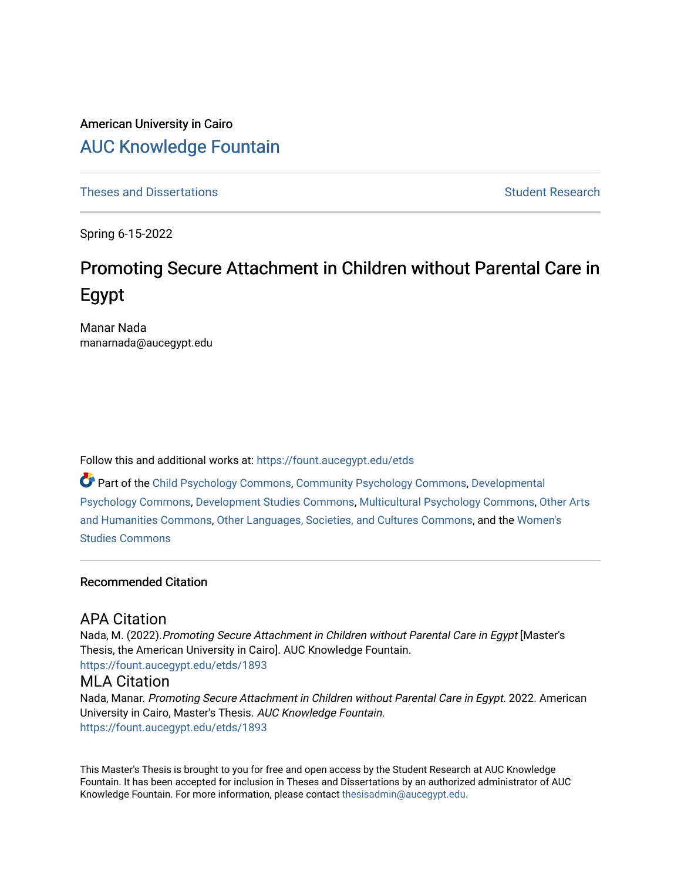# American University in Cairo [AUC Knowledge Fountain](https://fount.aucegypt.edu/)

[Theses and Dissertations](https://fount.aucegypt.edu/etds) Student Research

Spring 6-15-2022

# Promoting Secure Attachment in Children without Parental Care in Egypt

Manar Nada manarnada@aucegypt.edu

Follow this and additional works at: [https://fount.aucegypt.edu/etds](https://fount.aucegypt.edu/etds?utm_source=fount.aucegypt.edu%2Fetds%2F1893&utm_medium=PDF&utm_campaign=PDFCoverPages) 

Part of the [Child Psychology Commons,](http://network.bepress.com/hgg/discipline/1023?utm_source=fount.aucegypt.edu%2Fetds%2F1893&utm_medium=PDF&utm_campaign=PDFCoverPages) [Community Psychology Commons,](http://network.bepress.com/hgg/discipline/409?utm_source=fount.aucegypt.edu%2Fetds%2F1893&utm_medium=PDF&utm_campaign=PDFCoverPages) [Developmental](http://network.bepress.com/hgg/discipline/410?utm_source=fount.aucegypt.edu%2Fetds%2F1893&utm_medium=PDF&utm_campaign=PDFCoverPages) [Psychology Commons,](http://network.bepress.com/hgg/discipline/410?utm_source=fount.aucegypt.edu%2Fetds%2F1893&utm_medium=PDF&utm_campaign=PDFCoverPages) [Development Studies Commons,](http://network.bepress.com/hgg/discipline/1422?utm_source=fount.aucegypt.edu%2Fetds%2F1893&utm_medium=PDF&utm_campaign=PDFCoverPages) [Multicultural Psychology Commons,](http://network.bepress.com/hgg/discipline/1237?utm_source=fount.aucegypt.edu%2Fetds%2F1893&utm_medium=PDF&utm_campaign=PDFCoverPages) [Other Arts](http://network.bepress.com/hgg/discipline/577?utm_source=fount.aucegypt.edu%2Fetds%2F1893&utm_medium=PDF&utm_campaign=PDFCoverPages)  [and Humanities Commons,](http://network.bepress.com/hgg/discipline/577?utm_source=fount.aucegypt.edu%2Fetds%2F1893&utm_medium=PDF&utm_campaign=PDFCoverPages) [Other Languages, Societies, and Cultures Commons](http://network.bepress.com/hgg/discipline/475?utm_source=fount.aucegypt.edu%2Fetds%2F1893&utm_medium=PDF&utm_campaign=PDFCoverPages), and the [Women's](http://network.bepress.com/hgg/discipline/561?utm_source=fount.aucegypt.edu%2Fetds%2F1893&utm_medium=PDF&utm_campaign=PDFCoverPages) [Studies Commons](http://network.bepress.com/hgg/discipline/561?utm_source=fount.aucegypt.edu%2Fetds%2F1893&utm_medium=PDF&utm_campaign=PDFCoverPages) 

# Recommended Citation

# APA Citation

Nada, M. (2022). Promoting Secure Attachment in Children without Parental Care in Egypt [Master's Thesis, the American University in Cairo]. AUC Knowledge Fountain. [https://fount.aucegypt.edu/etds/1893](https://fount.aucegypt.edu/etds/1893?utm_source=fount.aucegypt.edu%2Fetds%2F1893&utm_medium=PDF&utm_campaign=PDFCoverPages)

# MLA Citation

Nada, Manar. Promoting Secure Attachment in Children without Parental Care in Egypt. 2022. American University in Cairo, Master's Thesis. AUC Knowledge Fountain. [https://fount.aucegypt.edu/etds/1893](https://fount.aucegypt.edu/etds/1893?utm_source=fount.aucegypt.edu%2Fetds%2F1893&utm_medium=PDF&utm_campaign=PDFCoverPages)

This Master's Thesis is brought to you for free and open access by the Student Research at AUC Knowledge Fountain. It has been accepted for inclusion in Theses and Dissertations by an authorized administrator of AUC Knowledge Fountain. For more information, please contact [thesisadmin@aucegypt.edu.](mailto:thesisadmin@aucegypt.edu)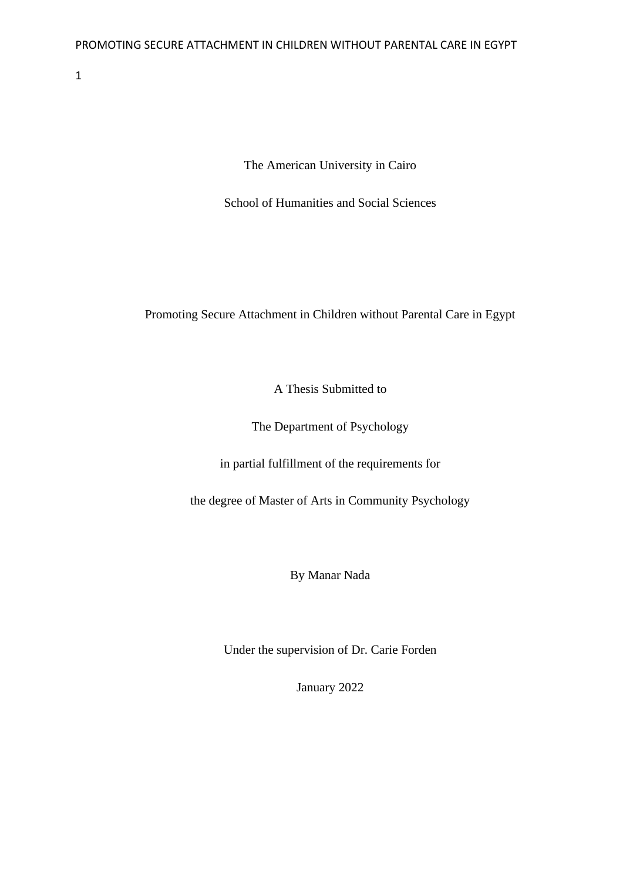The American University in Cairo

School of Humanities and Social Sciences

# Promoting Secure Attachment in Children without Parental Care in Egypt

A Thesis Submitted to

The Department of Psychology

in partial fulfillment of the requirements for

the degree of Master of Arts in Community Psychology

By Manar Nada

Under the supervision of Dr. Carie Forden

January 2022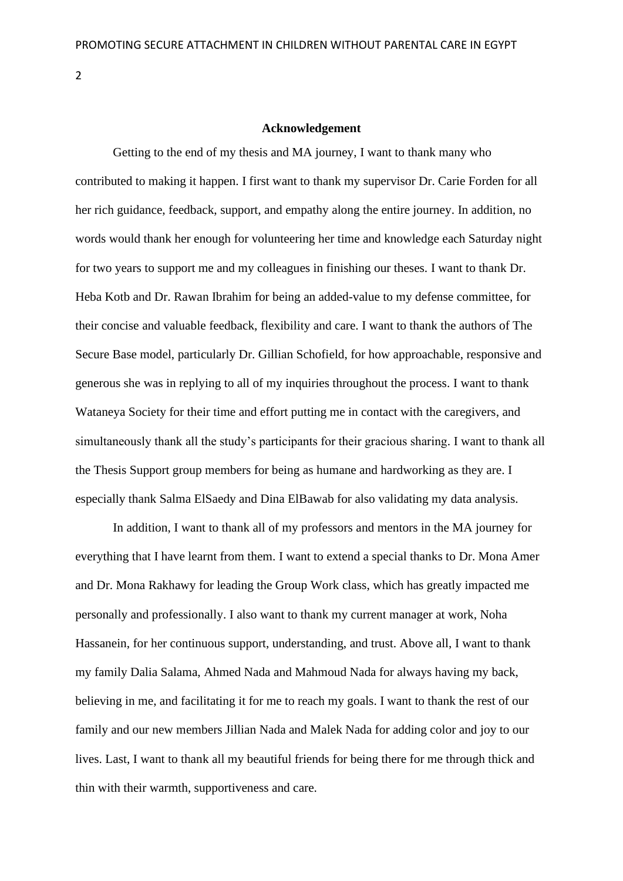## **Acknowledgement**

Getting to the end of my thesis and MA journey, I want to thank many who contributed to making it happen. I first want to thank my supervisor Dr. Carie Forden for all her rich guidance, feedback, support, and empathy along the entire journey. In addition, no words would thank her enough for volunteering her time and knowledge each Saturday night for two years to support me and my colleagues in finishing our theses. I want to thank Dr. Heba Kotb and Dr. Rawan Ibrahim for being an added-value to my defense committee, for their concise and valuable feedback, flexibility and care. I want to thank the authors of The Secure Base model, particularly Dr. Gillian Schofield, for how approachable, responsive and generous she was in replying to all of my inquiries throughout the process. I want to thank Wataneya Society for their time and effort putting me in contact with the caregivers, and simultaneously thank all the study's participants for their gracious sharing. I want to thank all the Thesis Support group members for being as humane and hardworking as they are. I especially thank Salma ElSaedy and Dina ElBawab for also validating my data analysis.

In addition, I want to thank all of my professors and mentors in the MA journey for everything that I have learnt from them. I want to extend a special thanks to Dr. Mona Amer and Dr. Mona Rakhawy for leading the Group Work class, which has greatly impacted me personally and professionally. I also want to thank my current manager at work, Noha Hassanein, for her continuous support, understanding, and trust. Above all, I want to thank my family Dalia Salama, Ahmed Nada and Mahmoud Nada for always having my back, believing in me, and facilitating it for me to reach my goals. I want to thank the rest of our family and our new members Jillian Nada and Malek Nada for adding color and joy to our lives. Last, I want to thank all my beautiful friends for being there for me through thick and thin with their warmth, supportiveness and care.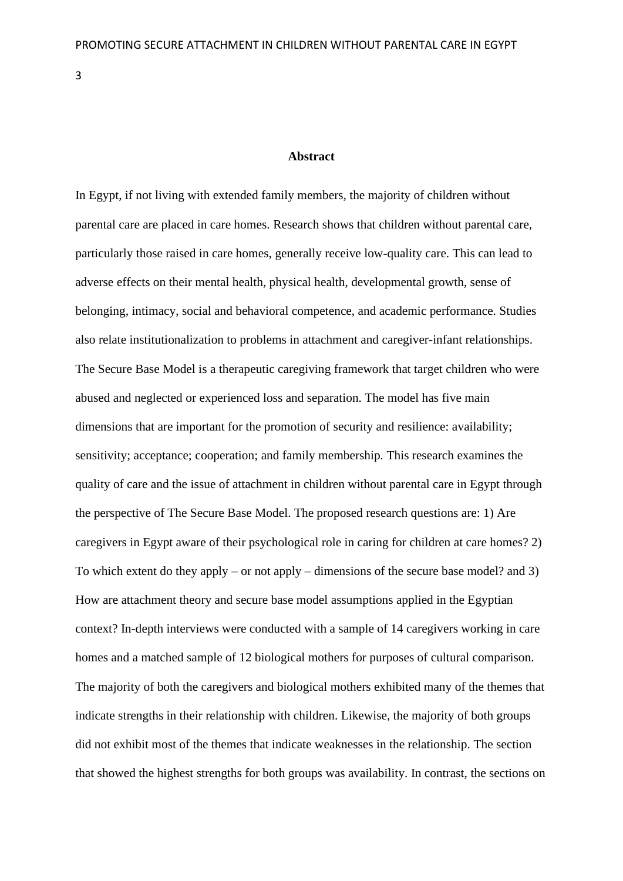# **Abstract**

<span id="page-3-0"></span>In Egypt, if not living with extended family members, the majority of children without parental care are placed in care homes. Research shows that children without parental care, particularly those raised in care homes, generally receive low-quality care. This can lead to adverse effects on their mental health, physical health, developmental growth, sense of belonging, intimacy, social and behavioral competence, and academic performance. Studies also relate institutionalization to problems in attachment and caregiver-infant relationships. The Secure Base Model is a therapeutic caregiving framework that target children who were abused and neglected or experienced loss and separation. The model has five main dimensions that are important for the promotion of security and resilience: availability; sensitivity; acceptance; cooperation; and family membership*.* This research examines the quality of care and the issue of attachment in children without parental care in Egypt through the perspective of The Secure Base Model. The proposed research questions are: 1) Are caregivers in Egypt aware of their psychological role in caring for children at care homes? 2) To which extent do they apply – or not apply – dimensions of the secure base model? and 3) How are attachment theory and secure base model assumptions applied in the Egyptian context? In-depth interviews were conducted with a sample of 14 caregivers working in care homes and a matched sample of 12 biological mothers for purposes of cultural comparison. The majority of both the caregivers and biological mothers exhibited many of the themes that indicate strengths in their relationship with children. Likewise, the majority of both groups did not exhibit most of the themes that indicate weaknesses in the relationship. The section that showed the highest strengths for both groups was availability. In contrast, the sections on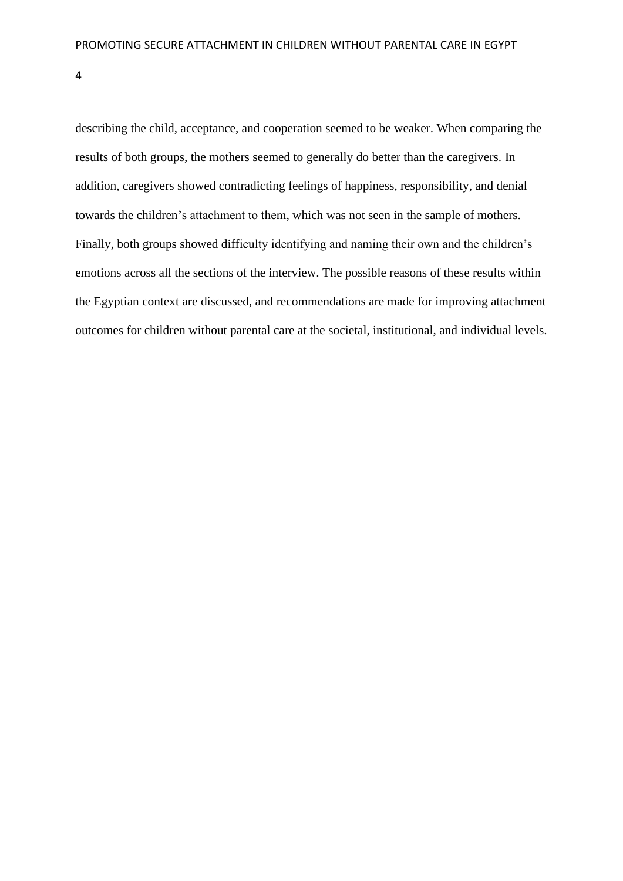describing the child, acceptance, and cooperation seemed to be weaker. When comparing the results of both groups, the mothers seemed to generally do better than the caregivers. In addition, caregivers showed contradicting feelings of happiness, responsibility, and denial towards the children's attachment to them, which was not seen in the sample of mothers. Finally, both groups showed difficulty identifying and naming their own and the children's emotions across all the sections of the interview. The possible reasons of these results within the Egyptian context are discussed, and recommendations are made for improving attachment outcomes for children without parental care at the societal, institutional, and individual levels.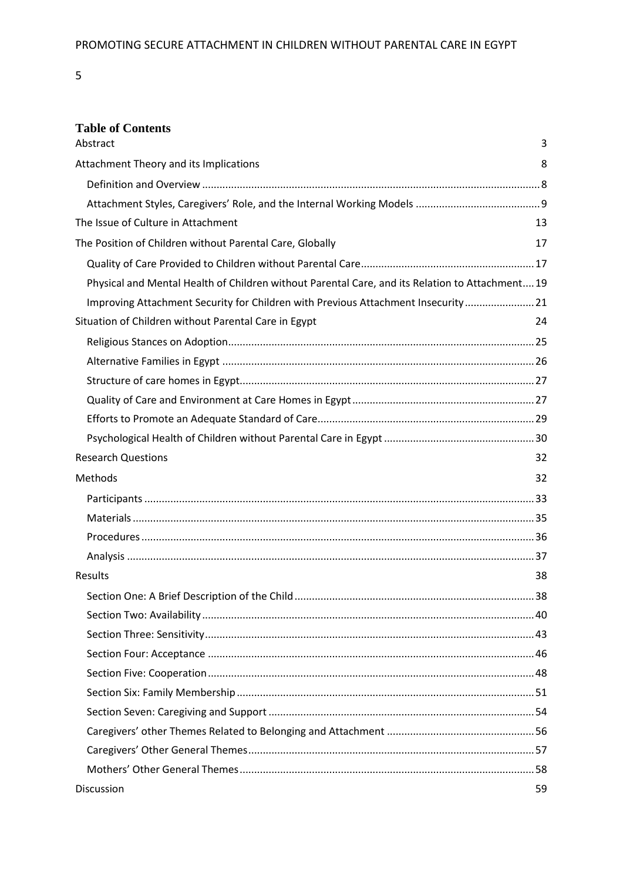# **Table of Contents**

| Abstract                                                                                        | 3  |
|-------------------------------------------------------------------------------------------------|----|
| Attachment Theory and its Implications                                                          | 8  |
|                                                                                                 |    |
|                                                                                                 |    |
| The Issue of Culture in Attachment                                                              | 13 |
| The Position of Children without Parental Care, Globally                                        | 17 |
|                                                                                                 |    |
| Physical and Mental Health of Children without Parental Care, and its Relation to Attachment 19 |    |
| Improving Attachment Security for Children with Previous Attachment Insecurity 21               |    |
| Situation of Children without Parental Care in Egypt                                            | 24 |
|                                                                                                 |    |
|                                                                                                 |    |
|                                                                                                 |    |
|                                                                                                 |    |
|                                                                                                 |    |
|                                                                                                 |    |
| <b>Research Questions</b>                                                                       | 32 |
| Methods                                                                                         | 32 |
|                                                                                                 |    |
|                                                                                                 |    |
|                                                                                                 |    |
|                                                                                                 |    |
| Results                                                                                         | 38 |
|                                                                                                 |    |
|                                                                                                 |    |
|                                                                                                 |    |
|                                                                                                 |    |
|                                                                                                 |    |
|                                                                                                 |    |
|                                                                                                 |    |
|                                                                                                 |    |
|                                                                                                 |    |
|                                                                                                 |    |
| Discussion                                                                                      | 59 |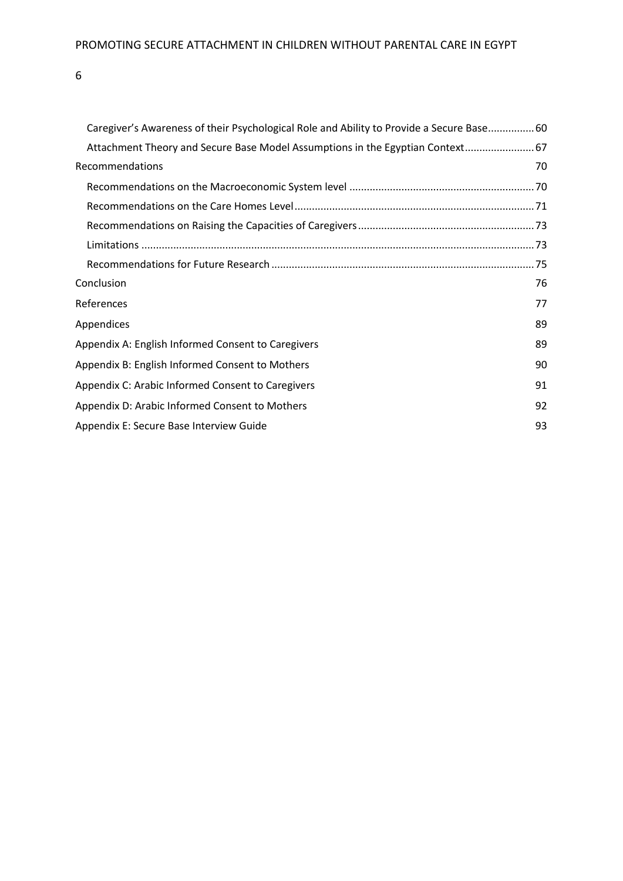| Caregiver's Awareness of their Psychological Role and Ability to Provide a Secure Base60 |    |
|------------------------------------------------------------------------------------------|----|
| Attachment Theory and Secure Base Model Assumptions in the Egyptian Context 67           |    |
| Recommendations                                                                          | 70 |
|                                                                                          |    |
|                                                                                          |    |
|                                                                                          |    |
|                                                                                          |    |
|                                                                                          |    |
| Conclusion                                                                               | 76 |
| References                                                                               | 77 |
| Appendices                                                                               | 89 |
| Appendix A: English Informed Consent to Caregivers                                       | 89 |
| Appendix B: English Informed Consent to Mothers                                          | 90 |
| Appendix C: Arabic Informed Consent to Caregivers                                        | 91 |
| Appendix D: Arabic Informed Consent to Mothers                                           | 92 |
| Appendix E: Secure Base Interview Guide                                                  | 93 |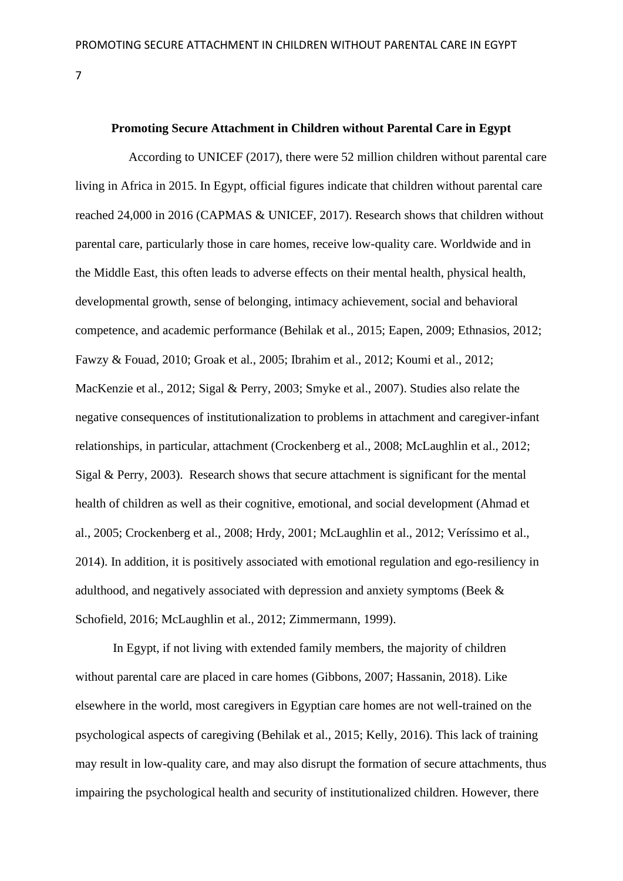### **Promoting Secure Attachment in Children without Parental Care in Egypt**

 According to UNICEF (2017), there were 52 million children without parental care living in Africa in 2015. In Egypt, official figures indicate that children without parental care reached 24,000 in 2016 (CAPMAS & UNICEF, 2017). Research shows that children without parental care, particularly those in care homes, receive low-quality care. Worldwide and in the Middle East, this often leads to adverse effects on their mental health, physical health, developmental growth, sense of belonging, intimacy achievement, social and behavioral competence, and academic performance (Behilak et al., 2015; Eapen, 2009; Ethnasios, 2012; Fawzy & Fouad, 2010; Groak et al., 2005; Ibrahim et al., 2012; Koumi et al., 2012; MacKenzie et al., 2012; Sigal & Perry, 2003; Smyke et al., 2007). Studies also relate the negative consequences of institutionalization to problems in attachment and caregiver-infant relationships, in particular, attachment (Crockenberg et al., 2008; McLaughlin et al., 2012; Sigal & Perry, 2003). Research shows that secure attachment is significant for the mental health of children as well as their cognitive, emotional, and social development (Ahmad et al., 2005; Crockenberg et al., 2008; Hrdy, 2001; McLaughlin et al., 2012; Veríssimo et al., 2014). In addition, it is positively associated with emotional regulation and ego-resiliency in adulthood, and negatively associated with depression and anxiety symptoms (Beek & Schofield, 2016; McLaughlin et al., 2012; Zimmermann, 1999).

In Egypt, if not living with extended family members, the majority of children without parental care are placed in care homes (Gibbons, 2007; Hassanin, 2018). Like elsewhere in the world, most caregivers in Egyptian care homes are not well-trained on the psychological aspects of caregiving (Behilak et al., 2015; Kelly, 2016). This lack of training may result in low-quality care, and may also disrupt the formation of secure attachments, thus impairing the psychological health and security of institutionalized children. However, there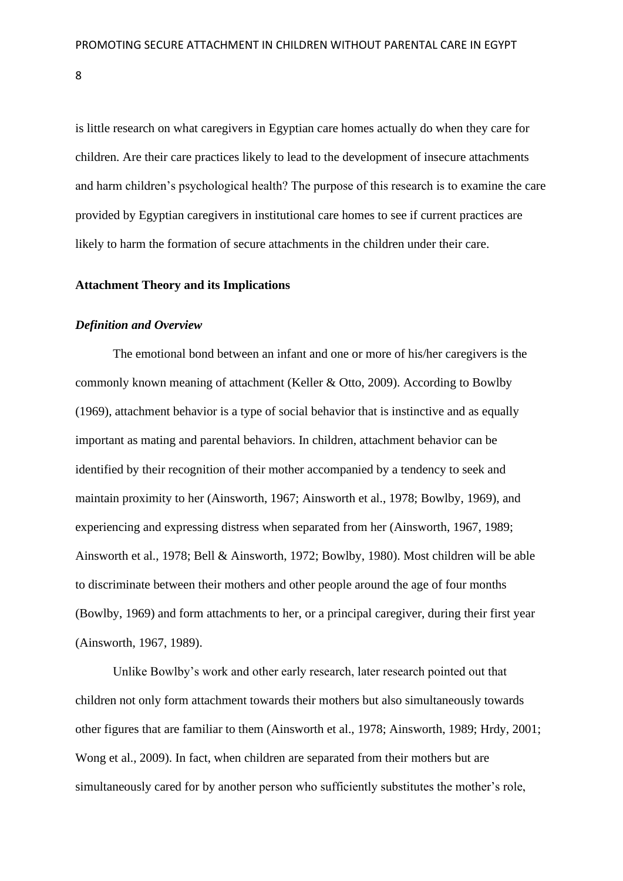is little research on what caregivers in Egyptian care homes actually do when they care for children. Are their care practices likely to lead to the development of insecure attachments and harm children's psychological health? The purpose of this research is to examine the care provided by Egyptian caregivers in institutional care homes to see if current practices are likely to harm the formation of secure attachments in the children under their care.

### <span id="page-8-0"></span>**Attachment Theory and its Implications**

#### <span id="page-8-1"></span>*Definition and Overview*

The emotional bond between an infant and one or more of his/her caregivers is the commonly known meaning of attachment (Keller & Otto, 2009). According to Bowlby (1969), attachment behavior is a type of social behavior that is instinctive and as equally important as mating and parental behaviors. In children, attachment behavior can be identified by their recognition of their mother accompanied by a tendency to seek and maintain proximity to her (Ainsworth, 1967; Ainsworth et al., 1978; Bowlby, 1969), and experiencing and expressing distress when separated from her (Ainsworth, 1967, 1989; Ainsworth et al., 1978; Bell & Ainsworth, 1972; Bowlby, 1980). Most children will be able to discriminate between their mothers and other people around the age of four months (Bowlby, 1969) and form attachments to her, or a principal caregiver, during their first year (Ainsworth, 1967, 1989).

Unlike Bowlby's work and other early research, later research pointed out that children not only form attachment towards their mothers but also simultaneously towards other figures that are familiar to them (Ainsworth et al., 1978; Ainsworth, 1989; Hrdy, 2001; Wong et al., 2009). In fact, when children are separated from their mothers but are simultaneously cared for by another person who sufficiently substitutes the mother's role,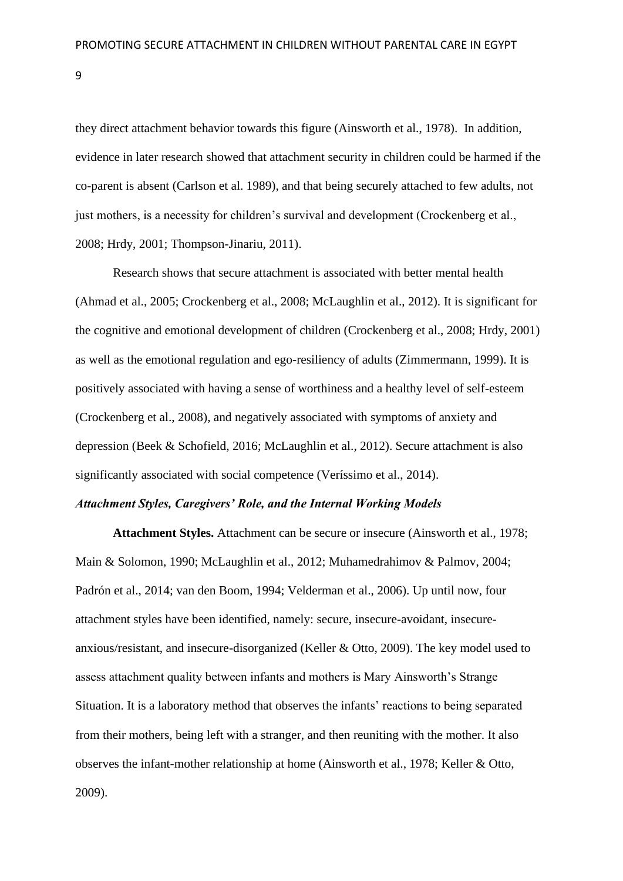they direct attachment behavior towards this figure (Ainsworth et al., 1978). In addition, evidence in later research showed that attachment security in children could be harmed if the co-parent is absent (Carlson et al. 1989), and that being securely attached to few adults, not just mothers, is a necessity for children's survival and development (Crockenberg et al., 2008; Hrdy, 2001; Thompson-Jinariu, 2011).

Research shows that secure attachment is associated with better mental health (Ahmad et al., 2005; Crockenberg et al., 2008; McLaughlin et al., 2012). It is significant for the cognitive and emotional development of children (Crockenberg et al., 2008; Hrdy, 2001) as well as the emotional regulation and ego-resiliency of adults (Zimmermann, 1999). It is positively associated with having a sense of worthiness and a healthy level of self-esteem (Crockenberg et al., 2008), and negatively associated with symptoms of anxiety and depression (Beek & Schofield, 2016; McLaughlin et al., 2012). Secure attachment is also significantly associated with social competence (Veríssimo et al., 2014).

### <span id="page-9-0"></span>*Attachment Styles, Caregivers' Role, and the Internal Working Models*

**Attachment Styles.** Attachment can be secure or insecure (Ainsworth et al., 1978; Main & Solomon, 1990; McLaughlin et al., 2012; Muhamedrahimov & Palmov, 2004; Padrón et al., 2014; van den Boom, 1994; Velderman et al., 2006). Up until now, four attachment styles have been identified, namely: secure, insecure-avoidant, insecureanxious/resistant, and insecure-disorganized (Keller & Otto, 2009). The key model used to assess attachment quality between infants and mothers is Mary Ainsworth's Strange Situation. It is a laboratory method that observes the infants' reactions to being separated from their mothers, being left with a stranger, and then reuniting with the mother. It also observes the infant-mother relationship at home (Ainsworth et al., 1978; Keller & Otto, 2009).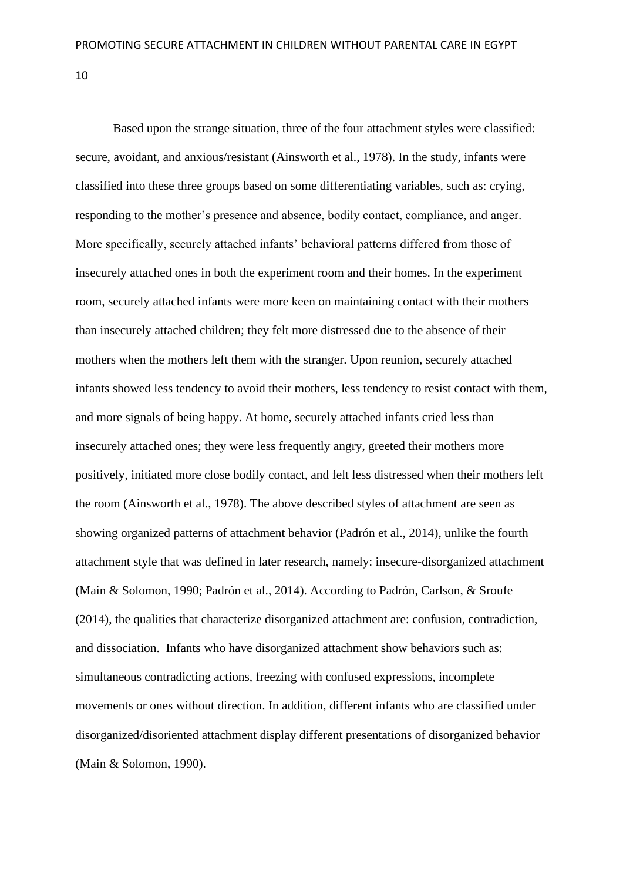Based upon the strange situation, three of the four attachment styles were classified: secure, avoidant, and anxious/resistant (Ainsworth et al., 1978). In the study, infants were classified into these three groups based on some differentiating variables, such as: crying, responding to the mother's presence and absence, bodily contact, compliance, and anger. More specifically, securely attached infants' behavioral patterns differed from those of insecurely attached ones in both the experiment room and their homes. In the experiment room, securely attached infants were more keen on maintaining contact with their mothers than insecurely attached children; they felt more distressed due to the absence of their mothers when the mothers left them with the stranger. Upon reunion, securely attached infants showed less tendency to avoid their mothers, less tendency to resist contact with them, and more signals of being happy. At home, securely attached infants cried less than insecurely attached ones; they were less frequently angry, greeted their mothers more positively, initiated more close bodily contact, and felt less distressed when their mothers left the room (Ainsworth et al., 1978). The above described styles of attachment are seen as showing organized patterns of attachment behavior (Padrón et al., 2014), unlike the fourth attachment style that was defined in later research, namely: insecure-disorganized attachment (Main & Solomon, 1990; Padrón et al., 2014). According to Padrón, Carlson, & Sroufe (2014), the qualities that characterize disorganized attachment are: confusion, contradiction, and dissociation. Infants who have disorganized attachment show behaviors such as: simultaneous contradicting actions, freezing with confused expressions, incomplete movements or ones without direction. In addition, different infants who are classified under disorganized/disoriented attachment display different presentations of disorganized behavior (Main & Solomon, 1990).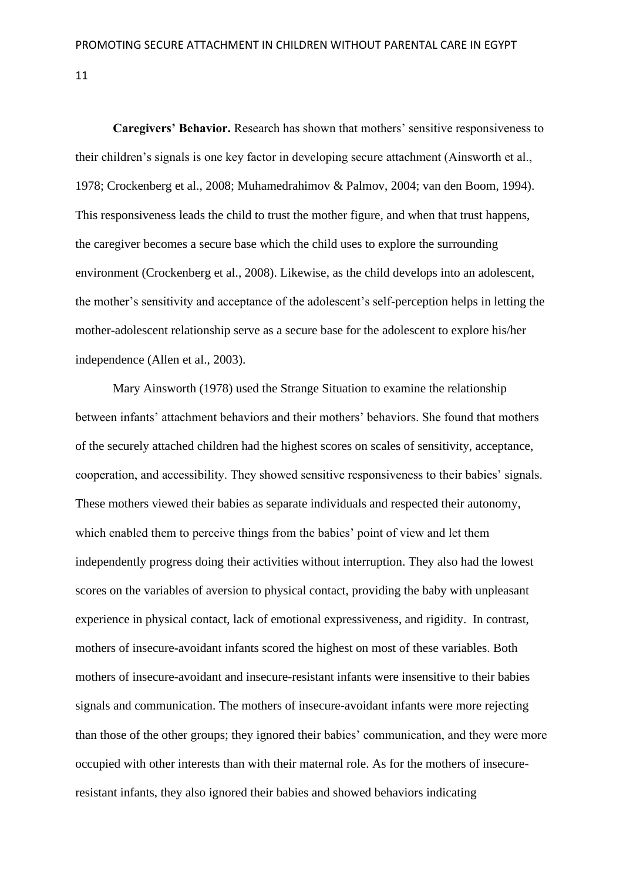**Caregivers' Behavior.** Research has shown that mothers' sensitive responsiveness to their children's signals is one key factor in developing secure attachment (Ainsworth et al., 1978; Crockenberg et al., 2008; Muhamedrahimov & Palmov, 2004; van den Boom, 1994). This responsiveness leads the child to trust the mother figure, and when that trust happens, the caregiver becomes a secure base which the child uses to explore the surrounding environment (Crockenberg et al., 2008). Likewise, as the child develops into an adolescent, the mother's sensitivity and acceptance of the adolescent's self-perception helps in letting the mother-adolescent relationship serve as a secure base for the adolescent to explore his/her independence (Allen et al., 2003).

Mary Ainsworth (1978) used the Strange Situation to examine the relationship between infants' attachment behaviors and their mothers' behaviors. She found that mothers of the securely attached children had the highest scores on scales of sensitivity, acceptance, cooperation, and accessibility. They showed sensitive responsiveness to their babies' signals. These mothers viewed their babies as separate individuals and respected their autonomy, which enabled them to perceive things from the babies' point of view and let them independently progress doing their activities without interruption. They also had the lowest scores on the variables of aversion to physical contact, providing the baby with unpleasant experience in physical contact, lack of emotional expressiveness, and rigidity. In contrast, mothers of insecure-avoidant infants scored the highest on most of these variables. Both mothers of insecure-avoidant and insecure-resistant infants were insensitive to their babies signals and communication. The mothers of insecure-avoidant infants were more rejecting than those of the other groups; they ignored their babies' communication, and they were more occupied with other interests than with their maternal role. As for the mothers of insecureresistant infants, they also ignored their babies and showed behaviors indicating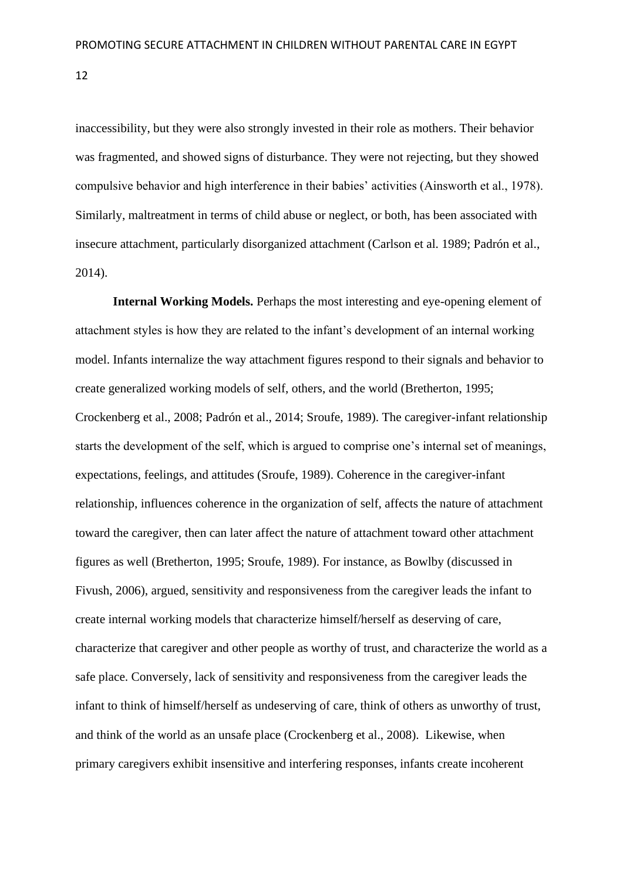inaccessibility, but they were also strongly invested in their role as mothers. Their behavior was fragmented, and showed signs of disturbance. They were not rejecting, but they showed compulsive behavior and high interference in their babies' activities (Ainsworth et al., 1978). Similarly, maltreatment in terms of child abuse or neglect, or both, has been associated with insecure attachment, particularly disorganized attachment (Carlson et al. 1989; Padrón et al., 2014).

**Internal Working Models.** Perhaps the most interesting and eye-opening element of attachment styles is how they are related to the infant's development of an internal working model. Infants internalize the way attachment figures respond to their signals and behavior to create generalized working models of self, others, and the world (Bretherton, 1995; Crockenberg et al., 2008; Padrón et al., 2014; Sroufe, 1989). The caregiver-infant relationship starts the development of the self, which is argued to comprise one's internal set of meanings, expectations, feelings, and attitudes (Sroufe, 1989). Coherence in the caregiver-infant relationship, influences coherence in the organization of self, affects the nature of attachment toward the caregiver, then can later affect the nature of attachment toward other attachment figures as well (Bretherton, 1995; Sroufe, 1989). For instance, as Bowlby (discussed in Fivush, 2006), argued, sensitivity and responsiveness from the caregiver leads the infant to create internal working models that characterize himself/herself as deserving of care, characterize that caregiver and other people as worthy of trust, and characterize the world as a safe place. Conversely, lack of sensitivity and responsiveness from the caregiver leads the infant to think of himself/herself as undeserving of care, think of others as unworthy of trust, and think of the world as an unsafe place (Crockenberg et al., 2008). Likewise, when primary caregivers exhibit insensitive and interfering responses, infants create incoherent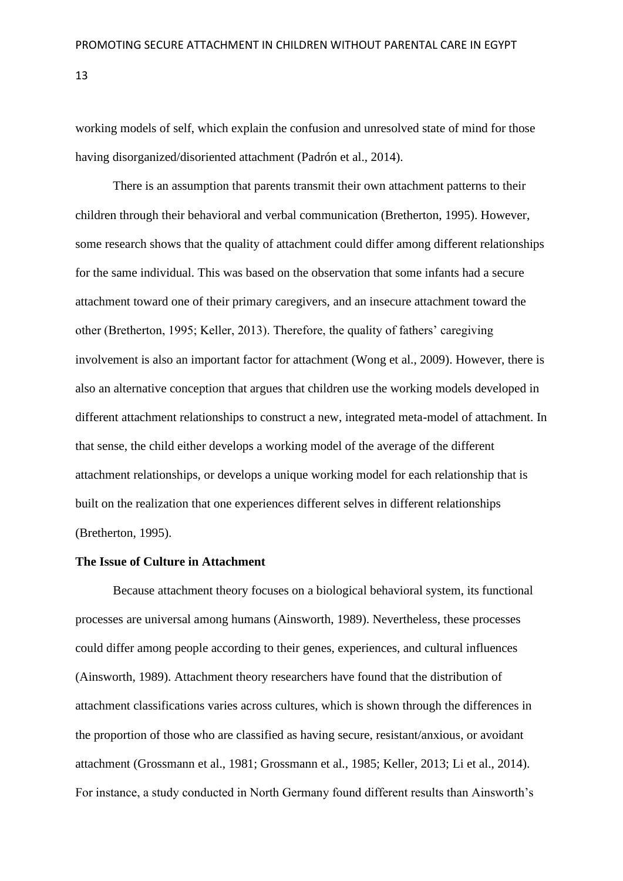working models of self, which explain the confusion and unresolved state of mind for those having disorganized/disoriented attachment (Padrón et al., 2014).

There is an assumption that parents transmit their own attachment patterns to their children through their behavioral and verbal communication (Bretherton, 1995). However, some research shows that the quality of attachment could differ among different relationships for the same individual. This was based on the observation that some infants had a secure attachment toward one of their primary caregivers, and an insecure attachment toward the other (Bretherton, 1995; Keller, 2013). Therefore, the quality of fathers' caregiving involvement is also an important factor for attachment (Wong et al., 2009). However, there is also an alternative conception that argues that children use the working models developed in different attachment relationships to construct a new, integrated meta-model of attachment. In that sense, the child either develops a working model of the average of the different attachment relationships, or develops a unique working model for each relationship that is built on the realization that one experiences different selves in different relationships (Bretherton, 1995).

### <span id="page-13-0"></span>**The Issue of Culture in Attachment**

Because attachment theory focuses on a biological behavioral system, its functional processes are universal among humans (Ainsworth, 1989). Nevertheless, these processes could differ among people according to their genes, experiences, and cultural influences (Ainsworth, 1989). Attachment theory researchers have found that the distribution of attachment classifications varies across cultures, which is shown through the differences in the proportion of those who are classified as having secure, resistant/anxious, or avoidant attachment (Grossmann et al., 1981; Grossmann et al., 1985; Keller, 2013; Li et al., 2014). For instance, a study conducted in North Germany found different results than Ainsworth's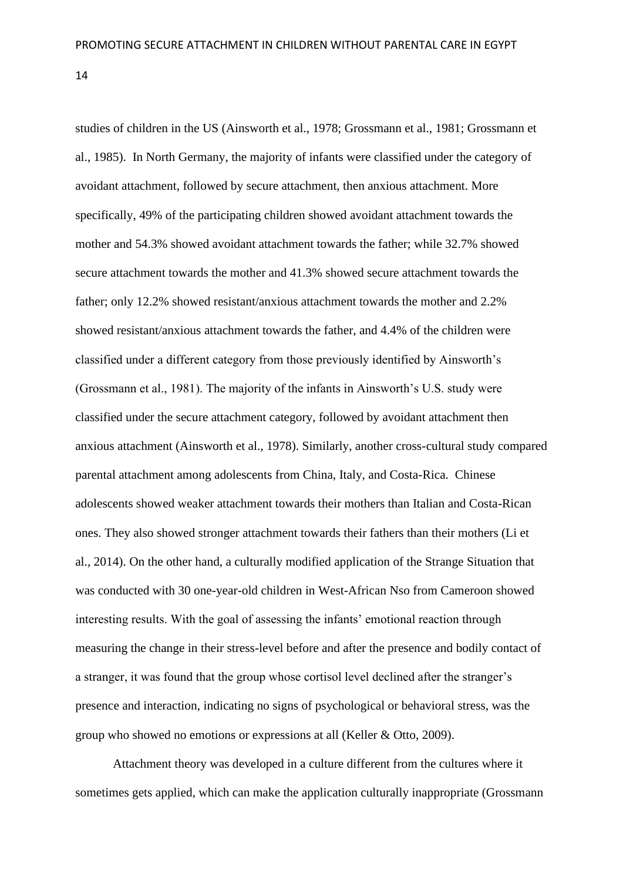studies of children in the US (Ainsworth et al., 1978; Grossmann et al., 1981; Grossmann et al., 1985). In North Germany, the majority of infants were classified under the category of avoidant attachment, followed by secure attachment, then anxious attachment. More specifically, 49% of the participating children showed avoidant attachment towards the mother and 54.3% showed avoidant attachment towards the father; while 32.7% showed secure attachment towards the mother and 41.3% showed secure attachment towards the father; only 12.2% showed resistant/anxious attachment towards the mother and 2.2% showed resistant/anxious attachment towards the father, and 4.4% of the children were classified under a different category from those previously identified by Ainsworth's (Grossmann et al., 1981). The majority of the infants in Ainsworth's U.S. study were classified under the secure attachment category, followed by avoidant attachment then anxious attachment (Ainsworth et al., 1978). Similarly, another cross-cultural study compared parental attachment among adolescents from China, Italy, and Costa-Rica. Chinese adolescents showed weaker attachment towards their mothers than Italian and Costa-Rican ones. They also showed stronger attachment towards their fathers than their mothers (Li et al., 2014). On the other hand, a culturally modified application of the Strange Situation that was conducted with 30 one-year-old children in West-African Nso from Cameroon showed interesting results. With the goal of assessing the infants' emotional reaction through measuring the change in their stress-level before and after the presence and bodily contact of a stranger, it was found that the group whose cortisol level declined after the stranger's presence and interaction, indicating no signs of psychological or behavioral stress, was the group who showed no emotions or expressions at all (Keller & Otto, 2009).

Attachment theory was developed in a culture different from the cultures where it sometimes gets applied, which can make the application culturally inappropriate (Grossmann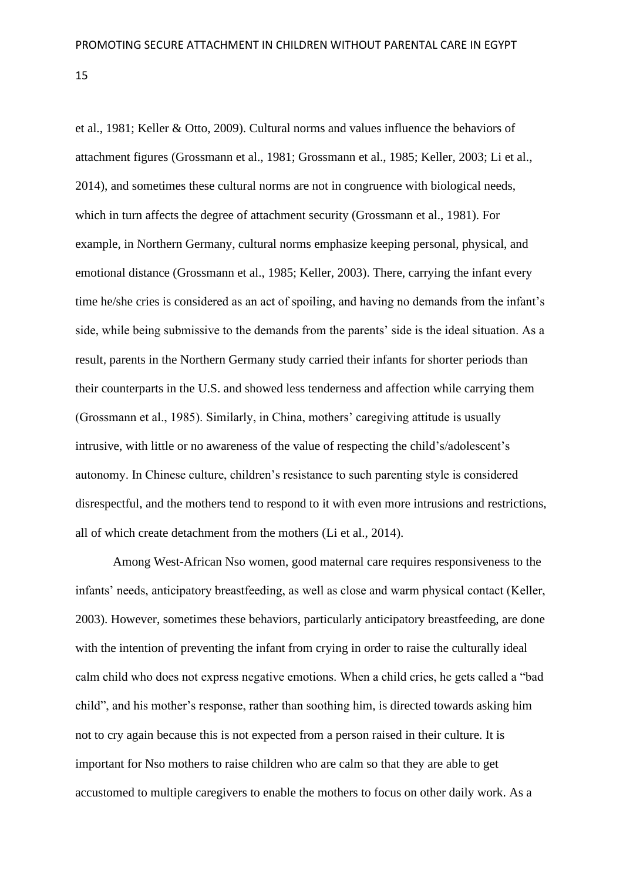et al., 1981; Keller & Otto, 2009). Cultural norms and values influence the behaviors of attachment figures (Grossmann et al., 1981; Grossmann et al., 1985; Keller, 2003; Li et al., 2014), and sometimes these cultural norms are not in congruence with biological needs, which in turn affects the degree of attachment security (Grossmann et al., 1981). For example, in Northern Germany, cultural norms emphasize keeping personal, physical, and emotional distance (Grossmann et al., 1985; Keller, 2003). There, carrying the infant every time he/she cries is considered as an act of spoiling, and having no demands from the infant's side, while being submissive to the demands from the parents' side is the ideal situation. As a result, parents in the Northern Germany study carried their infants for shorter periods than their counterparts in the U.S. and showed less tenderness and affection while carrying them (Grossmann et al., 1985). Similarly, in China, mothers' caregiving attitude is usually intrusive, with little or no awareness of the value of respecting the child's/adolescent's autonomy. In Chinese culture, children's resistance to such parenting style is considered disrespectful, and the mothers tend to respond to it with even more intrusions and restrictions, all of which create detachment from the mothers (Li et al., 2014).

Among West-African Nso women, good maternal care requires responsiveness to the infants' needs, anticipatory breastfeeding, as well as close and warm physical contact (Keller, 2003). However, sometimes these behaviors, particularly anticipatory breastfeeding, are done with the intention of preventing the infant from crying in order to raise the culturally ideal calm child who does not express negative emotions. When a child cries, he gets called a "bad child", and his mother's response, rather than soothing him, is directed towards asking him not to cry again because this is not expected from a person raised in their culture. It is important for Nso mothers to raise children who are calm so that they are able to get accustomed to multiple caregivers to enable the mothers to focus on other daily work. As a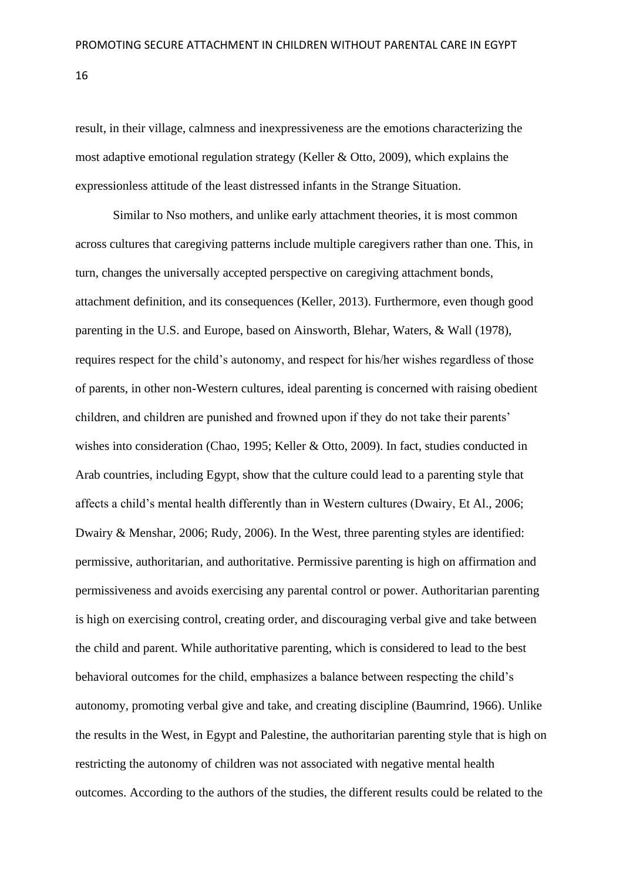result, in their village, calmness and inexpressiveness are the emotions characterizing the most adaptive emotional regulation strategy (Keller & Otto, 2009), which explains the expressionless attitude of the least distressed infants in the Strange Situation.

Similar to Nso mothers, and unlike early attachment theories, it is most common across cultures that caregiving patterns include multiple caregivers rather than one. This, in turn, changes the universally accepted perspective on caregiving attachment bonds, attachment definition, and its consequences (Keller, 2013). Furthermore, even though good parenting in the U.S. and Europe, based on Ainsworth, Blehar, Waters, & Wall (1978), requires respect for the child's autonomy, and respect for his/her wishes regardless of those of parents, in other non-Western cultures, ideal parenting is concerned with raising obedient children, and children are punished and frowned upon if they do not take their parents' wishes into consideration (Chao, 1995; Keller & Otto, 2009). In fact, studies conducted in Arab countries, including Egypt, show that the culture could lead to a parenting style that affects a child's mental health differently than in Western cultures (Dwairy, Et Al., 2006; Dwairy & Menshar, 2006; Rudy, 2006). In the West, three parenting styles are identified: permissive, authoritarian, and authoritative. Permissive parenting is high on affirmation and permissiveness and avoids exercising any parental control or power. Authoritarian parenting is high on exercising control, creating order, and discouraging verbal give and take between the child and parent. While authoritative parenting, which is considered to lead to the best behavioral outcomes for the child, emphasizes a balance between respecting the child's autonomy, promoting verbal give and take, and creating discipline (Baumrind, 1966). Unlike the results in the West, in Egypt and Palestine, the authoritarian parenting style that is high on restricting the autonomy of children was not associated with negative mental health outcomes. According to the authors of the studies, the different results could be related to the

16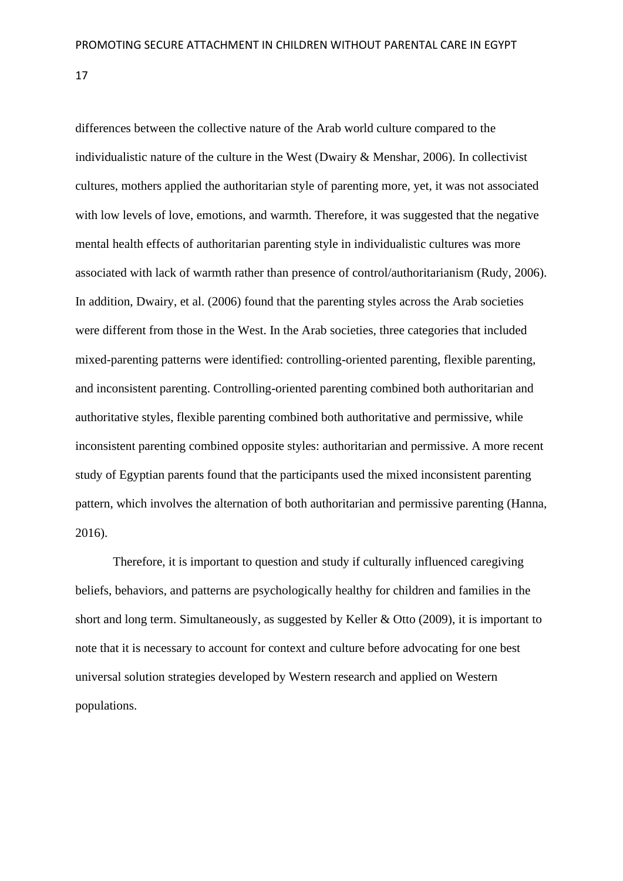differences between the collective nature of the Arab world culture compared to the individualistic nature of the culture in the West (Dwairy & Menshar, 2006). In collectivist cultures, mothers applied the authoritarian style of parenting more, yet, it was not associated with low levels of love, emotions, and warmth. Therefore, it was suggested that the negative mental health effects of authoritarian parenting style in individualistic cultures was more associated with lack of warmth rather than presence of control/authoritarianism (Rudy, 2006). In addition, Dwairy, et al. (2006) found that the parenting styles across the Arab societies were different from those in the West. In the Arab societies, three categories that included mixed-parenting patterns were identified: controlling-oriented parenting, flexible parenting, and inconsistent parenting. Controlling-oriented parenting combined both authoritarian and authoritative styles, flexible parenting combined both authoritative and permissive, while inconsistent parenting combined opposite styles: authoritarian and permissive. A more recent study of Egyptian parents found that the participants used the mixed inconsistent parenting pattern, which involves the alternation of both authoritarian and permissive parenting (Hanna, 2016).

Therefore, it is important to question and study if culturally influenced caregiving beliefs, behaviors, and patterns are psychologically healthy for children and families in the short and long term. Simultaneously, as suggested by Keller & Otto (2009), it is important to note that it is necessary to account for context and culture before advocating for one best universal solution strategies developed by Western research and applied on Western populations.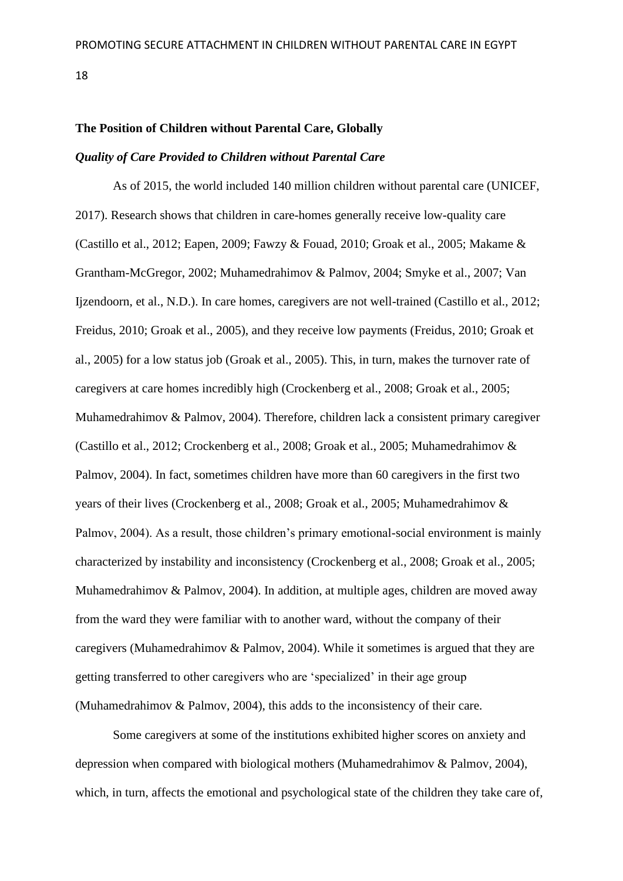#### <span id="page-18-0"></span>**The Position of Children without Parental Care, Globally**

### <span id="page-18-1"></span>*Quality of Care Provided to Children without Parental Care*

As of 2015, the world included 140 million children without parental care (UNICEF, 2017). Research shows that children in care-homes generally receive low-quality care (Castillo et al., 2012; Eapen, 2009; Fawzy & Fouad, 2010; Groak et al., 2005; Makame & Grantham-McGregor, 2002; Muhamedrahimov & Palmov, 2004; Smyke et al., 2007; Van Ijzendoorn, et al., N.D.). In care homes, caregivers are not well-trained (Castillo et al., 2012; Freidus, 2010; Groak et al., 2005), and they receive low payments (Freidus, 2010; Groak et al., 2005) for a low status job (Groak et al., 2005). This, in turn, makes the turnover rate of caregivers at care homes incredibly high (Crockenberg et al., 2008; Groak et al., 2005; Muhamedrahimov & Palmov, 2004). Therefore, children lack a consistent primary caregiver (Castillo et al., 2012; Crockenberg et al., 2008; Groak et al., 2005; Muhamedrahimov & Palmov, 2004). In fact, sometimes children have more than 60 caregivers in the first two years of their lives (Crockenberg et al., 2008; Groak et al., 2005; Muhamedrahimov & Palmov, 2004). As a result, those children's primary emotional-social environment is mainly characterized by instability and inconsistency (Crockenberg et al., 2008; Groak et al., 2005; Muhamedrahimov & Palmov, 2004). In addition, at multiple ages, children are moved away from the ward they were familiar with to another ward, without the company of their caregivers (Muhamedrahimov & Palmov, 2004). While it sometimes is argued that they are getting transferred to other caregivers who are 'specialized' in their age group (Muhamedrahimov & Palmov, 2004), this adds to the inconsistency of their care.

Some caregivers at some of the institutions exhibited higher scores on anxiety and depression when compared with biological mothers (Muhamedrahimov & Palmov, 2004), which, in turn, affects the emotional and psychological state of the children they take care of,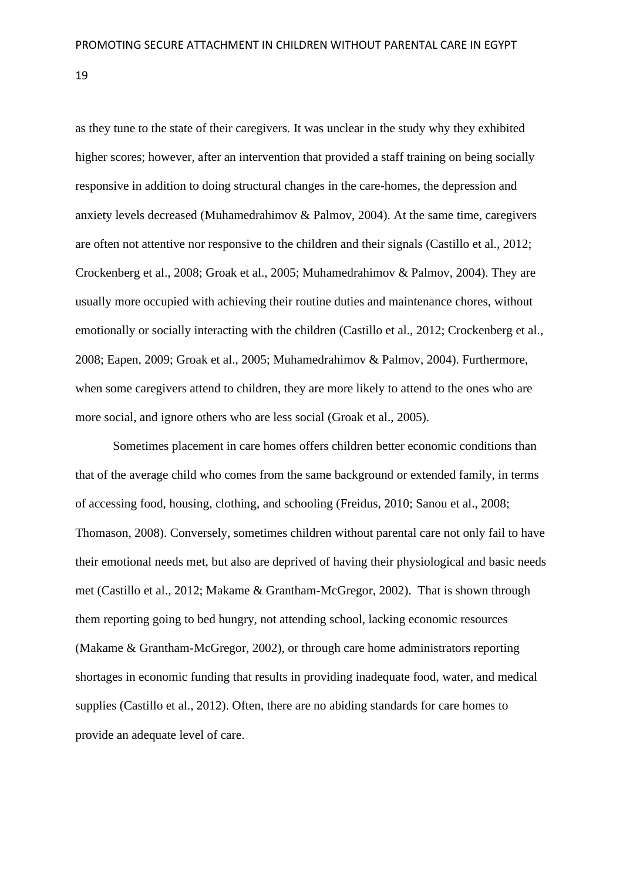as they tune to the state of their caregivers. It was unclear in the study why they exhibited higher scores; however, after an intervention that provided a staff training on being socially responsive in addition to doing structural changes in the care-homes, the depression and anxiety levels decreased (Muhamedrahimov & Palmov, 2004). At the same time, caregivers are often not attentive nor responsive to the children and their signals (Castillo et al., 2012; Crockenberg et al., 2008; Groak et al., 2005; Muhamedrahimov & Palmov, 2004). They are usually more occupied with achieving their routine duties and maintenance chores, without emotionally or socially interacting with the children (Castillo et al., 2012; Crockenberg et al., 2008; Eapen, 2009; Groak et al., 2005; Muhamedrahimov & Palmov, 2004). Furthermore, when some caregivers attend to children, they are more likely to attend to the ones who are more social, and ignore others who are less social (Groak et al., 2005).

Sometimes placement in care homes offers children better economic conditions than that of the average child who comes from the same background or extended family, in terms of accessing food, housing, clothing, and schooling (Freidus, 2010; Sanou et al., 2008; Thomason, 2008). Conversely, sometimes children without parental care not only fail to have their emotional needs met, but also are deprived of having their physiological and basic needs met (Castillo et al., 2012; Makame & Grantham-McGregor, 2002). That is shown through them reporting going to bed hungry, not attending school, lacking economic resources (Makame & Grantham-McGregor, 2002), or through care home administrators reporting shortages in economic funding that results in providing inadequate food, water, and medical supplies (Castillo et al., 2012). Often, there are no abiding standards for care homes to provide an adequate level of care.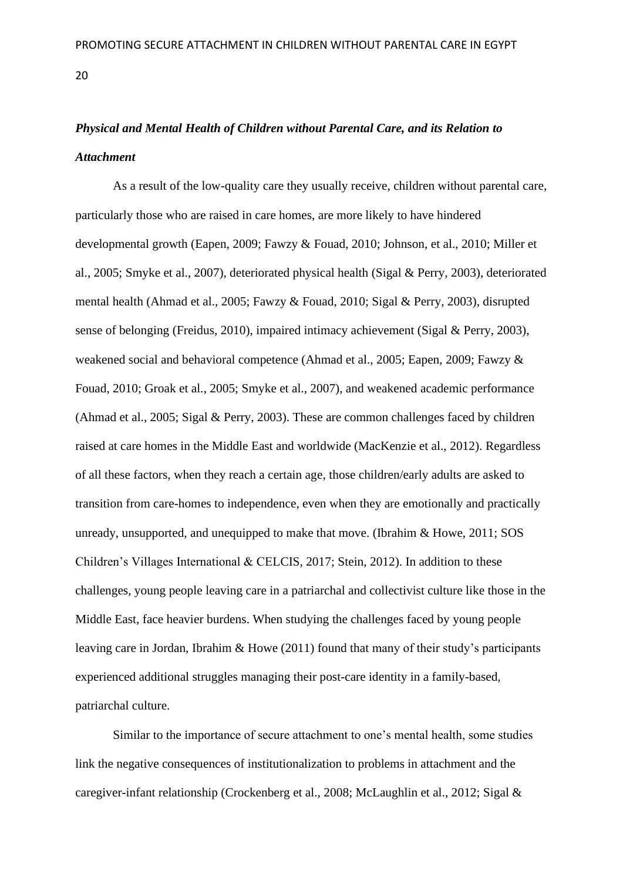# <span id="page-20-0"></span>*Physical and Mental Health of Children without Parental Care, and its Relation to Attachment*

As a result of the low-quality care they usually receive, children without parental care, particularly those who are raised in care homes, are more likely to have hindered developmental growth (Eapen, 2009; Fawzy & Fouad, 2010; Johnson, et al., 2010; Miller et al., 2005; Smyke et al., 2007), deteriorated physical health (Sigal & Perry, 2003), deteriorated mental health (Ahmad et al., 2005; Fawzy & Fouad, 2010; Sigal & Perry, 2003), disrupted sense of belonging (Freidus, 2010), impaired intimacy achievement (Sigal & Perry, 2003), weakened social and behavioral competence (Ahmad et al., 2005; Eapen, 2009; Fawzy & Fouad, 2010; Groak et al., 2005; Smyke et al., 2007), and weakened academic performance (Ahmad et al., 2005; Sigal & Perry, 2003). These are common challenges faced by children raised at care homes in the Middle East and worldwide (MacKenzie et al., 2012). Regardless of all these factors, when they reach a certain age, those children/early adults are asked to transition from care-homes to independence, even when they are emotionally and practically unready, unsupported, and unequipped to make that move. (Ibrahim & Howe, 2011; SOS Children's Villages International & CELCIS, 2017; Stein, 2012). In addition to these challenges, young people leaving care in a patriarchal and collectivist culture like those in the Middle East, face heavier burdens. When studying the challenges faced by young people leaving care in Jordan, Ibrahim & Howe (2011) found that many of their study's participants experienced additional struggles managing their post-care identity in a family-based, patriarchal culture.

Similar to the importance of secure attachment to one's mental health, some studies link the negative consequences of institutionalization to problems in attachment and the caregiver-infant relationship (Crockenberg et al., 2008; McLaughlin et al., 2012; Sigal &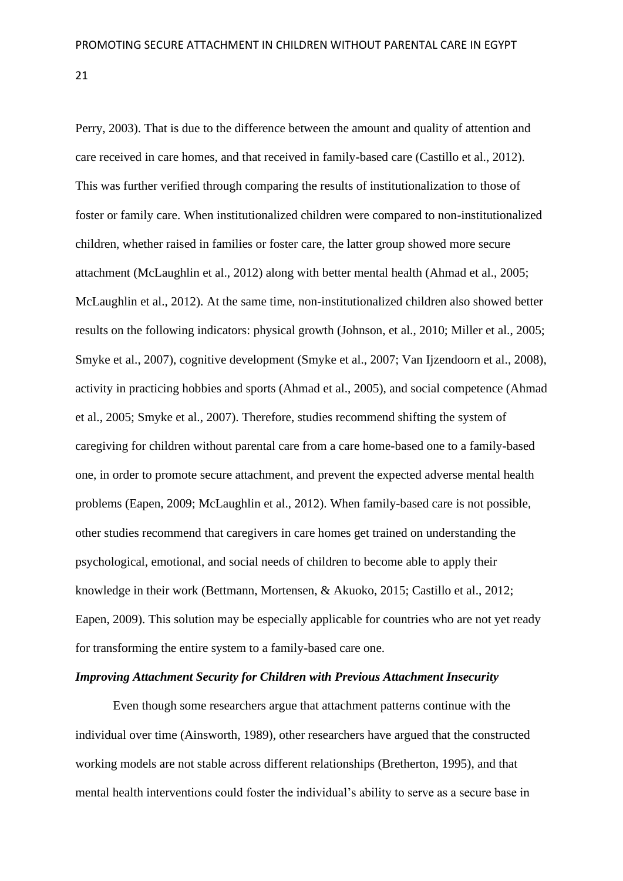Perry, 2003). That is due to the difference between the amount and quality of attention and care received in care homes, and that received in family-based care (Castillo et al., 2012). This was further verified through comparing the results of institutionalization to those of foster or family care. When institutionalized children were compared to non-institutionalized children, whether raised in families or foster care, the latter group showed more secure attachment (McLaughlin et al., 2012) along with better mental health (Ahmad et al., 2005; McLaughlin et al., 2012). At the same time, non-institutionalized children also showed better results on the following indicators: physical growth (Johnson, et al., 2010; Miller et al., 2005; Smyke et al., 2007), cognitive development (Smyke et al., 2007; Van Ijzendoorn et al., 2008), activity in practicing hobbies and sports (Ahmad et al., 2005), and social competence (Ahmad et al., 2005; Smyke et al., 2007). Therefore, studies recommend shifting the system of caregiving for children without parental care from a care home-based one to a family-based one, in order to promote secure attachment, and prevent the expected adverse mental health problems (Eapen, 2009; McLaughlin et al., 2012). When family-based care is not possible, other studies recommend that caregivers in care homes get trained on understanding the psychological, emotional, and social needs of children to become able to apply their knowledge in their work (Bettmann, Mortensen, & Akuoko, 2015; Castillo et al., 2012; Eapen, 2009). This solution may be especially applicable for countries who are not yet ready for transforming the entire system to a family-based care one.

### <span id="page-21-0"></span>*Improving Attachment Security for Children with Previous Attachment Insecurity*

Even though some researchers argue that attachment patterns continue with the individual over time (Ainsworth, 1989), other researchers have argued that the constructed working models are not stable across different relationships (Bretherton, 1995), and that mental health interventions could foster the individual's ability to serve as a secure base in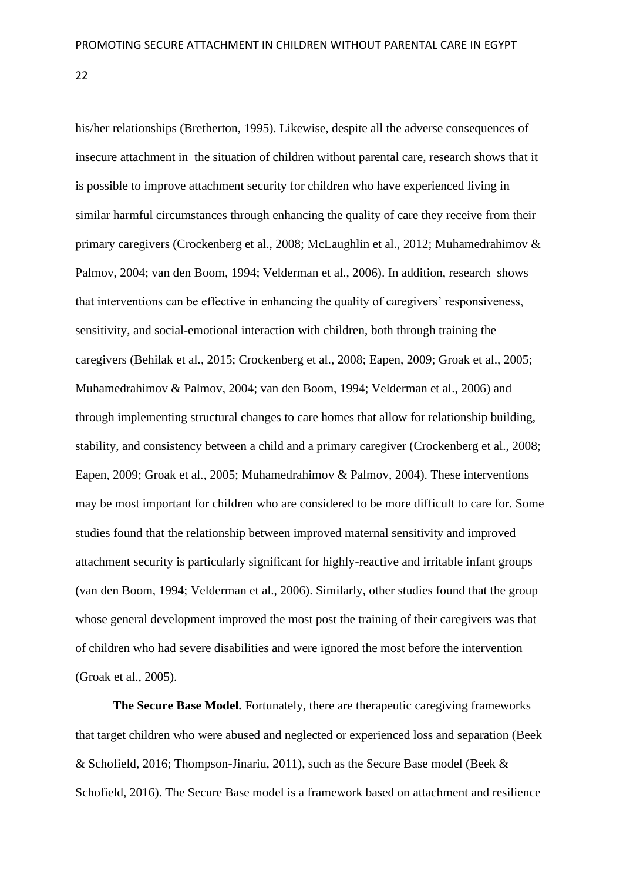his/her relationships (Bretherton, 1995). Likewise, despite all the adverse consequences of insecure attachment in the situation of children without parental care, research shows that it is possible to improve attachment security for children who have experienced living in similar harmful circumstances through enhancing the quality of care they receive from their primary caregivers (Crockenberg et al., 2008; McLaughlin et al., 2012; Muhamedrahimov & Palmov, 2004; van den Boom, 1994; Velderman et al., 2006). In addition, research shows that interventions can be effective in enhancing the quality of caregivers' responsiveness, sensitivity, and social-emotional interaction with children, both through training the caregivers (Behilak et al., 2015; Crockenberg et al., 2008; Eapen, 2009; Groak et al., 2005; Muhamedrahimov & Palmov, 2004; van den Boom, 1994; Velderman et al., 2006) and through implementing structural changes to care homes that allow for relationship building, stability, and consistency between a child and a primary caregiver (Crockenberg et al., 2008; Eapen, 2009; Groak et al., 2005; Muhamedrahimov & Palmov, 2004). These interventions may be most important for children who are considered to be more difficult to care for. Some studies found that the relationship between improved maternal sensitivity and improved attachment security is particularly significant for highly-reactive and irritable infant groups (van den Boom, 1994; Velderman et al., 2006). Similarly, other studies found that the group whose general development improved the most post the training of their caregivers was that of children who had severe disabilities and were ignored the most before the intervention (Groak et al., 2005).

**The Secure Base Model.** Fortunately, there are therapeutic caregiving frameworks that target children who were abused and neglected or experienced loss and separation (Beek & Schofield, 2016; Thompson-Jinariu, 2011), such as the Secure Base model (Beek & Schofield, 2016). The Secure Base model is a framework based on attachment and resilience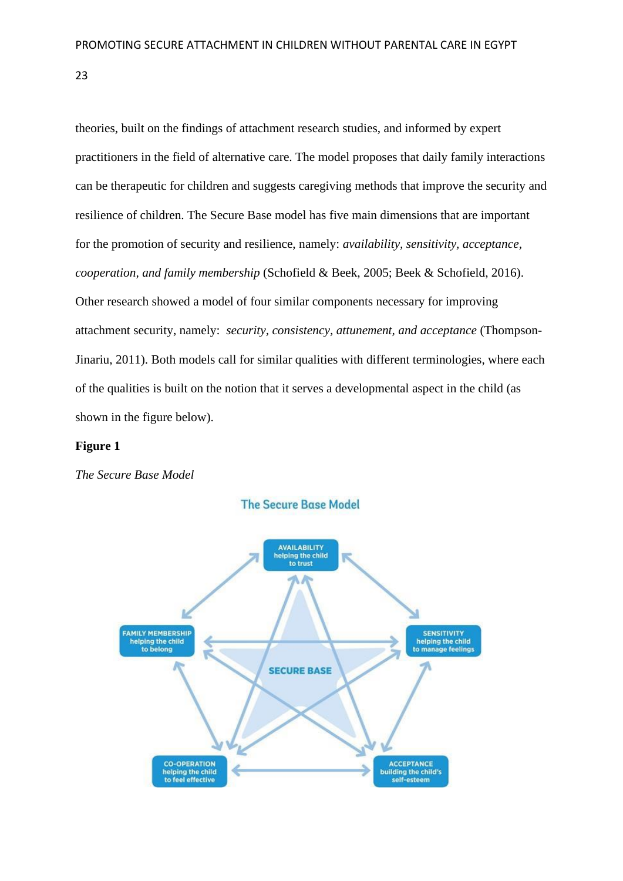theories, built on the findings of attachment research studies, and informed by expert practitioners in the field of alternative care. The model proposes that daily family interactions can be therapeutic for children and suggests caregiving methods that improve the security and resilience of children. The Secure Base model has five main dimensions that are important for the promotion of security and resilience, namely: *availability, sensitivity, acceptance, cooperation, and family membership* (Schofield & Beek, 2005; Beek & Schofield, 2016). Other research showed a model of four similar components necessary for improving attachment security, namely: *security, consistency, attunement, and acceptance* (Thompson-Jinariu, 2011). Both models call for similar qualities with different terminologies, where each of the qualities is built on the notion that it serves a developmental aspect in the child (as shown in the figure below).

### **Figure 1**

*The Secure Base Model*



**The Secure Base Model**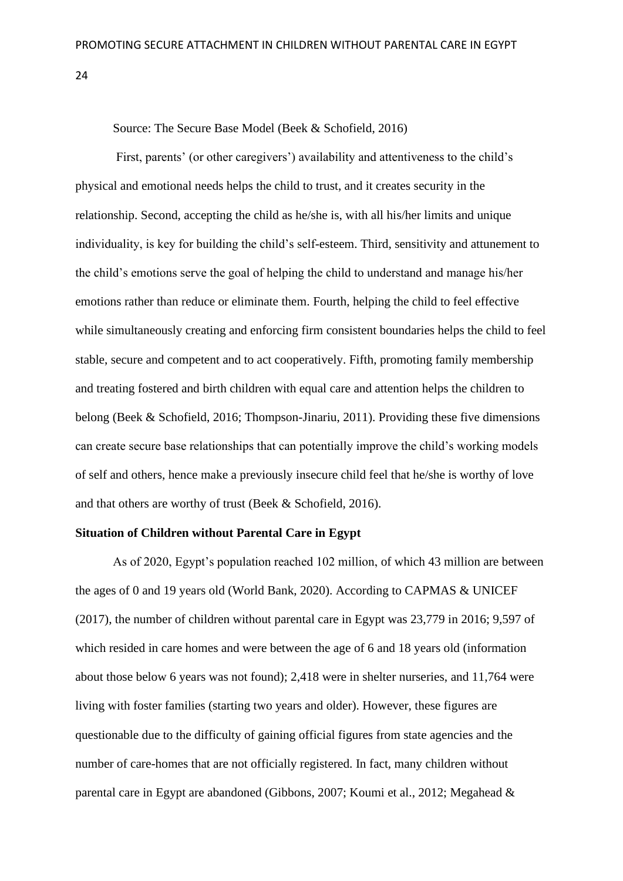Source: The Secure Base Model (Beek & Schofield, 2016)

First, parents' (or other caregivers') availability and attentiveness to the child's physical and emotional needs helps the child to trust, and it creates security in the relationship. Second, accepting the child as he/she is, with all his/her limits and unique individuality, is key for building the child's self-esteem. Third, sensitivity and attunement to the child's emotions serve the goal of helping the child to understand and manage his/her emotions rather than reduce or eliminate them. Fourth, helping the child to feel effective while simultaneously creating and enforcing firm consistent boundaries helps the child to feel stable, secure and competent and to act cooperatively. Fifth, promoting family membership and treating fostered and birth children with equal care and attention helps the children to belong (Beek & Schofield, 2016; Thompson-Jinariu, 2011). Providing these five dimensions can create secure base relationships that can potentially improve the child's working models of self and others, hence make a previously insecure child feel that he/she is worthy of love and that others are worthy of trust (Beek & Schofield, 2016).

# <span id="page-24-0"></span>**Situation of Children without Parental Care in Egypt**

As of 2020, Egypt's population reached 102 million, of which 43 million are between the ages of 0 and 19 years old (World Bank, 2020). According to CAPMAS & UNICEF (2017), the number of children without parental care in Egypt was 23,779 in 2016; 9,597 of which resided in care homes and were between the age of 6 and 18 years old (information about those below 6 years was not found); 2,418 were in shelter nurseries, and 11,764 were living with foster families (starting two years and older). However, these figures are questionable due to the difficulty of gaining official figures from state agencies and the number of care-homes that are not officially registered. In fact, many children without parental care in Egypt are abandoned (Gibbons, 2007; Koumi et al., 2012; Megahead &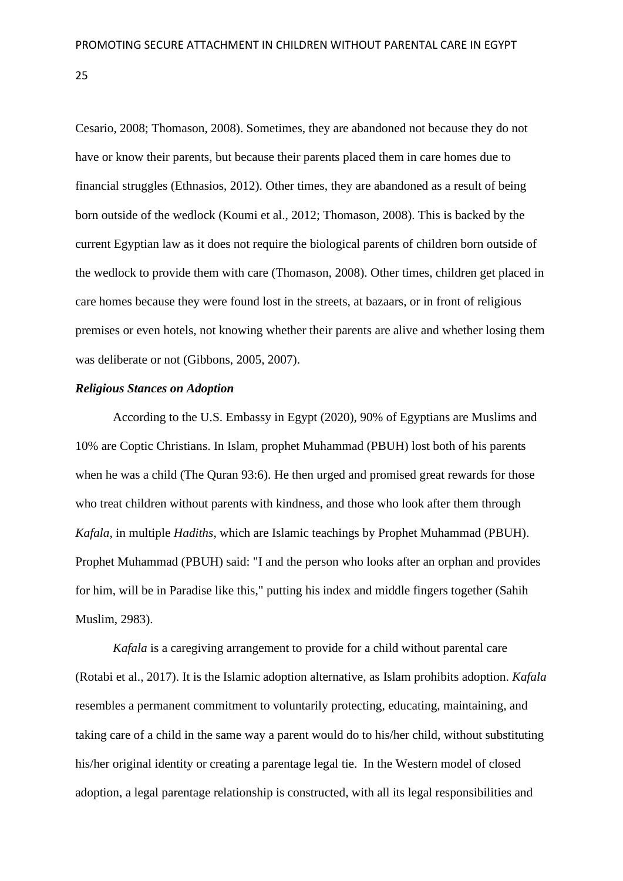Cesario, 2008; Thomason, 2008). Sometimes, they are abandoned not because they do not have or know their parents, but because their parents placed them in care homes due to financial struggles (Ethnasios, 2012). Other times, they are abandoned as a result of being born outside of the wedlock (Koumi et al., 2012; Thomason, 2008). This is backed by the current Egyptian law as it does not require the biological parents of children born outside of the wedlock to provide them with care (Thomason, 2008). Other times, children get placed in care homes because they were found lost in the streets, at bazaars, or in front of religious premises or even hotels, not knowing whether their parents are alive and whether losing them was deliberate or not (Gibbons, 2005, 2007).

### <span id="page-25-0"></span>*Religious Stances on Adoption*

According to the U.S. Embassy in Egypt (2020), 90% of Egyptians are Muslims and 10% are Coptic Christians. In Islam, prophet Muhammad (PBUH) lost both of his parents when he was a child (The Quran 93:6). He then urged and promised great rewards for those who treat children without parents with kindness, and those who look after them through *Kafala,* in multiple *Hadiths*, which are Islamic teachings by Prophet Muhammad (PBUH). Prophet Muhammad (PBUH) said: "I and the person who looks after an orphan and provides for him, will be in Paradise like this," putting his index and middle fingers together (Sahih Muslim, 2983).

*Kafala* is a caregiving arrangement to provide for a child without parental care (Rotabi et al., 2017). It is the Islamic adoption alternative, as Islam prohibits adoption. *Kafala* resembles a permanent commitment to voluntarily protecting, educating, maintaining, and taking care of a child in the same way a parent would do to his/her child, without substituting his/her original identity or creating a parentage legal tie. In the Western model of closed adoption, a legal parentage relationship is constructed, with all its legal responsibilities and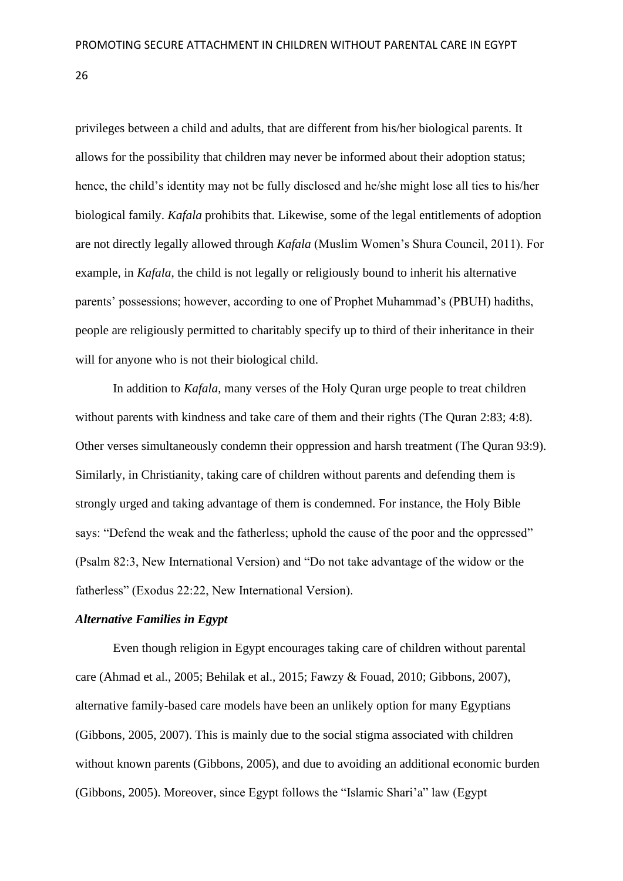privileges between a child and adults, that are different from his/her biological parents. It allows for the possibility that children may never be informed about their adoption status; hence, the child's identity may not be fully disclosed and he/she might lose all ties to his/her biological family. *Kafala* prohibits that. Likewise, some of the legal entitlements of adoption are not directly legally allowed through *Kafala* (Muslim Women's Shura Council, 2011). For example, in *Kafala*, the child is not legally or religiously bound to inherit his alternative parents' possessions; however, according to one of Prophet Muhammad's (PBUH) hadiths, people are religiously permitted to charitably specify up to third of their inheritance in their will for anyone who is not their biological child.

In addition to *Kafala*, many verses of the Holy Quran urge people to treat children without parents with kindness and take care of them and their rights (The Quran 2:83; 4:8). Other verses simultaneously condemn their oppression and harsh treatment (The Quran 93:9). Similarly, in Christianity, taking care of children without parents and defending them is strongly urged and taking advantage of them is condemned. For instance, the Holy Bible says: "Defend the weak and the fatherless; uphold the cause of the poor and the oppressed" (Psalm 82:3, New International Version) and "Do not take advantage of the widow or the fatherless" (Exodus 22:22, New International Version).

# <span id="page-26-0"></span>*Alternative Families in Egypt*

Even though religion in Egypt encourages taking care of children without parental care (Ahmad et al., 2005; Behilak et al., 2015; Fawzy & Fouad, 2010; Gibbons, 2007), alternative family-based care models have been an unlikely option for many Egyptians (Gibbons, 2005, 2007). This is mainly due to the social stigma associated with children without known parents (Gibbons, 2005), and due to avoiding an additional economic burden (Gibbons, 2005). Moreover, since Egypt follows the "Islamic Shari'a" law (Egypt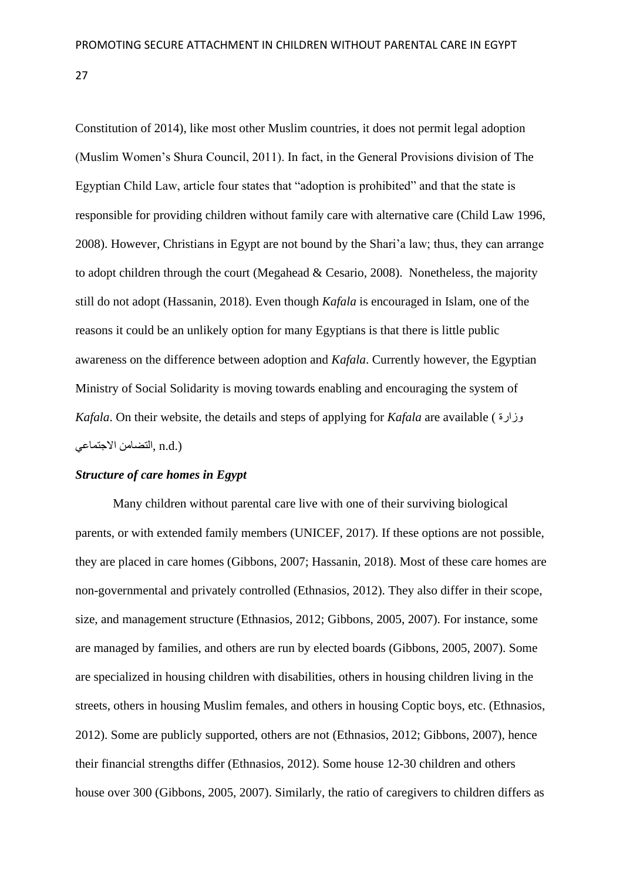Constitution of 2014), like most other Muslim countries, it does not permit legal adoption (Muslim Women's Shura Council, 2011). In fact, in the General Provisions division of The Egyptian Child Law, article four states that "adoption is prohibited" and that the state is responsible for providing children without family care with alternative care (Child Law 1996, 2008). However, Christians in Egypt are not bound by the Shari'a law; thus, they can arrange to adopt children through the court (Megahead & Cesario, 2008). Nonetheless, the majority still do not adopt (Hassanin, 2018). Even though *Kafala* is encouraged in Islam, one of the reasons it could be an unlikely option for many Egyptians is that there is little public awareness on the difference between adoption and *Kafala*. Currently however, the Egyptian Ministry of Social Solidarity is moving towards enabling and encouraging the system of *Kafala*. On their website, the details and steps of applying for *Kafala* are available ( وزارة (.d.n ,التضامن االجتماعي

# <span id="page-27-0"></span>*Structure of care homes in Egypt*

Many children without parental care live with one of their surviving biological parents, or with extended family members (UNICEF, 2017). If these options are not possible, they are placed in care homes (Gibbons, 2007; Hassanin, 2018). Most of these care homes are non-governmental and privately controlled (Ethnasios, 2012). They also differ in their scope, size, and management structure (Ethnasios, 2012; Gibbons, 2005, 2007). For instance, some are managed by families, and others are run by elected boards (Gibbons, 2005, 2007). Some are specialized in housing children with disabilities, others in housing children living in the streets, others in housing Muslim females, and others in housing Coptic boys, etc. (Ethnasios, 2012). Some are publicly supported, others are not (Ethnasios, 2012; Gibbons, 2007), hence their financial strengths differ (Ethnasios, 2012). Some house 12-30 children and others house over 300 (Gibbons, 2005, 2007). Similarly, the ratio of caregivers to children differs as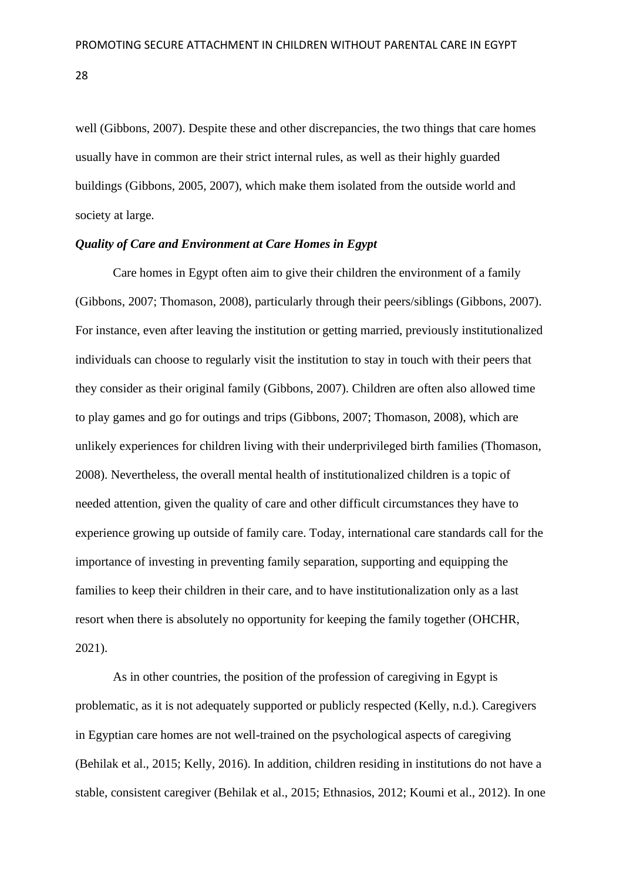well (Gibbons, 2007). Despite these and other discrepancies, the two things that care homes usually have in common are their strict internal rules, as well as their highly guarded buildings (Gibbons, 2005, 2007), which make them isolated from the outside world and society at large.

### <span id="page-28-0"></span>*Quality of Care and Environment at Care Homes in Egypt*

Care homes in Egypt often aim to give their children the environment of a family (Gibbons, 2007; Thomason, 2008), particularly through their peers/siblings (Gibbons, 2007). For instance, even after leaving the institution or getting married, previously institutionalized individuals can choose to regularly visit the institution to stay in touch with their peers that they consider as their original family (Gibbons, 2007). Children are often also allowed time to play games and go for outings and trips (Gibbons, 2007; Thomason, 2008), which are unlikely experiences for children living with their underprivileged birth families (Thomason, 2008). Nevertheless, the overall mental health of institutionalized children is a topic of needed attention, given the quality of care and other difficult circumstances they have to experience growing up outside of family care. Today, international care standards call for the importance of investing in preventing family separation, supporting and equipping the families to keep their children in their care, and to have institutionalization only as a last resort when there is absolutely no opportunity for keeping the family together (OHCHR, 2021).

As in other countries, the position of the profession of caregiving in Egypt is problematic, as it is not adequately supported or publicly respected (Kelly, n.d.). Caregivers in Egyptian care homes are not well-trained on the psychological aspects of caregiving (Behilak et al., 2015; Kelly, 2016). In addition, children residing in institutions do not have a stable, consistent caregiver (Behilak et al., 2015; Ethnasios, 2012; Koumi et al., 2012). In one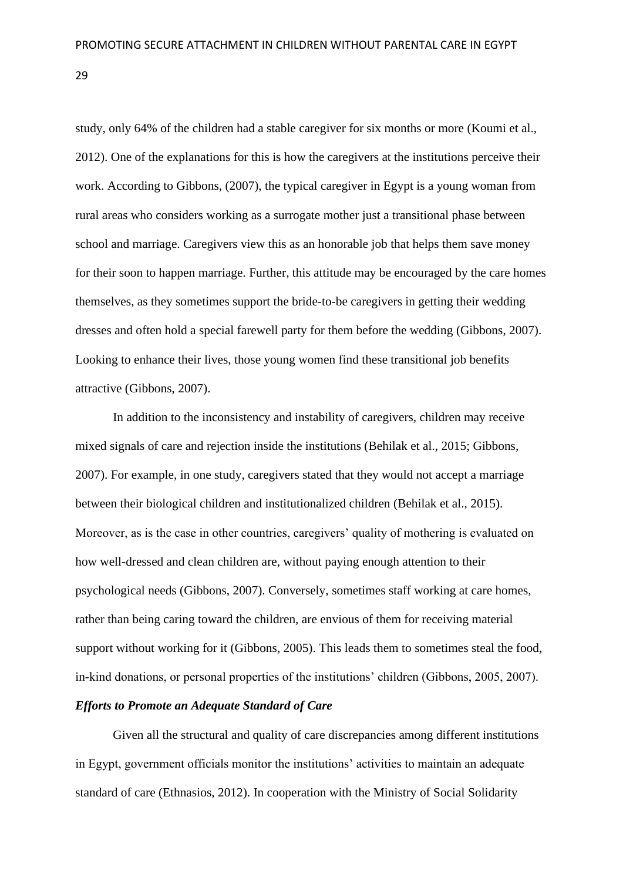study, only 64% of the children had a stable caregiver for six months or more (Koumi et al., 2012). One of the explanations for this is how the caregivers at the institutions perceive their work. According to Gibbons, (2007), the typical caregiver in Egypt is a young woman from rural areas who considers working as a surrogate mother just a transitional phase between school and marriage. Caregivers view this as an honorable job that helps them save money for their soon to happen marriage. Further, this attitude may be encouraged by the care homes themselves, as they sometimes support the bride-to-be caregivers in getting their wedding dresses and often hold a special farewell party for them before the wedding (Gibbons, 2007). Looking to enhance their lives, those young women find these transitional job benefits attractive (Gibbons, 2007).

In addition to the inconsistency and instability of caregivers, children may receive mixed signals of care and rejection inside the institutions (Behilak et al., 2015; Gibbons, 2007). For example, in one study, caregivers stated that they would not accept a marriage between their biological children and institutionalized children (Behilak et al., 2015). Moreover, as is the case in other countries, caregivers' quality of mothering is evaluated on how well-dressed and clean children are, without paying enough attention to their psychological needs (Gibbons, 2007). Conversely, sometimes staff working at care homes, rather than being caring toward the children, are envious of them for receiving material support without working for it (Gibbons, 2005). This leads them to sometimes steal the food, in-kind donations, or personal properties of the institutions' children (Gibbons, 2005, 2007).

# <span id="page-29-0"></span>*Efforts to Promote an Adequate Standard of Care*

Given all the structural and quality of care discrepancies among different institutions in Egypt, government officials monitor the institutions' activities to maintain an adequate standard of care (Ethnasios, 2012). In cooperation with the Ministry of Social Solidarity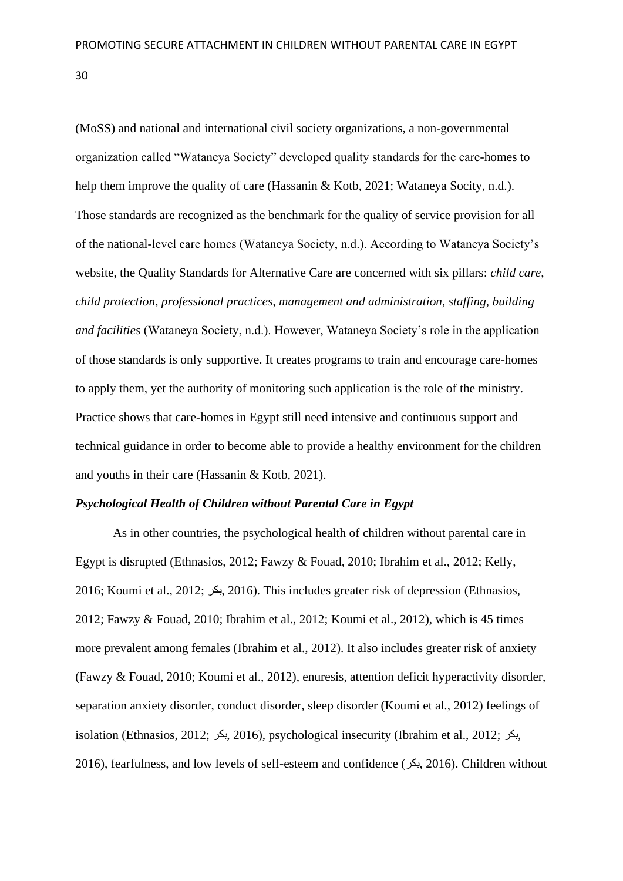(MoSS) and national and international civil society organizations, a non-governmental organization called "Wataneya Society" developed quality standards for the care-homes to help them improve the quality of care (Hassanin & Kotb, 2021; Wataneya Socity, n.d.). Those standards are recognized as the benchmark for the quality of service provision for all of the national-level care homes (Wataneya Society, n.d.). According to Wataneya Society's website, the Quality Standards for Alternative Care are concerned with six pillars: *child care*, *child protection*, *professional practices, management and administration, staffing, building and facilities* (Wataneya Society, n.d.). However, Wataneya Society's role in the application of those standards is only supportive. It creates programs to train and encourage care-homes to apply them, yet the authority of monitoring such application is the role of the ministry. Practice shows that care-homes in Egypt still need intensive and continuous support and technical guidance in order to become able to provide a healthy environment for the children and youths in their care (Hassanin & Kotb, 2021).

### <span id="page-30-0"></span>*Psychological Health of Children without Parental Care in Egypt*

As in other countries, the psychological health of children without parental care in Egypt is disrupted (Ethnasios, 2012; Fawzy & Fouad, 2010; Ibrahim et al., 2012; Kelly, 2016; Koumi et al., 2012; بكر, 2016(. This includes greater risk of depression (Ethnasios, 2012; Fawzy & Fouad, 2010; Ibrahim et al., 2012; Koumi et al., 2012), which is 45 times more prevalent among females (Ibrahim et al., 2012). It also includes greater risk of anxiety (Fawzy & Fouad, 2010; Koumi et al., 2012), enuresis, attention deficit hyperactivity disorder, separation anxiety disorder, conduct disorder, sleep disorder (Koumi et al., 2012) feelings of isolation (Ethnasios, 2012; بكر, 2016(, psychological insecurity (Ibrahim et al., 2012; بكر, 2016), fearfulness, and low levels of self-esteem and confidence (بكر, 2016(. Children without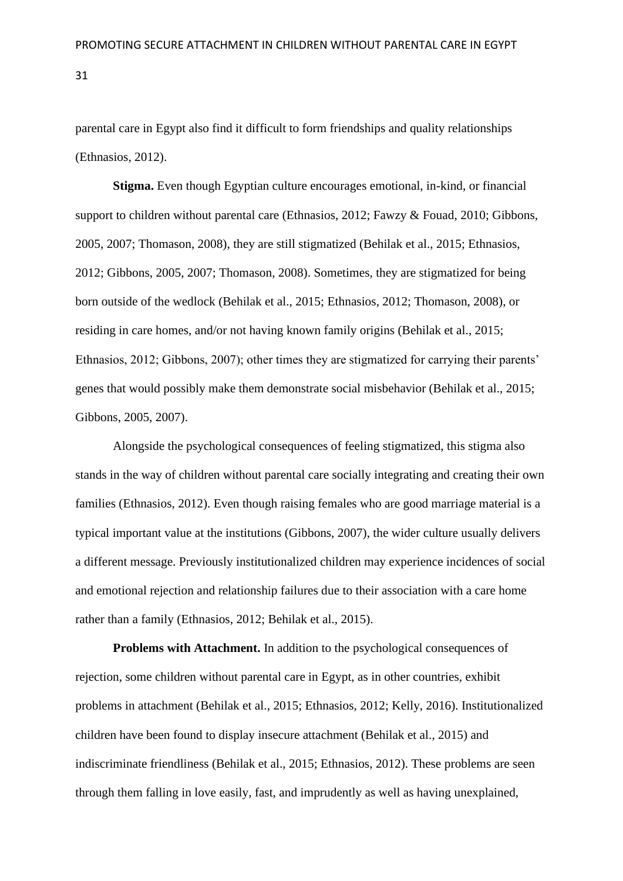parental care in Egypt also find it difficult to form friendships and quality relationships (Ethnasios, 2012).

**Stigma.** Even though Egyptian culture encourages emotional, in-kind, or financial support to children without parental care (Ethnasios, 2012; Fawzy & Fouad, 2010; Gibbons, 2005, 2007; Thomason, 2008), they are still stigmatized (Behilak et al., 2015; Ethnasios, 2012; Gibbons, 2005, 2007; Thomason, 2008). Sometimes, they are stigmatized for being born outside of the wedlock (Behilak et al., 2015; Ethnasios, 2012; Thomason, 2008), or residing in care homes, and/or not having known family origins (Behilak et al., 2015; Ethnasios, 2012; Gibbons, 2007); other times they are stigmatized for carrying their parents' genes that would possibly make them demonstrate social misbehavior (Behilak et al., 2015; Gibbons, 2005, 2007).

Alongside the psychological consequences of feeling stigmatized, this stigma also stands in the way of children without parental care socially integrating and creating their own families (Ethnasios, 2012). Even though raising females who are good marriage material is a typical important value at the institutions (Gibbons, 2007), the wider culture usually delivers a different message. Previously institutionalized children may experience incidences of social and emotional rejection and relationship failures due to their association with a care home rather than a family (Ethnasios, 2012; Behilak et al., 2015).

**Problems with Attachment.** In addition to the psychological consequences of rejection, some children without parental care in Egypt, as in other countries, exhibit problems in attachment (Behilak et al., 2015; Ethnasios, 2012; Kelly, 2016). Institutionalized children have been found to display insecure attachment (Behilak et al., 2015) and indiscriminate friendliness (Behilak et al., 2015; Ethnasios, 2012). These problems are seen through them falling in love easily, fast, and imprudently as well as having unexplained,

31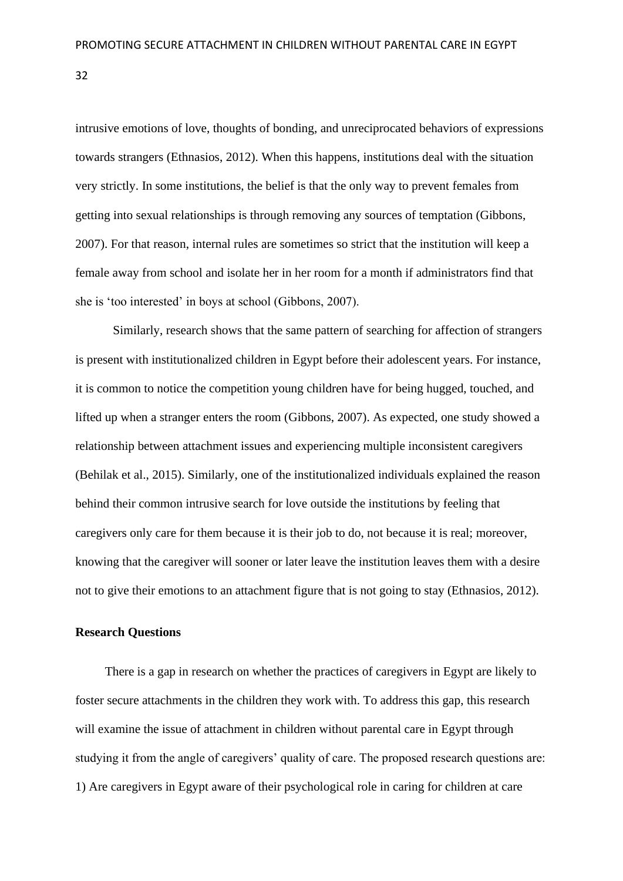intrusive emotions of love, thoughts of bonding, and unreciprocated behaviors of expressions towards strangers (Ethnasios, 2012). When this happens, institutions deal with the situation very strictly. In some institutions, the belief is that the only way to prevent females from getting into sexual relationships is through removing any sources of temptation (Gibbons, 2007). For that reason, internal rules are sometimes so strict that the institution will keep a female away from school and isolate her in her room for a month if administrators find that she is 'too interested' in boys at school (Gibbons, 2007).

Similarly, research shows that the same pattern of searching for affection of strangers is present with institutionalized children in Egypt before their adolescent years. For instance, it is common to notice the competition young children have for being hugged, touched, and lifted up when a stranger enters the room (Gibbons, 2007). As expected, one study showed a relationship between attachment issues and experiencing multiple inconsistent caregivers (Behilak et al., 2015). Similarly, one of the institutionalized individuals explained the reason behind their common intrusive search for love outside the institutions by feeling that caregivers only care for them because it is their job to do, not because it is real; moreover, knowing that the caregiver will sooner or later leave the institution leaves them with a desire not to give their emotions to an attachment figure that is not going to stay (Ethnasios, 2012).

### <span id="page-32-0"></span>**Research Questions**

There is a gap in research on whether the practices of caregivers in Egypt are likely to foster secure attachments in the children they work with. To address this gap, this research will examine the issue of attachment in children without parental care in Egypt through studying it from the angle of caregivers' quality of care. The proposed research questions are: 1) Are caregivers in Egypt aware of their psychological role in caring for children at care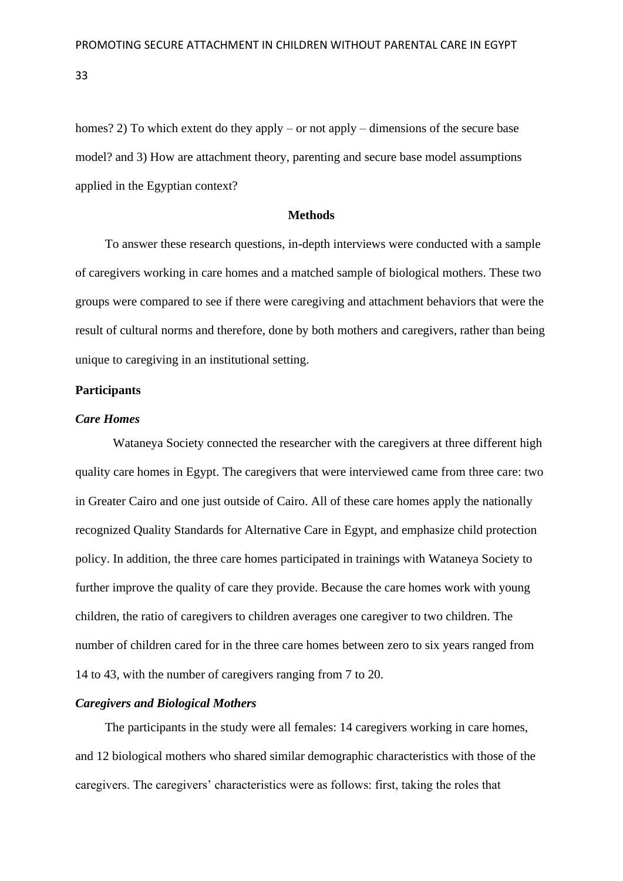homes? 2) To which extent do they apply – or not apply – dimensions of the secure base model? and 3) How are attachment theory, parenting and secure base model assumptions applied in the Egyptian context?

# **Methods**

<span id="page-33-0"></span>To answer these research questions, in-depth interviews were conducted with a sample of caregivers working in care homes and a matched sample of biological mothers. These two groups were compared to see if there were caregiving and attachment behaviors that were the result of cultural norms and therefore, done by both mothers and caregivers, rather than being unique to caregiving in an institutional setting.

# <span id="page-33-1"></span>**Participants**

# *Care Homes*

Wataneya Society connected the researcher with the caregivers at three different high quality care homes in Egypt. The caregivers that were interviewed came from three care: two in Greater Cairo and one just outside of Cairo. All of these care homes apply the nationally recognized Quality Standards for Alternative Care in Egypt, and emphasize child protection policy. In addition, the three care homes participated in trainings with Wataneya Society to further improve the quality of care they provide. Because the care homes work with young children, the ratio of caregivers to children averages one caregiver to two children. The number of children cared for in the three care homes between zero to six years ranged from 14 to 43, with the number of caregivers ranging from 7 to 20.

## *Caregivers and Biological Mothers*

The participants in the study were all females: 14 caregivers working in care homes, and 12 biological mothers who shared similar demographic characteristics with those of the caregivers. The caregivers' characteristics were as follows: first, taking the roles that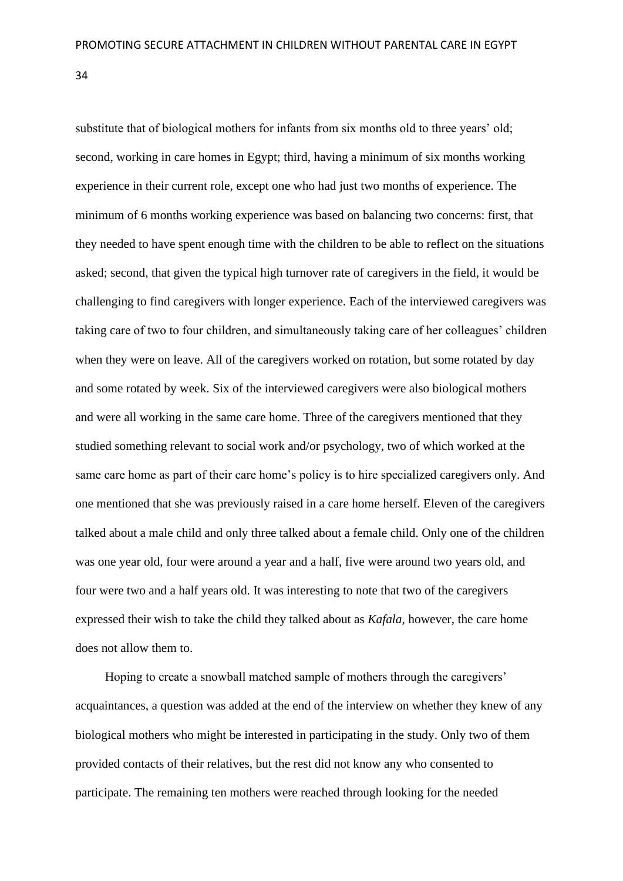substitute that of biological mothers for infants from six months old to three years' old; second, working in care homes in Egypt; third, having a minimum of six months working experience in their current role, except one who had just two months of experience. The minimum of 6 months working experience was based on balancing two concerns: first, that they needed to have spent enough time with the children to be able to reflect on the situations asked; second, that given the typical high turnover rate of caregivers in the field, it would be challenging to find caregivers with longer experience. Each of the interviewed caregivers was taking care of two to four children, and simultaneously taking care of her colleagues' children when they were on leave. All of the caregivers worked on rotation, but some rotated by day and some rotated by week. Six of the interviewed caregivers were also biological mothers and were all working in the same care home. Three of the caregivers mentioned that they studied something relevant to social work and/or psychology, two of which worked at the same care home as part of their care home's policy is to hire specialized caregivers only. And one mentioned that she was previously raised in a care home herself. Eleven of the caregivers talked about a male child and only three talked about a female child. Only one of the children was one year old, four were around a year and a half, five were around two years old, and four were two and a half years old. It was interesting to note that two of the caregivers expressed their wish to take the child they talked about as *Kafala*, however, the care home does not allow them to.

Hoping to create a snowball matched sample of mothers through the caregivers' acquaintances, a question was added at the end of the interview on whether they knew of any biological mothers who might be interested in participating in the study. Only two of them provided contacts of their relatives, but the rest did not know any who consented to participate. The remaining ten mothers were reached through looking for the needed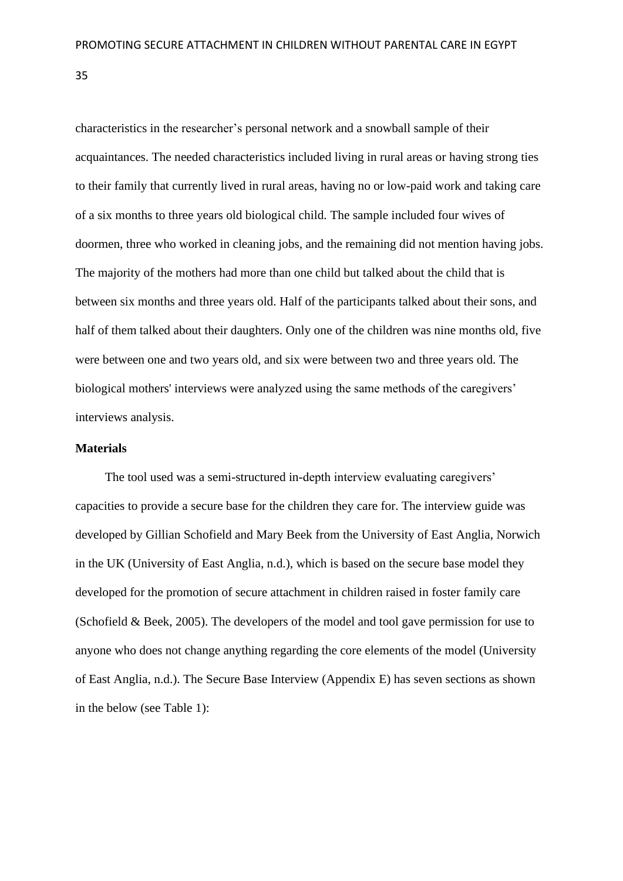characteristics in the researcher's personal network and a snowball sample of their acquaintances. The needed characteristics included living in rural areas or having strong ties to their family that currently lived in rural areas, having no or low-paid work and taking care of a six months to three years old biological child. The sample included four wives of doormen, three who worked in cleaning jobs, and the remaining did not mention having jobs. The majority of the mothers had more than one child but talked about the child that is between six months and three years old. Half of the participants talked about their sons, and half of them talked about their daughters. Only one of the children was nine months old, five were between one and two years old, and six were between two and three years old. The biological mothers' interviews were analyzed using the same methods of the caregivers' interviews analysis.

## <span id="page-35-0"></span>**Materials**

The tool used was a semi-structured in-depth interview evaluating caregivers' capacities to provide a secure base for the children they care for. The interview guide was developed by Gillian Schofield and Mary Beek from the University of East Anglia, Norwich in the UK (University of East Anglia, n.d.), which is based on the secure base model they developed for the promotion of secure attachment in children raised in foster family care (Schofield & Beek, 2005). The developers of the model and tool gave permission for use to anyone who does not change anything regarding the core elements of the model (University of East Anglia, n.d.). The Secure Base Interview (Appendix E) has seven sections as shown in the below (see Table 1):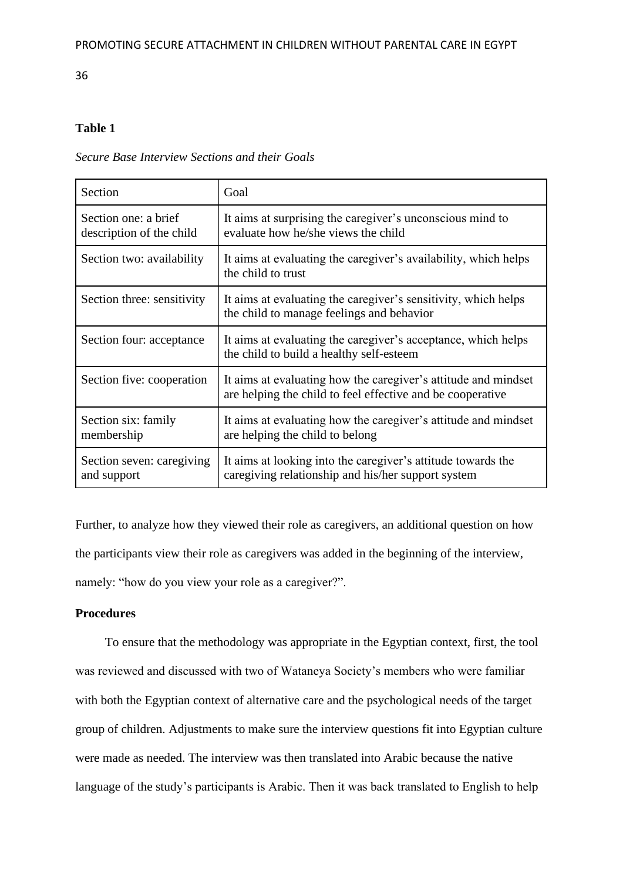# **Table 1**

# *Secure Base Interview Sections and their Goals*

| Section                                          | Goal                                                                                                                         |
|--------------------------------------------------|------------------------------------------------------------------------------------------------------------------------------|
| Section one: a brief<br>description of the child | It aims at surprising the caregiver's unconscious mind to<br>evaluate how he/she views the child                             |
| Section two: availability                        | It aims at evaluating the caregiver's availability, which helps<br>the child to trust                                        |
| Section three: sensitivity                       | It aims at evaluating the caregiver's sensitivity, which helps<br>the child to manage feelings and behavior                  |
| Section four: acceptance                         | It aims at evaluating the caregiver's acceptance, which helps<br>the child to build a healthy self-esteem                    |
| Section five: cooperation                        | It aims at evaluating how the caregiver's attitude and mindset<br>are helping the child to feel effective and be cooperative |
| Section six: family<br>membership                | It aims at evaluating how the caregiver's attitude and mindset<br>are helping the child to belong                            |
| Section seven: caregiving<br>and support         | It aims at looking into the caregiver's attitude towards the<br>caregiving relationship and his/her support system           |

Further, to analyze how they viewed their role as caregivers, an additional question on how the participants view their role as caregivers was added in the beginning of the interview, namely: "how do you view your role as a caregiver?".

# **Procedures**

To ensure that the methodology was appropriate in the Egyptian context, first, the tool was reviewed and discussed with two of Wataneya Society's members who were familiar with both the Egyptian context of alternative care and the psychological needs of the target group of children. Adjustments to make sure the interview questions fit into Egyptian culture were made as needed. The interview was then translated into Arabic because the native language of the study's participants is Arabic. Then it was back translated to English to help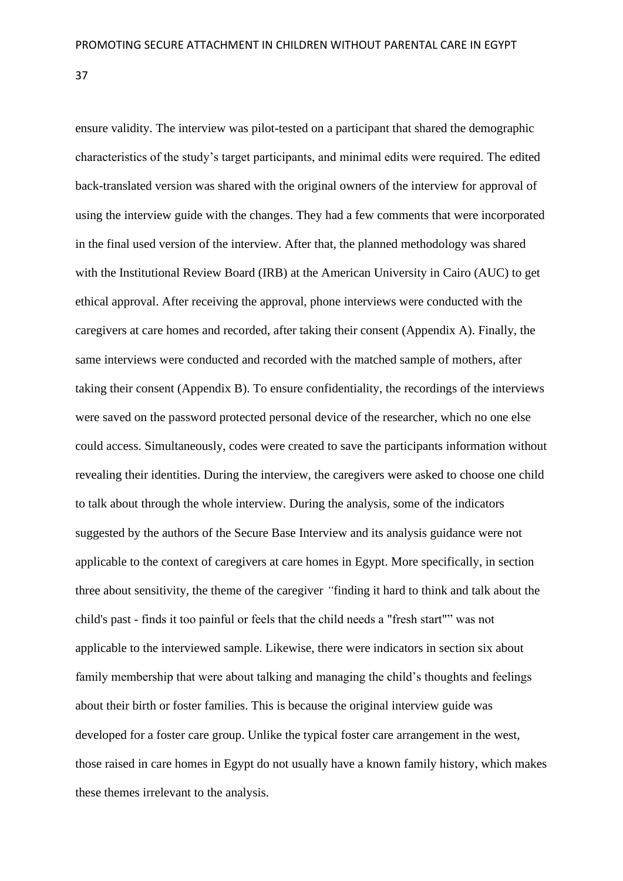ensure validity. The interview was pilot-tested on a participant that shared the demographic characteristics of the study's target participants, and minimal edits were required. The edited back-translated version was shared with the original owners of the interview for approval of using the interview guide with the changes. They had a few comments that were incorporated in the final used version of the interview. After that, the planned methodology was shared with the Institutional Review Board (IRB) at the American University in Cairo (AUC) to get ethical approval. After receiving the approval, phone interviews were conducted with the caregivers at care homes and recorded, after taking their consent (Appendix A). Finally, the same interviews were conducted and recorded with the matched sample of mothers, after taking their consent (Appendix B). To ensure confidentiality, the recordings of the interviews were saved on the password protected personal device of the researcher, which no one else could access. Simultaneously, codes were created to save the participants information without revealing their identities. During the interview, the caregivers were asked to choose one child to talk about through the whole interview. During the analysis, some of the indicators suggested by the authors of the Secure Base Interview and its analysis guidance were not applicable to the context of caregivers at care homes in Egypt. More specifically, in section three about sensitivity, the theme of the caregiver *"*finding it hard to think and talk about the child's past - finds it too painful or feels that the child needs a "fresh start"" was not applicable to the interviewed sample. Likewise, there were indicators in section six about family membership that were about talking and managing the child's thoughts and feelings about their birth or foster families. This is because the original interview guide was developed for a foster care group. Unlike the typical foster care arrangement in the west, those raised in care homes in Egypt do not usually have a known family history, which makes these themes irrelevant to the analysis.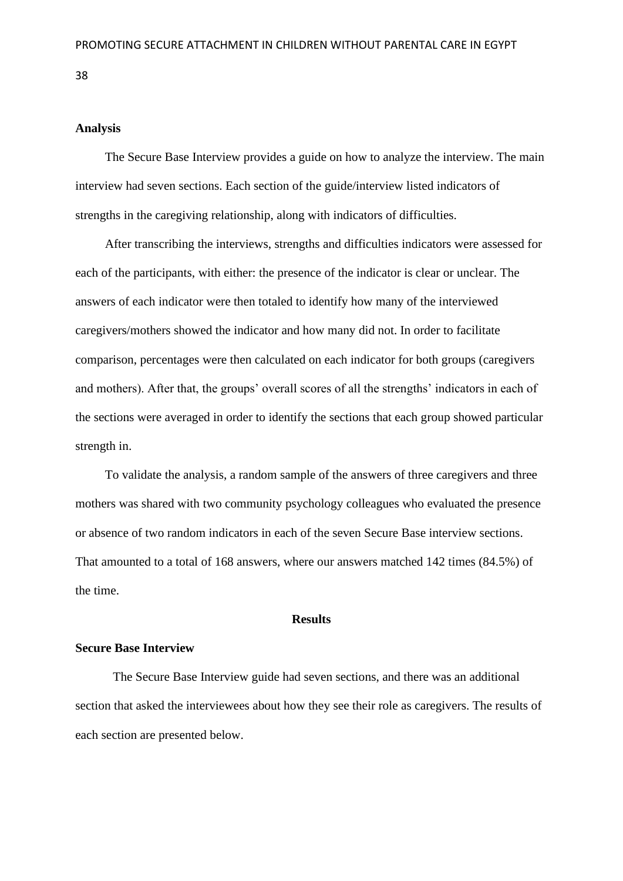# **Analysis**

The Secure Base Interview provides a guide on how to analyze the interview. The main interview had seven sections. Each section of the guide/interview listed indicators of strengths in the caregiving relationship, along with indicators of difficulties.

After transcribing the interviews, strengths and difficulties indicators were assessed for each of the participants, with either: the presence of the indicator is clear or unclear. The answers of each indicator were then totaled to identify how many of the interviewed caregivers/mothers showed the indicator and how many did not. In order to facilitate comparison, percentages were then calculated on each indicator for both groups (caregivers and mothers). After that, the groups' overall scores of all the strengths' indicators in each of the sections were averaged in order to identify the sections that each group showed particular strength in.

To validate the analysis, a random sample of the answers of three caregivers and three mothers was shared with two community psychology colleagues who evaluated the presence or absence of two random indicators in each of the seven Secure Base interview sections. That amounted to a total of 168 answers, where our answers matched 142 times (84.5%) of the time.

#### **Results**

## **Secure Base Interview**

The Secure Base Interview guide had seven sections, and there was an additional section that asked the interviewees about how they see their role as caregivers. The results of each section are presented below.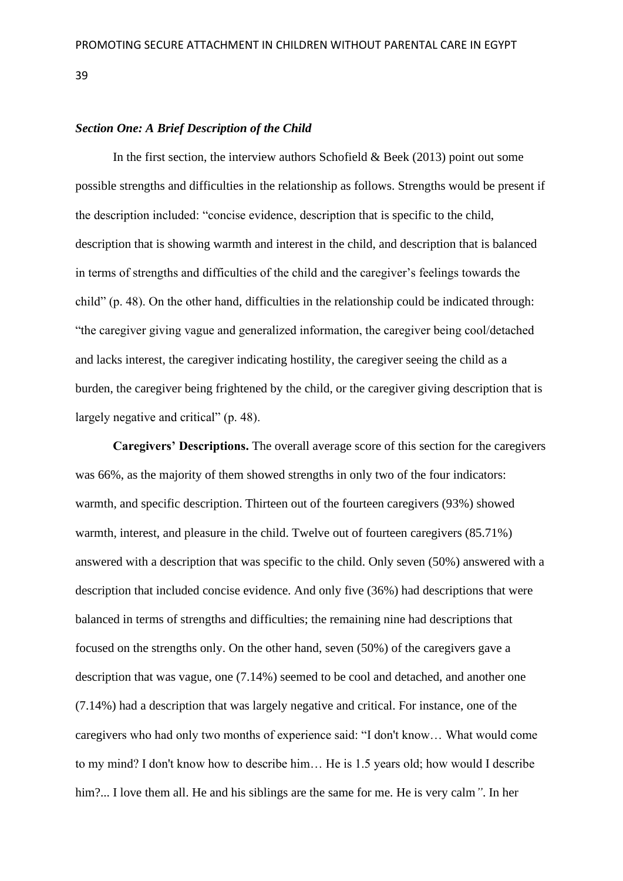#### *Section One: A Brief Description of the Child*

In the first section, the interview authors Schofield  $\&$  Beek (2013) point out some possible strengths and difficulties in the relationship as follows. Strengths would be present if the description included: "concise evidence, description that is specific to the child, description that is showing warmth and interest in the child, and description that is balanced in terms of strengths and difficulties of the child and the caregiver's feelings towards the child" (p. 48). On the other hand, difficulties in the relationship could be indicated through: "the caregiver giving vague and generalized information, the caregiver being cool/detached and lacks interest, the caregiver indicating hostility, the caregiver seeing the child as a burden, the caregiver being frightened by the child, or the caregiver giving description that is largely negative and critical" (p. 48).

**Caregivers' Descriptions.** The overall average score of this section for the caregivers was 66%, as the majority of them showed strengths in only two of the four indicators: warmth, and specific description. Thirteen out of the fourteen caregivers (93%) showed warmth, interest, and pleasure in the child. Twelve out of fourteen caregivers (85.71%) answered with a description that was specific to the child. Only seven (50%) answered with a description that included concise evidence. And only five (36%) had descriptions that were balanced in terms of strengths and difficulties; the remaining nine had descriptions that focused on the strengths only. On the other hand, seven (50%) of the caregivers gave a description that was vague, one (7.14%) seemed to be cool and detached, and another one (7.14%) had a description that was largely negative and critical. For instance, one of the caregivers who had only two months of experience said: "I don't know… What would come to my mind? I don't know how to describe him… He is 1.5 years old; how would I describe him?... I love them all. He and his siblings are the same for me. He is very calm*"*. In her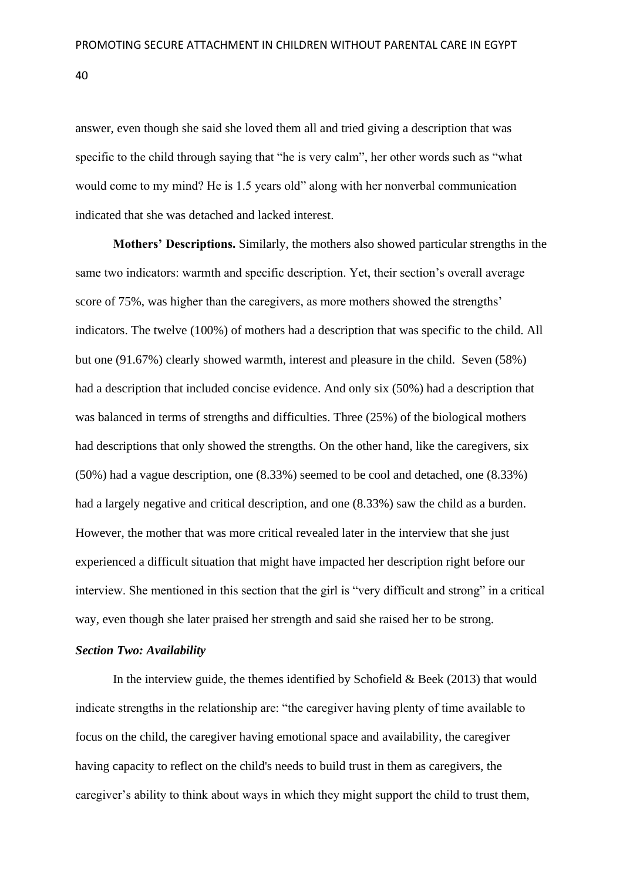answer, even though she said she loved them all and tried giving a description that was specific to the child through saying that "he is very calm", her other words such as "what would come to my mind? He is 1.5 years old" along with her nonverbal communication indicated that she was detached and lacked interest.

**Mothers' Descriptions.** Similarly, the mothers also showed particular strengths in the same two indicators: warmth and specific description. Yet, their section's overall average score of 75%, was higher than the caregivers, as more mothers showed the strengths' indicators. The twelve (100%) of mothers had a description that was specific to the child. All but one (91.67%) clearly showed warmth, interest and pleasure in the child. Seven (58%) had a description that included concise evidence. And only six (50%) had a description that was balanced in terms of strengths and difficulties. Three (25%) of the biological mothers had descriptions that only showed the strengths. On the other hand, like the caregivers, six (50%) had a vague description, one (8.33%) seemed to be cool and detached, one (8.33%) had a largely negative and critical description, and one (8.33%) saw the child as a burden. However, the mother that was more critical revealed later in the interview that she just experienced a difficult situation that might have impacted her description right before our interview. She mentioned in this section that the girl is "very difficult and strong" in a critical way, even though she later praised her strength and said she raised her to be strong.

# *Section Two: Availability*

In the interview guide, the themes identified by Schofield  $\&$  Beek (2013) that would indicate strengths in the relationship are: "the caregiver having plenty of time available to focus on the child, the caregiver having emotional space and availability, the caregiver having capacity to reflect on the child's needs to build trust in them as caregivers, the caregiver's ability to think about ways in which they might support the child to trust them,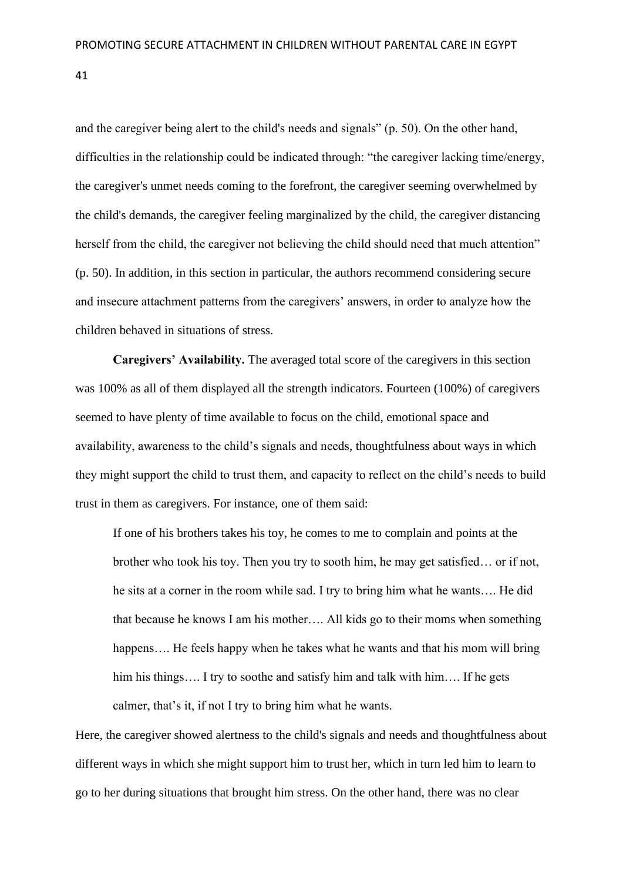and the caregiver being alert to the child's needs and signals" (p. 50). On the other hand, difficulties in the relationship could be indicated through: "the caregiver lacking time/energy, the caregiver's unmet needs coming to the forefront, the caregiver seeming overwhelmed by the child's demands, the caregiver feeling marginalized by the child, the caregiver distancing herself from the child, the caregiver not believing the child should need that much attention" (p. 50). In addition, in this section in particular, the authors recommend considering secure and insecure attachment patterns from the caregivers' answers, in order to analyze how the children behaved in situations of stress.

**Caregivers' Availability.** The averaged total score of the caregivers in this section was 100% as all of them displayed all the strength indicators. Fourteen (100%) of caregivers seemed to have plenty of time available to focus on the child, emotional space and availability, awareness to the child's signals and needs, thoughtfulness about ways in which they might support the child to trust them, and capacity to reflect on the child's needs to build trust in them as caregivers. For instance, one of them said:

If one of his brothers takes his toy, he comes to me to complain and points at the brother who took his toy. Then you try to sooth him, he may get satisfied… or if not, he sits at a corner in the room while sad. I try to bring him what he wants…. He did that because he knows I am his mother…. All kids go to their moms when something happens.... He feels happy when he takes what he wants and that his mom will bring him his things.... I try to soothe and satisfy him and talk with him.... If he gets calmer, that's it, if not I try to bring him what he wants.

Here, the caregiver showed alertness to the child's signals and needs and thoughtfulness about different ways in which she might support him to trust her, which in turn led him to learn to go to her during situations that brought him stress. On the other hand, there was no clear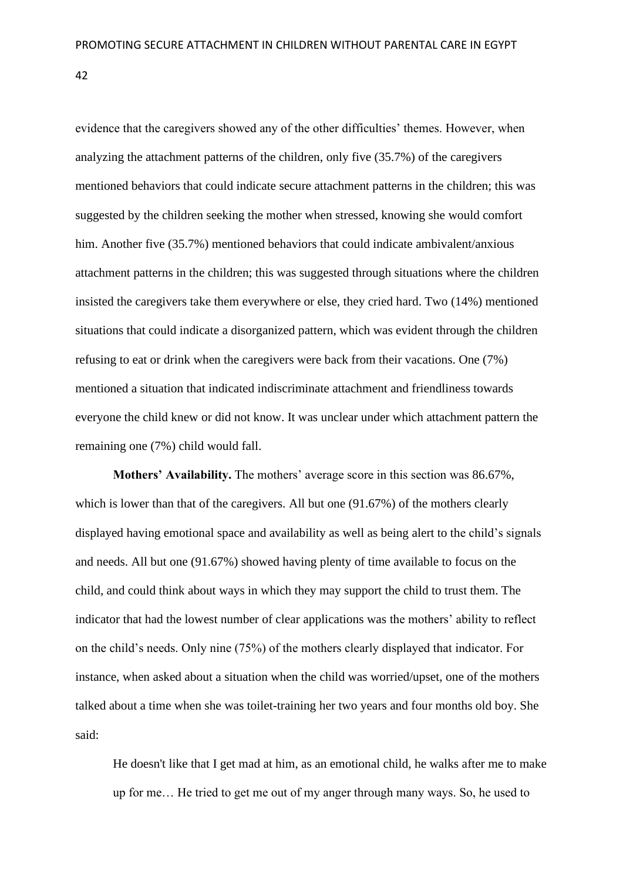evidence that the caregivers showed any of the other difficulties' themes. However, when analyzing the attachment patterns of the children, only five (35.7%) of the caregivers mentioned behaviors that could indicate secure attachment patterns in the children; this was suggested by the children seeking the mother when stressed, knowing she would comfort him. Another five (35.7%) mentioned behaviors that could indicate ambivalent/anxious attachment patterns in the children; this was suggested through situations where the children insisted the caregivers take them everywhere or else, they cried hard. Two (14%) mentioned situations that could indicate a disorganized pattern, which was evident through the children refusing to eat or drink when the caregivers were back from their vacations. One (7%) mentioned a situation that indicated indiscriminate attachment and friendliness towards everyone the child knew or did not know. It was unclear under which attachment pattern the remaining one (7%) child would fall.

**Mothers' Availability.** The mothers' average score in this section was 86.67%, which is lower than that of the caregivers. All but one  $(91.67%)$  of the mothers clearly displayed having emotional space and availability as well as being alert to the child's signals and needs. All but one (91.67%) showed having plenty of time available to focus on the child, and could think about ways in which they may support the child to trust them. The indicator that had the lowest number of clear applications was the mothers' ability to reflect on the child's needs. Only nine (75%) of the mothers clearly displayed that indicator. For instance, when asked about a situation when the child was worried/upset, one of the mothers talked about a time when she was toilet-training her two years and four months old boy. She said:

He doesn't like that I get mad at him, as an emotional child, he walks after me to make up for me… He tried to get me out of my anger through many ways. So, he used to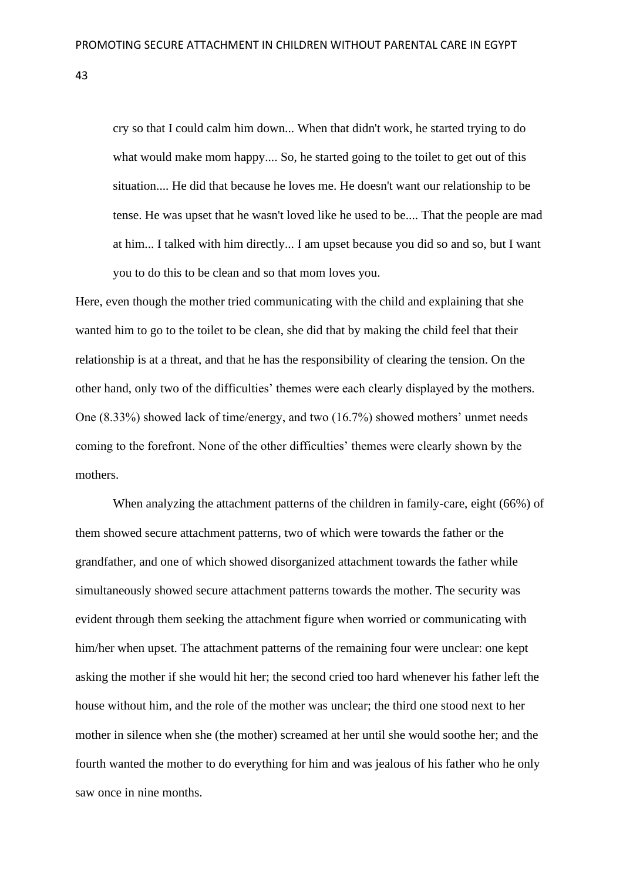cry so that I could calm him down... When that didn't work, he started trying to do what would make mom happy.... So, he started going to the toilet to get out of this situation.... He did that because he loves me. He doesn't want our relationship to be tense. He was upset that he wasn't loved like he used to be.... That the people are mad at him... I talked with him directly... I am upset because you did so and so, but I want you to do this to be clean and so that mom loves you.

Here, even though the mother tried communicating with the child and explaining that she wanted him to go to the toilet to be clean, she did that by making the child feel that their relationship is at a threat, and that he has the responsibility of clearing the tension. On the other hand, only two of the difficulties' themes were each clearly displayed by the mothers. One (8.33%) showed lack of time/energy, and two (16.7%) showed mothers' unmet needs coming to the forefront. None of the other difficulties' themes were clearly shown by the mothers.

When analyzing the attachment patterns of the children in family-care, eight (66%) of them showed secure attachment patterns, two of which were towards the father or the grandfather, and one of which showed disorganized attachment towards the father while simultaneously showed secure attachment patterns towards the mother. The security was evident through them seeking the attachment figure when worried or communicating with him/her when upset. The attachment patterns of the remaining four were unclear: one kept asking the mother if she would hit her; the second cried too hard whenever his father left the house without him, and the role of the mother was unclear; the third one stood next to her mother in silence when she (the mother) screamed at her until she would soothe her; and the fourth wanted the mother to do everything for him and was jealous of his father who he only saw once in nine months.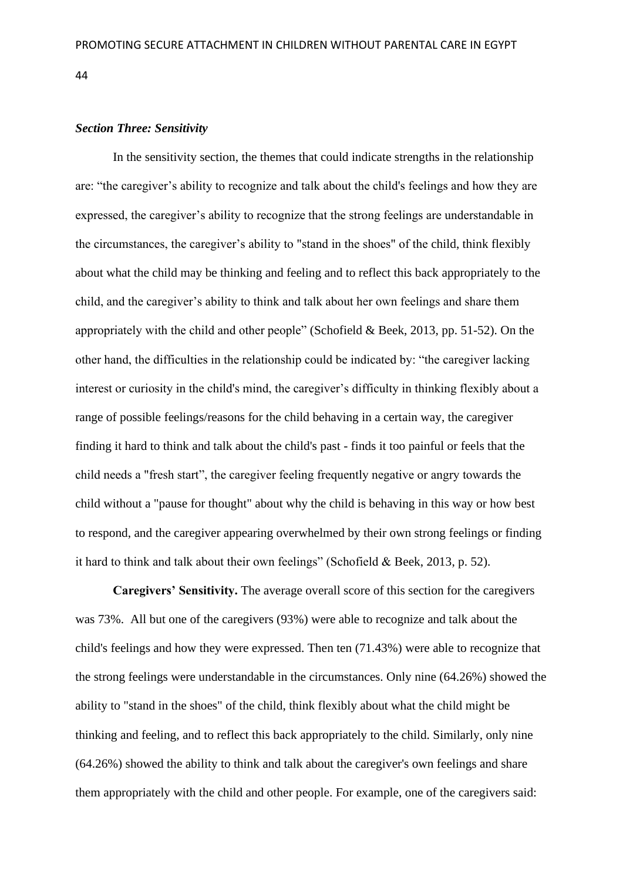# *Section Three: Sensitivity*

In the sensitivity section, the themes that could indicate strengths in the relationship are: "the caregiver's ability to recognize and talk about the child's feelings and how they are expressed, the caregiver's ability to recognize that the strong feelings are understandable in the circumstances, the caregiver's ability to "stand in the shoes" of the child, think flexibly about what the child may be thinking and feeling and to reflect this back appropriately to the child, and the caregiver's ability to think and talk about her own feelings and share them appropriately with the child and other people" (Schofield & Beek, 2013, pp. 51-52). On the other hand, the difficulties in the relationship could be indicated by: "the caregiver lacking interest or curiosity in the child's mind, the caregiver's difficulty in thinking flexibly about a range of possible feelings/reasons for the child behaving in a certain way, the caregiver finding it hard to think and talk about the child's past - finds it too painful or feels that the child needs a "fresh start", the caregiver feeling frequently negative or angry towards the child without a "pause for thought" about why the child is behaving in this way or how best to respond, and the caregiver appearing overwhelmed by their own strong feelings or finding it hard to think and talk about their own feelings" (Schofield & Beek, 2013, p. 52).

**Caregivers' Sensitivity.** The average overall score of this section for the caregivers was 73%. All but one of the caregivers (93%) were able to recognize and talk about the child's feelings and how they were expressed. Then ten (71.43%) were able to recognize that the strong feelings were understandable in the circumstances. Only nine (64.26%) showed the ability to "stand in the shoes" of the child, think flexibly about what the child might be thinking and feeling, and to reflect this back appropriately to the child. Similarly, only nine (64.26%) showed the ability to think and talk about the caregiver's own feelings and share them appropriately with the child and other people. For example, one of the caregivers said: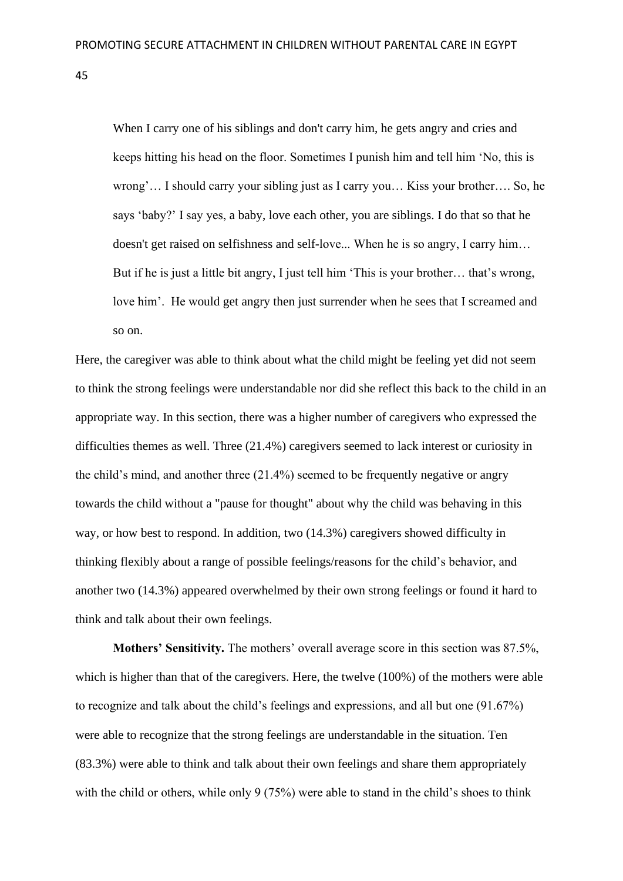When I carry one of his siblings and don't carry him, he gets angry and cries and keeps hitting his head on the floor. Sometimes I punish him and tell him 'No, this is wrong'… I should carry your sibling just as I carry you… Kiss your brother…. So, he says 'baby?' I say yes, a baby, love each other, you are siblings. I do that so that he doesn't get raised on selfishness and self-love... When he is so angry, I carry him… But if he is just a little bit angry, I just tell him 'This is your brother… that's wrong, love him'. He would get angry then just surrender when he sees that I screamed and so on.

Here, the caregiver was able to think about what the child might be feeling yet did not seem to think the strong feelings were understandable nor did she reflect this back to the child in an appropriate way. In this section, there was a higher number of caregivers who expressed the difficulties themes as well. Three (21.4%) caregivers seemed to lack interest or curiosity in the child's mind, and another three (21.4%) seemed to be frequently negative or angry towards the child without a "pause for thought" about why the child was behaving in this way, or how best to respond. In addition, two (14.3%) caregivers showed difficulty in thinking flexibly about a range of possible feelings/reasons for the child's behavior, and another two (14.3%) appeared overwhelmed by their own strong feelings or found it hard to think and talk about their own feelings.

**Mothers' Sensitivity.** The mothers' overall average score in this section was 87.5%, which is higher than that of the caregivers. Here, the twelve (100%) of the mothers were able to recognize and talk about the child's feelings and expressions, and all but one (91.67%) were able to recognize that the strong feelings are understandable in the situation. Ten (83.3%) were able to think and talk about their own feelings and share them appropriately with the child or others, while only 9 (75%) were able to stand in the child's shoes to think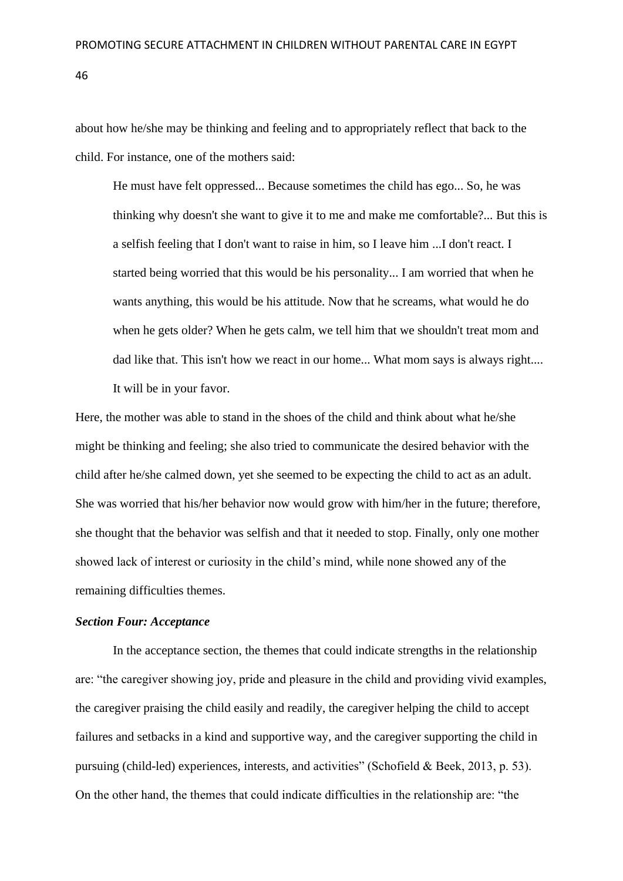about how he/she may be thinking and feeling and to appropriately reflect that back to the child. For instance, one of the mothers said:

He must have felt oppressed... Because sometimes the child has ego... So, he was thinking why doesn't she want to give it to me and make me comfortable?... But this is a selfish feeling that I don't want to raise in him, so I leave him ...I don't react. I started being worried that this would be his personality... I am worried that when he wants anything, this would be his attitude. Now that he screams, what would he do when he gets older? When he gets calm, we tell him that we shouldn't treat mom and dad like that. This isn't how we react in our home... What mom says is always right.... It will be in your favor.

Here, the mother was able to stand in the shoes of the child and think about what he/she might be thinking and feeling; she also tried to communicate the desired behavior with the child after he/she calmed down, yet she seemed to be expecting the child to act as an adult. She was worried that his/her behavior now would grow with him/her in the future; therefore, she thought that the behavior was selfish and that it needed to stop. Finally, only one mother showed lack of interest or curiosity in the child's mind, while none showed any of the remaining difficulties themes.

#### *Section Four: Acceptance*

In the acceptance section, the themes that could indicate strengths in the relationship are: "the caregiver showing joy, pride and pleasure in the child and providing vivid examples, the caregiver praising the child easily and readily, the caregiver helping the child to accept failures and setbacks in a kind and supportive way, and the caregiver supporting the child in pursuing (child-led) experiences, interests, and activities" (Schofield & Beek, 2013, p. 53). On the other hand, the themes that could indicate difficulties in the relationship are: "the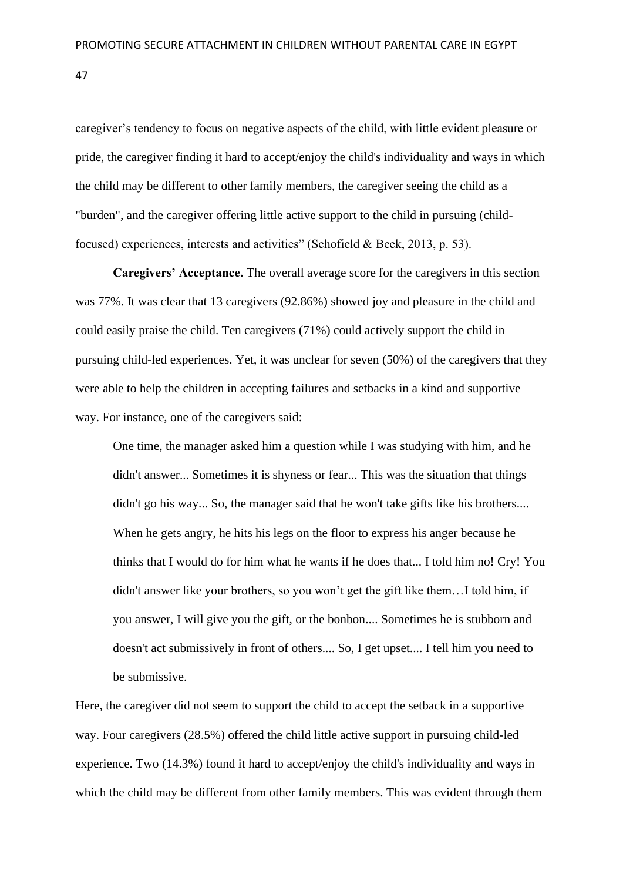caregiver's tendency to focus on negative aspects of the child, with little evident pleasure or pride, the caregiver finding it hard to accept/enjoy the child's individuality and ways in which the child may be different to other family members, the caregiver seeing the child as a "burden", and the caregiver offering little active support to the child in pursuing (childfocused) experiences, interests and activities" (Schofield & Beek, 2013, p. 53).

**Caregivers' Acceptance.** The overall average score for the caregivers in this section was 77%. It was clear that 13 caregivers (92.86%) showed joy and pleasure in the child and could easily praise the child. Ten caregivers (71%) could actively support the child in pursuing child-led experiences. Yet, it was unclear for seven (50%) of the caregivers that they were able to help the children in accepting failures and setbacks in a kind and supportive way. For instance, one of the caregivers said:

One time, the manager asked him a question while I was studying with him, and he didn't answer... Sometimes it is shyness or fear... This was the situation that things didn't go his way... So, the manager said that he won't take gifts like his brothers.... When he gets angry, he hits his legs on the floor to express his anger because he thinks that I would do for him what he wants if he does that... I told him no! Cry! You didn't answer like your brothers, so you won't get the gift like them…I told him, if you answer, I will give you the gift, or the bonbon.... Sometimes he is stubborn and doesn't act submissively in front of others.... So, I get upset.... I tell him you need to be submissive.

Here, the caregiver did not seem to support the child to accept the setback in a supportive way. Four caregivers (28.5%) offered the child little active support in pursuing child-led experience. Two (14.3%) found it hard to accept/enjoy the child's individuality and ways in which the child may be different from other family members. This was evident through them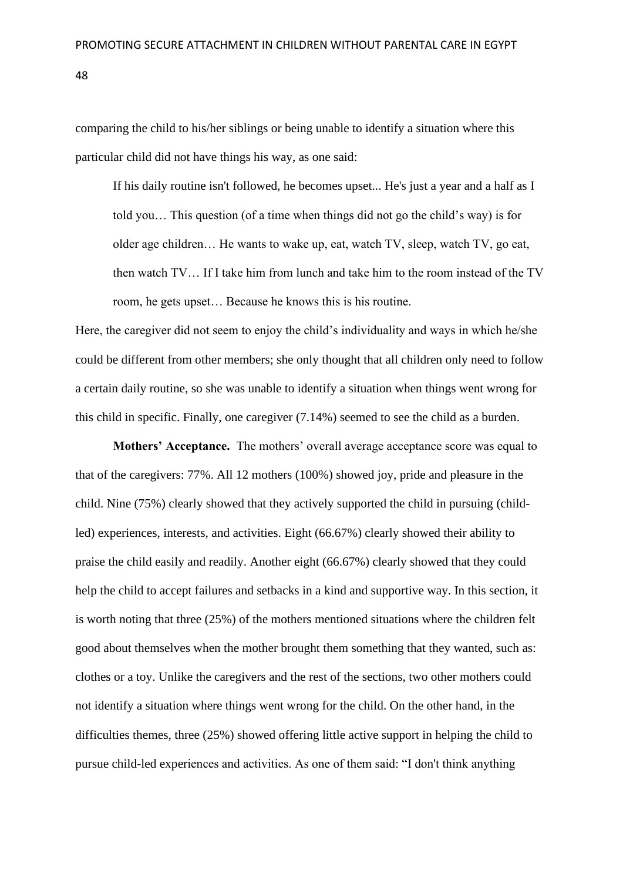comparing the child to his/her siblings or being unable to identify a situation where this particular child did not have things his way, as one said:

If his daily routine isn't followed, he becomes upset... He's just a year and a half as I told you… This question (of a time when things did not go the child's way) is for older age children… He wants to wake up, eat, watch TV, sleep, watch TV, go eat, then watch TV… If I take him from lunch and take him to the room instead of the TV room, he gets upset… Because he knows this is his routine.

Here, the caregiver did not seem to enjoy the child's individuality and ways in which he/she could be different from other members; she only thought that all children only need to follow a certain daily routine, so she was unable to identify a situation when things went wrong for this child in specific. Finally, one caregiver (7.14%) seemed to see the child as a burden.

**Mothers' Acceptance.** The mothers' overall average acceptance score was equal to that of the caregivers: 77%. All 12 mothers (100%) showed joy, pride and pleasure in the child. Nine (75%) clearly showed that they actively supported the child in pursuing (childled) experiences, interests, and activities. Eight (66.67%) clearly showed their ability to praise the child easily and readily. Another eight (66.67%) clearly showed that they could help the child to accept failures and setbacks in a kind and supportive way. In this section, it is worth noting that three (25%) of the mothers mentioned situations where the children felt good about themselves when the mother brought them something that they wanted, such as: clothes or a toy. Unlike the caregivers and the rest of the sections, two other mothers could not identify a situation where things went wrong for the child. On the other hand, in the difficulties themes, three (25%) showed offering little active support in helping the child to pursue child-led experiences and activities. As one of them said: "I don't think anything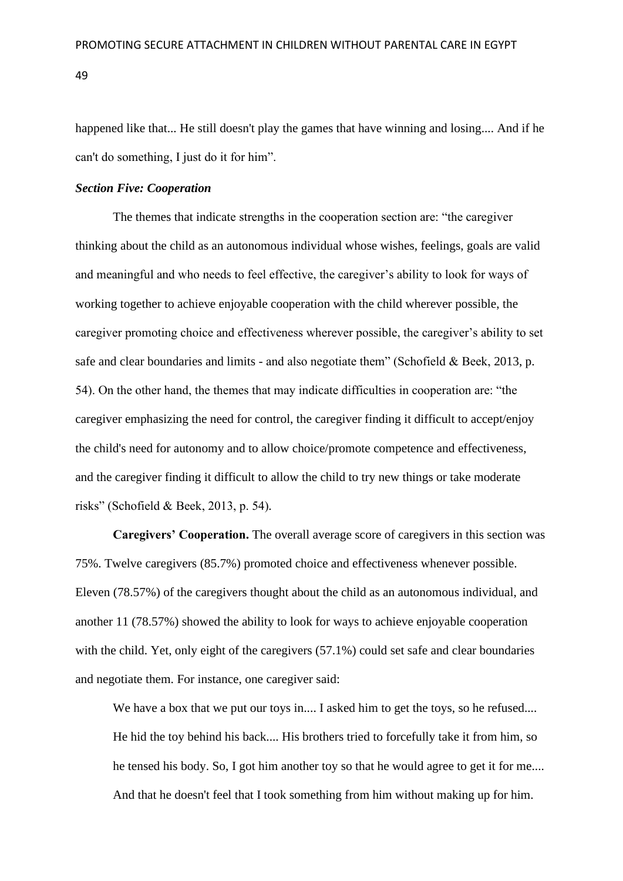happened like that... He still doesn't play the games that have winning and losing.... And if he can't do something, I just do it for him".

#### *Section Five: Cooperation*

The themes that indicate strengths in the cooperation section are: "the caregiver thinking about the child as an autonomous individual whose wishes, feelings, goals are valid and meaningful and who needs to feel effective, the caregiver's ability to look for ways of working together to achieve enjoyable cooperation with the child wherever possible, the caregiver promoting choice and effectiveness wherever possible, the caregiver's ability to set safe and clear boundaries and limits - and also negotiate them" (Schofield & Beek, 2013, p. 54). On the other hand, the themes that may indicate difficulties in cooperation are: "the caregiver emphasizing the need for control, the caregiver finding it difficult to accept/enjoy the child's need for autonomy and to allow choice/promote competence and effectiveness, and the caregiver finding it difficult to allow the child to try new things or take moderate risks" (Schofield & Beek, 2013, p. 54)*.*

**Caregivers' Cooperation.** The overall average score of caregivers in this section was 75%. Twelve caregivers (85.7%) promoted choice and effectiveness whenever possible. Eleven (78.57%) of the caregivers thought about the child as an autonomous individual, and another 11 (78.57%) showed the ability to look for ways to achieve enjoyable cooperation with the child. Yet, only eight of the caregivers  $(57.1\%)$  could set safe and clear boundaries and negotiate them. For instance, one caregiver said:

We have a box that we put our toys in.... I asked him to get the toys, so he refused.... He hid the toy behind his back.... His brothers tried to forcefully take it from him, so he tensed his body. So, I got him another toy so that he would agree to get it for me.... And that he doesn't feel that I took something from him without making up for him.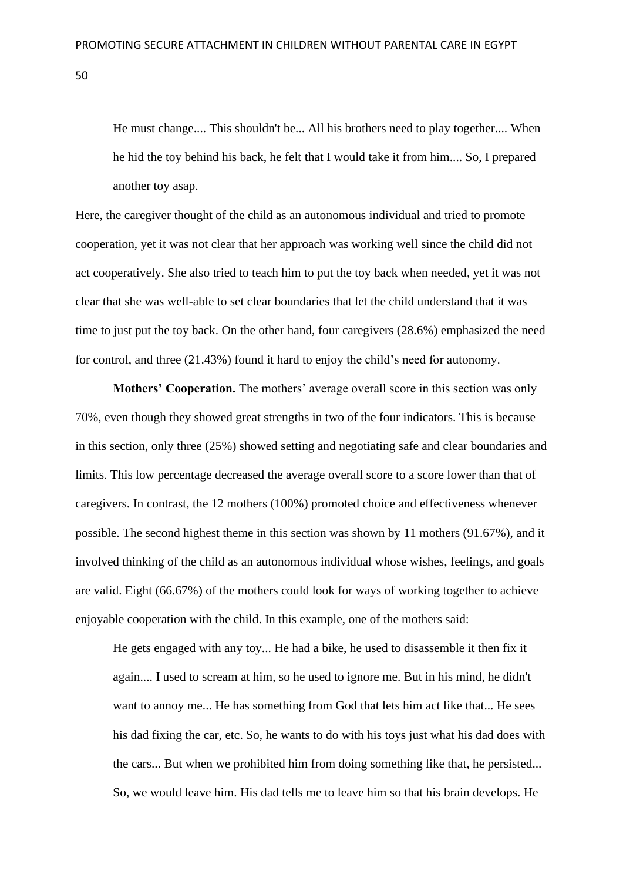He must change.... This shouldn't be... All his brothers need to play together.... When he hid the toy behind his back, he felt that I would take it from him.... So, I prepared another toy asap.

Here, the caregiver thought of the child as an autonomous individual and tried to promote cooperation, yet it was not clear that her approach was working well since the child did not act cooperatively. She also tried to teach him to put the toy back when needed, yet it was not clear that she was well-able to set clear boundaries that let the child understand that it was time to just put the toy back. On the other hand, four caregivers (28.6%) emphasized the need for control, and three (21.43%) found it hard to enjoy the child's need for autonomy.

**Mothers' Cooperation.** The mothers' average overall score in this section was only 70%, even though they showed great strengths in two of the four indicators. This is because in this section, only three (25%) showed setting and negotiating safe and clear boundaries and limits. This low percentage decreased the average overall score to a score lower than that of caregivers. In contrast, the 12 mothers (100%) promoted choice and effectiveness whenever possible. The second highest theme in this section was shown by 11 mothers (91.67%), and it involved thinking of the child as an autonomous individual whose wishes, feelings, and goals are valid. Eight (66.67%) of the mothers could look for ways of working together to achieve enjoyable cooperation with the child. In this example, one of the mothers said:

He gets engaged with any toy... He had a bike, he used to disassemble it then fix it again.... I used to scream at him, so he used to ignore me. But in his mind, he didn't want to annoy me... He has something from God that lets him act like that... He sees his dad fixing the car, etc. So, he wants to do with his toys just what his dad does with the cars... But when we prohibited him from doing something like that, he persisted... So, we would leave him. His dad tells me to leave him so that his brain develops. He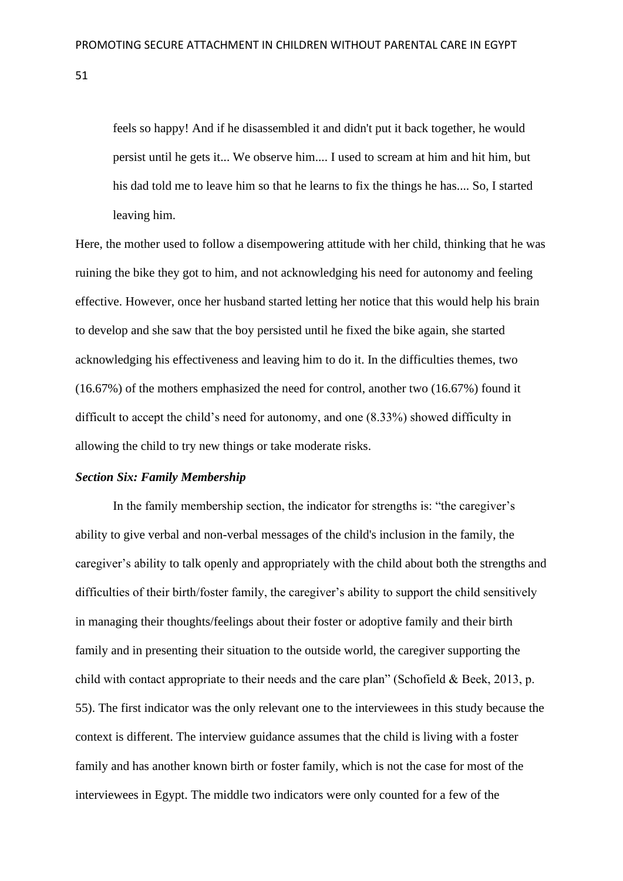feels so happy! And if he disassembled it and didn't put it back together, he would persist until he gets it... We observe him.... I used to scream at him and hit him, but his dad told me to leave him so that he learns to fix the things he has.... So, I started leaving him.

Here, the mother used to follow a disempowering attitude with her child, thinking that he was ruining the bike they got to him, and not acknowledging his need for autonomy and feeling effective. However, once her husband started letting her notice that this would help his brain to develop and she saw that the boy persisted until he fixed the bike again, she started acknowledging his effectiveness and leaving him to do it. In the difficulties themes, two (16.67%) of the mothers emphasized the need for control, another two (16.67%) found it difficult to accept the child's need for autonomy, and one (8.33%) showed difficulty in allowing the child to try new things or take moderate risks.

# *Section Six: Family Membership*

In the family membership section, the indicator for strengths is: "the caregiver's ability to give verbal and non-verbal messages of the child's inclusion in the family, the caregiver's ability to talk openly and appropriately with the child about both the strengths and difficulties of their birth/foster family, the caregiver's ability to support the child sensitively in managing their thoughts/feelings about their foster or adoptive family and their birth family and in presenting their situation to the outside world, the caregiver supporting the child with contact appropriate to their needs and the care plan" (Schofield & Beek, 2013, p. 55). The first indicator was the only relevant one to the interviewees in this study because the context is different. The interview guidance assumes that the child is living with a foster family and has another known birth or foster family, which is not the case for most of the interviewees in Egypt. The middle two indicators were only counted for a few of the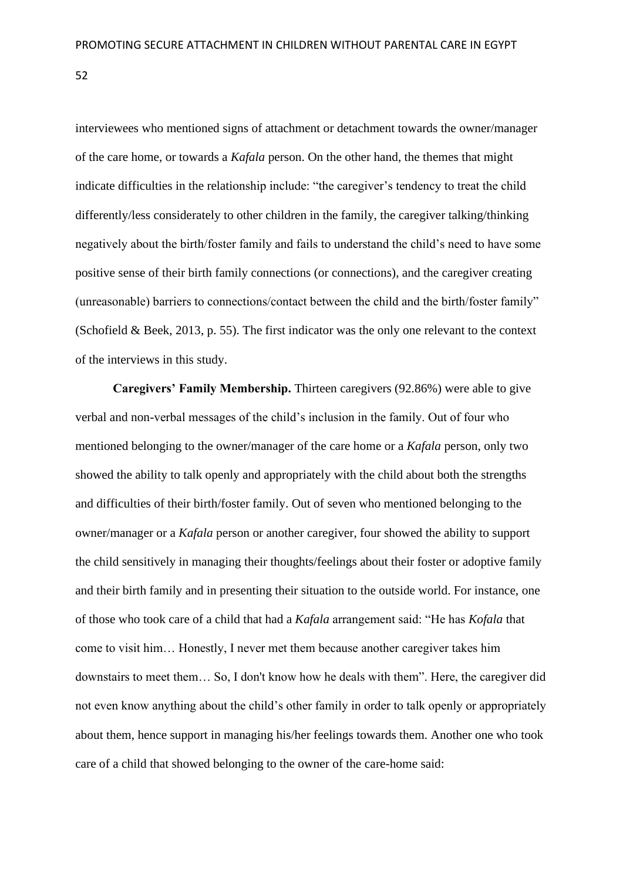interviewees who mentioned signs of attachment or detachment towards the owner/manager of the care home, or towards a *Kafala* person. On the other hand, the themes that might indicate difficulties in the relationship include: "the caregiver's tendency to treat the child differently/less considerately to other children in the family, the caregiver talking/thinking negatively about the birth/foster family and fails to understand the child's need to have some positive sense of their birth family connections (or connections), and the caregiver creating (unreasonable) barriers to connections/contact between the child and the birth/foster family" (Schofield & Beek, 2013, p. 55). The first indicator was the only one relevant to the context of the interviews in this study.

**Caregivers' Family Membership.** Thirteen caregivers (92.86%) were able to give verbal and non-verbal messages of the child's inclusion in the family. Out of four who mentioned belonging to the owner/manager of the care home or a *Kafala* person, only two showed the ability to talk openly and appropriately with the child about both the strengths and difficulties of their birth/foster family. Out of seven who mentioned belonging to the owner/manager or a *Kafala* person or another caregiver, four showed the ability to support the child sensitively in managing their thoughts/feelings about their foster or adoptive family and their birth family and in presenting their situation to the outside world. For instance, one of those who took care of a child that had a *Kafala* arrangement said: "He has *Kofala* that come to visit him… Honestly, I never met them because another caregiver takes him downstairs to meet them… So, I don't know how he deals with them". Here, the caregiver did not even know anything about the child's other family in order to talk openly or appropriately about them, hence support in managing his/her feelings towards them. Another one who took care of a child that showed belonging to the owner of the care-home said: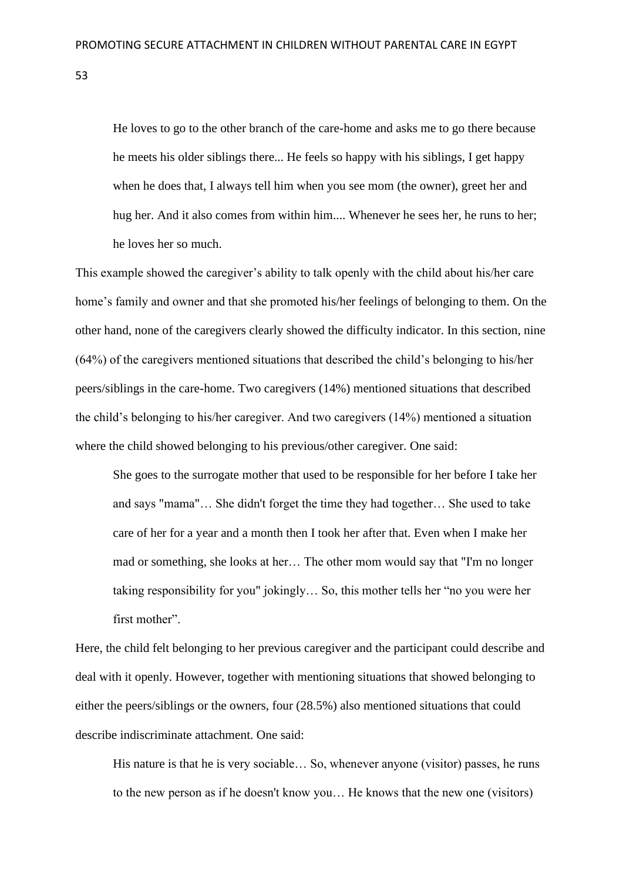He loves to go to the other branch of the care-home and asks me to go there because he meets his older siblings there... He feels so happy with his siblings, I get happy when he does that, I always tell him when you see mom (the owner), greet her and hug her. And it also comes from within him.... Whenever he sees her, he runs to her; he loves her so much.

This example showed the caregiver's ability to talk openly with the child about his/her care home's family and owner and that she promoted his/her feelings of belonging to them. On the other hand, none of the caregivers clearly showed the difficulty indicator. In this section, nine (64%) of the caregivers mentioned situations that described the child's belonging to his/her peers/siblings in the care-home. Two caregivers (14%) mentioned situations that described the child's belonging to his/her caregiver. And two caregivers (14%) mentioned a situation where the child showed belonging to his previous/other caregiver. One said:

She goes to the surrogate mother that used to be responsible for her before I take her and says "mama"… She didn't forget the time they had together… She used to take care of her for a year and a month then I took her after that. Even when I make her mad or something, she looks at her… The other mom would say that "I'm no longer taking responsibility for you" jokingly… So, this mother tells her "no you were her first mother".

Here, the child felt belonging to her previous caregiver and the participant could describe and deal with it openly. However, together with mentioning situations that showed belonging to either the peers/siblings or the owners, four (28.5%) also mentioned situations that could describe indiscriminate attachment. One said:

His nature is that he is very sociable… So, whenever anyone (visitor) passes, he runs to the new person as if he doesn't know you… He knows that the new one (visitors)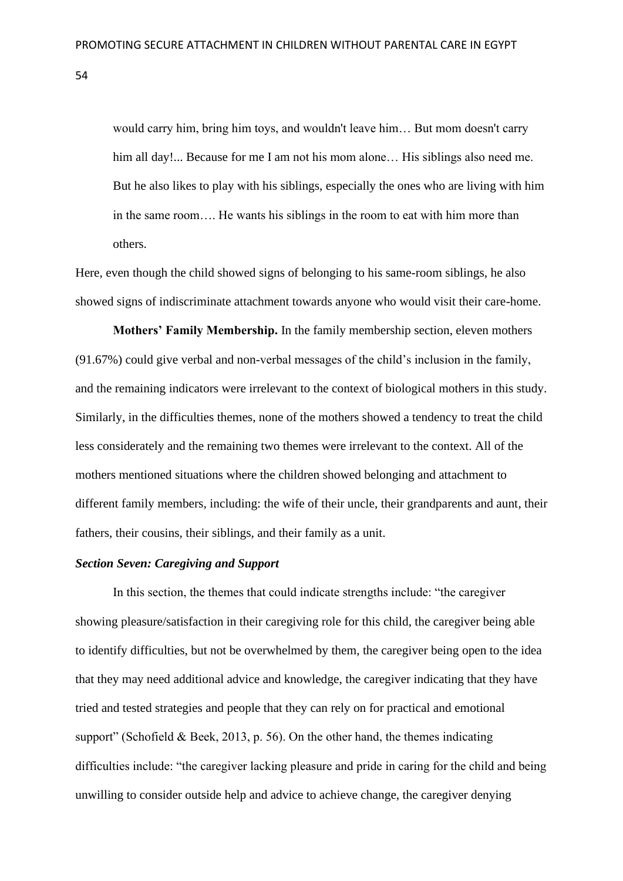would carry him, bring him toys, and wouldn't leave him… But mom doesn't carry him all day!... Because for me I am not his mom alone... His siblings also need me. But he also likes to play with his siblings, especially the ones who are living with him in the same room…. He wants his siblings in the room to eat with him more than others.

Here, even though the child showed signs of belonging to his same-room siblings, he also showed signs of indiscriminate attachment towards anyone who would visit their care-home.

**Mothers' Family Membership.** In the family membership section, eleven mothers (91.67%) could give verbal and non-verbal messages of the child's inclusion in the family, and the remaining indicators were irrelevant to the context of biological mothers in this study. Similarly, in the difficulties themes, none of the mothers showed a tendency to treat the child less considerately and the remaining two themes were irrelevant to the context. All of the mothers mentioned situations where the children showed belonging and attachment to different family members, including: the wife of their uncle, their grandparents and aunt, their fathers, their cousins, their siblings, and their family as a unit.

#### *Section Seven: Caregiving and Support*

In this section, the themes that could indicate strengths include: "the caregiver showing pleasure/satisfaction in their caregiving role for this child, the caregiver being able to identify difficulties, but not be overwhelmed by them, the caregiver being open to the idea that they may need additional advice and knowledge, the caregiver indicating that they have tried and tested strategies and people that they can rely on for practical and emotional support" (Schofield & Beek, 2013, p. 56). On the other hand, the themes indicating difficulties include: "the caregiver lacking pleasure and pride in caring for the child and being unwilling to consider outside help and advice to achieve change, the caregiver denying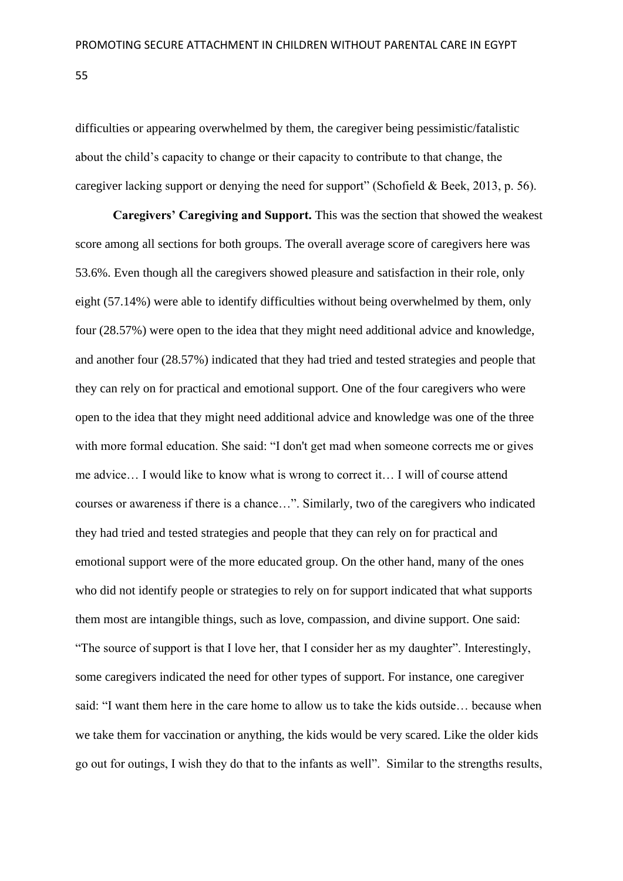difficulties or appearing overwhelmed by them, the caregiver being pessimistic/fatalistic about the child's capacity to change or their capacity to contribute to that change, the caregiver lacking support or denying the need for support" (Schofield & Beek, 2013, p. 56).

**Caregivers' Caregiving and Support.** This was the section that showed the weakest score among all sections for both groups. The overall average score of caregivers here was 53.6%. Even though all the caregivers showed pleasure and satisfaction in their role, only eight (57.14%) were able to identify difficulties without being overwhelmed by them, only four (28.57%) were open to the idea that they might need additional advice and knowledge, and another four (28.57%) indicated that they had tried and tested strategies and people that they can rely on for practical and emotional support. One of the four caregivers who were open to the idea that they might need additional advice and knowledge was one of the three with more formal education. She said: "I don't get mad when someone corrects me or gives me advice… I would like to know what is wrong to correct it… I will of course attend courses or awareness if there is a chance…". Similarly, two of the caregivers who indicated they had tried and tested strategies and people that they can rely on for practical and emotional support were of the more educated group. On the other hand, many of the ones who did not identify people or strategies to rely on for support indicated that what supports them most are intangible things, such as love, compassion, and divine support. One said: "The source of support is that I love her, that I consider her as my daughter". Interestingly, some caregivers indicated the need for other types of support. For instance, one caregiver said: "I want them here in the care home to allow us to take the kids outside… because when we take them for vaccination or anything, the kids would be very scared. Like the older kids go out for outings, I wish they do that to the infants as well". Similar to the strengths results,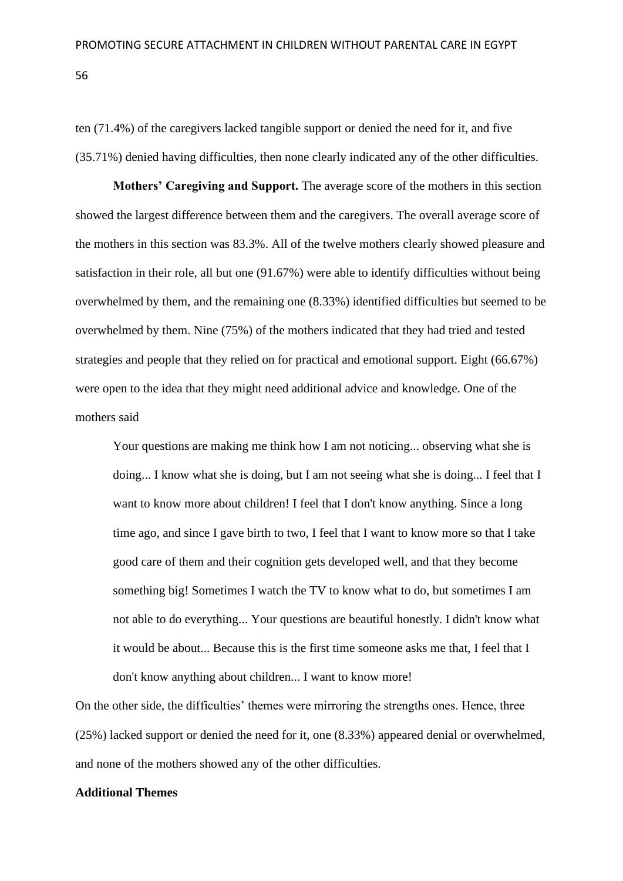ten (71.4%) of the caregivers lacked tangible support or denied the need for it, and five (35.71%) denied having difficulties, then none clearly indicated any of the other difficulties.

**Mothers' Caregiving and Support.** The average score of the mothers in this section showed the largest difference between them and the caregivers. The overall average score of the mothers in this section was 83.3%. All of the twelve mothers clearly showed pleasure and satisfaction in their role, all but one (91.67%) were able to identify difficulties without being overwhelmed by them, and the remaining one (8.33%) identified difficulties but seemed to be overwhelmed by them. Nine (75%) of the mothers indicated that they had tried and tested strategies and people that they relied on for practical and emotional support. Eight (66.67%) were open to the idea that they might need additional advice and knowledge. One of the mothers said

Your questions are making me think how I am not noticing... observing what she is doing... I know what she is doing, but I am not seeing what she is doing... I feel that I want to know more about children! I feel that I don't know anything. Since a long time ago, and since I gave birth to two, I feel that I want to know more so that I take good care of them and their cognition gets developed well, and that they become something big! Sometimes I watch the TV to know what to do, but sometimes I am not able to do everything... Your questions are beautiful honestly. I didn't know what it would be about... Because this is the first time someone asks me that, I feel that I don't know anything about children... I want to know more!

On the other side, the difficulties' themes were mirroring the strengths ones. Hence, three (25%) lacked support or denied the need for it, one (8.33%) appeared denial or overwhelmed, and none of the mothers showed any of the other difficulties.

#### **Additional Themes**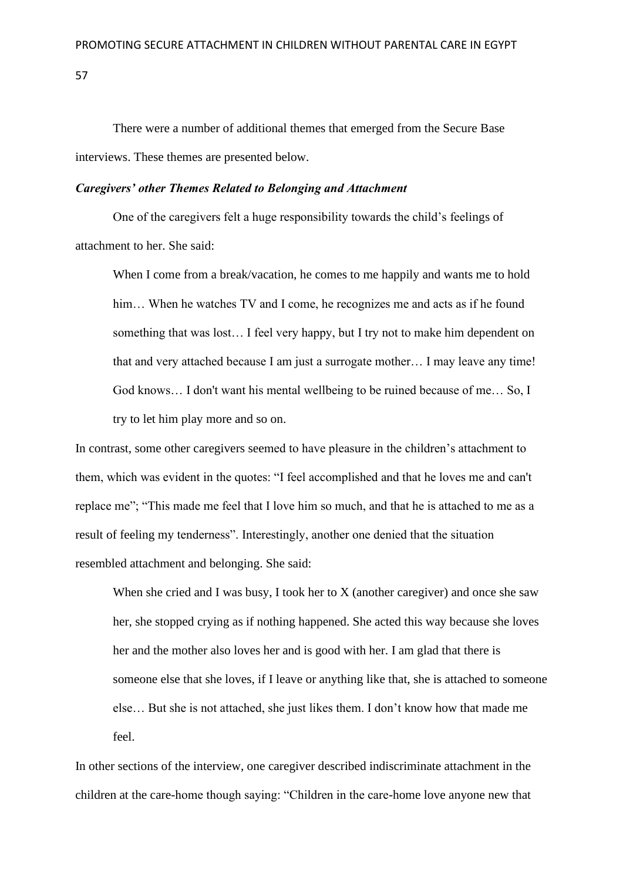There were a number of additional themes that emerged from the Secure Base interviews. These themes are presented below.

#### *Caregivers' other Themes Related to Belonging and Attachment*

One of the caregivers felt a huge responsibility towards the child's feelings of attachment to her. She said:

When I come from a break/vacation, he comes to me happily and wants me to hold him... When he watches TV and I come, he recognizes me and acts as if he found something that was lost… I feel very happy, but I try not to make him dependent on that and very attached because I am just a surrogate mother… I may leave any time! God knows… I don't want his mental wellbeing to be ruined because of me… So, I try to let him play more and so on.

In contrast, some other caregivers seemed to have pleasure in the children's attachment to them, which was evident in the quotes: "I feel accomplished and that he loves me and can't replace me"; "This made me feel that I love him so much, and that he is attached to me as a result of feeling my tenderness". Interestingly, another one denied that the situation resembled attachment and belonging. She said:

When she cried and I was busy, I took her to  $X$  (another caregiver) and once she saw her, she stopped crying as if nothing happened. She acted this way because she loves her and the mother also loves her and is good with her. I am glad that there is someone else that she loves, if I leave or anything like that, she is attached to someone else… But she is not attached, she just likes them. I don't know how that made me feel.

In other sections of the interview, one caregiver described indiscriminate attachment in the children at the care-home though saying: "Children in the care-home love anyone new that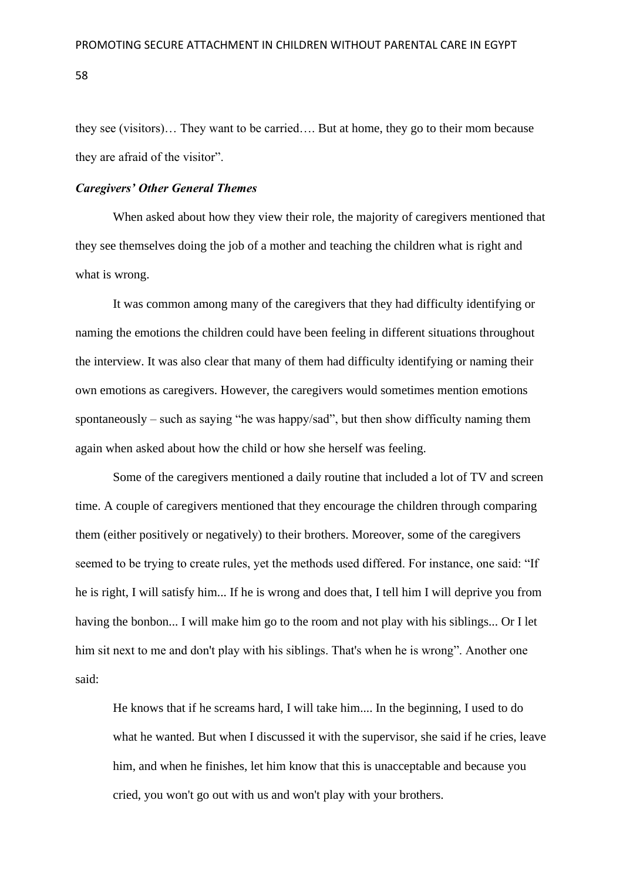they see (visitors)… They want to be carried…. But at home, they go to their mom because they are afraid of the visitor".

#### *Caregivers' Other General Themes*

When asked about how they view their role, the majority of caregivers mentioned that they see themselves doing the job of a mother and teaching the children what is right and what is wrong.

It was common among many of the caregivers that they had difficulty identifying or naming the emotions the children could have been feeling in different situations throughout the interview. It was also clear that many of them had difficulty identifying or naming their own emotions as caregivers. However, the caregivers would sometimes mention emotions spontaneously – such as saying "he was happy/sad", but then show difficulty naming them again when asked about how the child or how she herself was feeling.

Some of the caregivers mentioned a daily routine that included a lot of TV and screen time. A couple of caregivers mentioned that they encourage the children through comparing them (either positively or negatively) to their brothers. Moreover, some of the caregivers seemed to be trying to create rules, yet the methods used differed. For instance, one said: "If he is right, I will satisfy him... If he is wrong and does that, I tell him I will deprive you from having the bonbon... I will make him go to the room and not play with his siblings... Or I let him sit next to me and don't play with his siblings. That's when he is wrong". Another one said:

He knows that if he screams hard, I will take him.... In the beginning, I used to do what he wanted. But when I discussed it with the supervisor, she said if he cries, leave him, and when he finishes, let him know that this is unacceptable and because you cried, you won't go out with us and won't play with your brothers.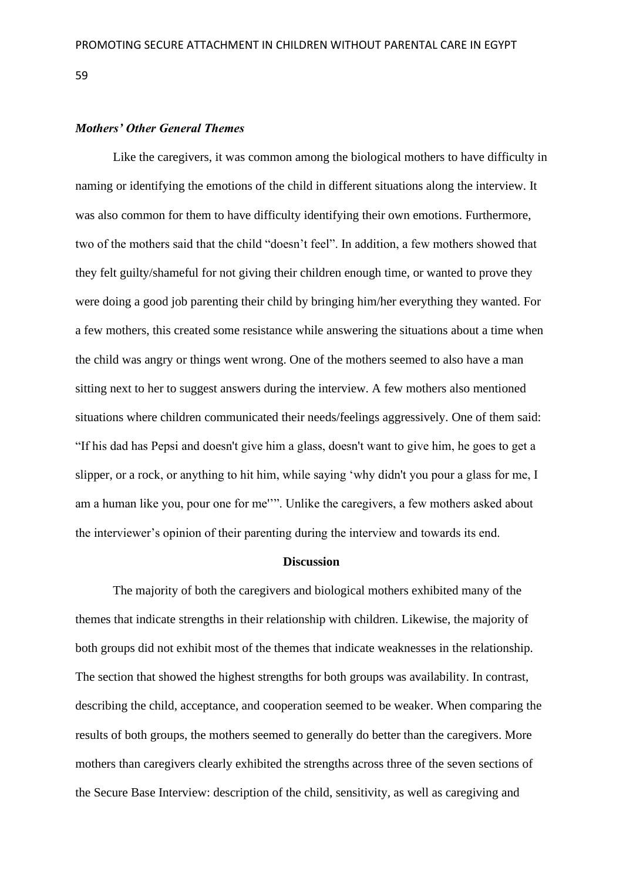# *Mothers' Other General Themes*

Like the caregivers, it was common among the biological mothers to have difficulty in naming or identifying the emotions of the child in different situations along the interview. It was also common for them to have difficulty identifying their own emotions. Furthermore, two of the mothers said that the child "doesn't feel". In addition, a few mothers showed that they felt guilty/shameful for not giving their children enough time, or wanted to prove they were doing a good job parenting their child by bringing him/her everything they wanted. For a few mothers, this created some resistance while answering the situations about a time when the child was angry or things went wrong. One of the mothers seemed to also have a man sitting next to her to suggest answers during the interview. A few mothers also mentioned situations where children communicated their needs/feelings aggressively. One of them said: "If his dad has Pepsi and doesn't give him a glass, doesn't want to give him, he goes to get a slipper, or a rock, or anything to hit him, while saying 'why didn't you pour a glass for me, I am a human like you, pour one for me''". Unlike the caregivers, a few mothers asked about the interviewer's opinion of their parenting during the interview and towards its end.

#### **Discussion**

The majority of both the caregivers and biological mothers exhibited many of the themes that indicate strengths in their relationship with children. Likewise, the majority of both groups did not exhibit most of the themes that indicate weaknesses in the relationship. The section that showed the highest strengths for both groups was availability. In contrast, describing the child, acceptance, and cooperation seemed to be weaker. When comparing the results of both groups, the mothers seemed to generally do better than the caregivers. More mothers than caregivers clearly exhibited the strengths across three of the seven sections of the Secure Base Interview: description of the child, sensitivity, as well as caregiving and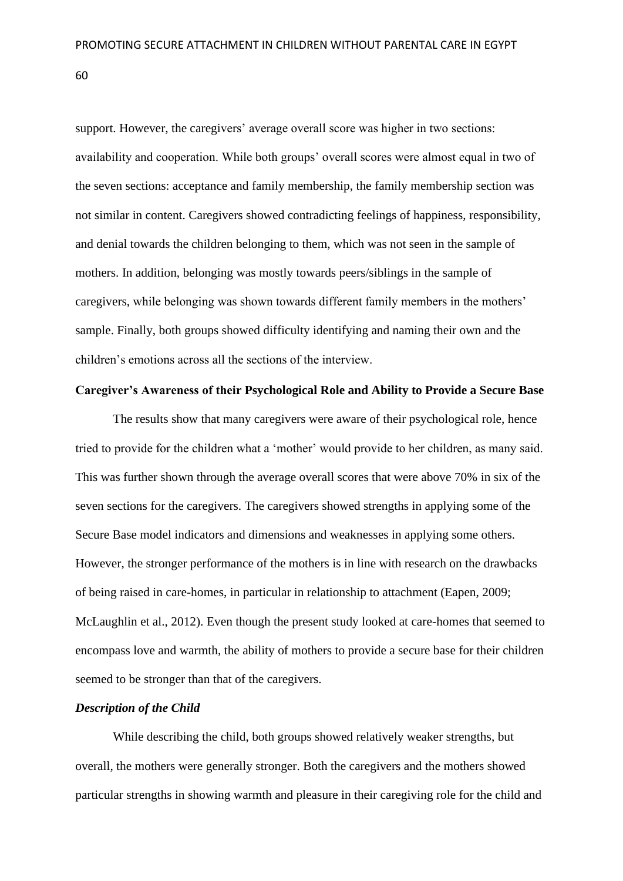support. However, the caregivers' average overall score was higher in two sections: availability and cooperation. While both groups' overall scores were almost equal in two of the seven sections: acceptance and family membership, the family membership section was not similar in content. Caregivers showed contradicting feelings of happiness, responsibility, and denial towards the children belonging to them, which was not seen in the sample of mothers. In addition, belonging was mostly towards peers/siblings in the sample of caregivers, while belonging was shown towards different family members in the mothers' sample. Finally, both groups showed difficulty identifying and naming their own and the children's emotions across all the sections of the interview.

# **Caregiver's Awareness of their Psychological Role and Ability to Provide a Secure Base**

The results show that many caregivers were aware of their psychological role, hence tried to provide for the children what a 'mother' would provide to her children, as many said. This was further shown through the average overall scores that were above 70% in six of the seven sections for the caregivers. The caregivers showed strengths in applying some of the Secure Base model indicators and dimensions and weaknesses in applying some others. However, the stronger performance of the mothers is in line with research on the drawbacks of being raised in care-homes, in particular in relationship to attachment (Eapen, 2009; McLaughlin et al., 2012). Even though the present study looked at care-homes that seemed to encompass love and warmth, the ability of mothers to provide a secure base for their children seemed to be stronger than that of the caregivers.

# *Description of the Child*

While describing the child, both groups showed relatively weaker strengths, but overall, the mothers were generally stronger. Both the caregivers and the mothers showed particular strengths in showing warmth and pleasure in their caregiving role for the child and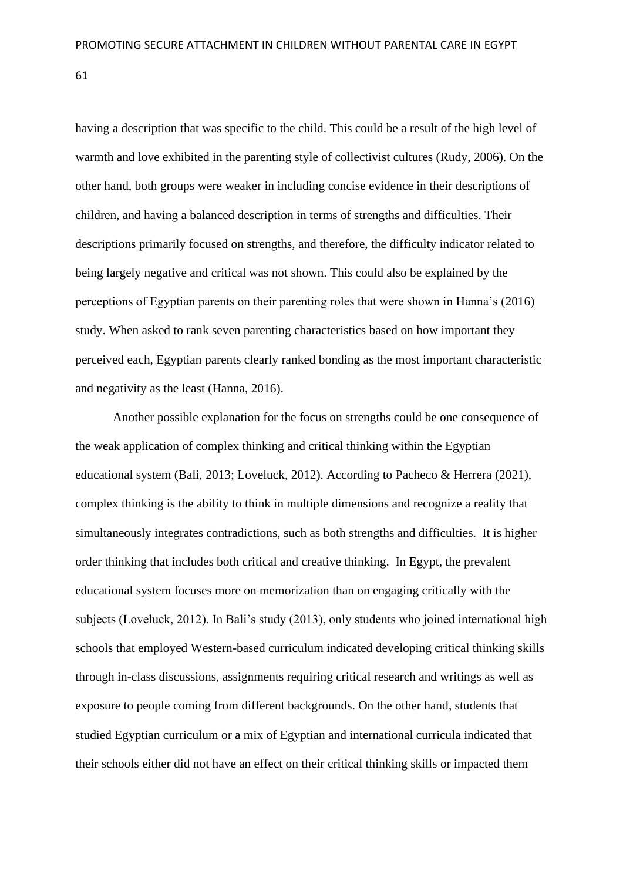having a description that was specific to the child. This could be a result of the high level of warmth and love exhibited in the parenting style of collectivist cultures (Rudy, 2006). On the other hand, both groups were weaker in including concise evidence in their descriptions of children, and having a balanced description in terms of strengths and difficulties. Their descriptions primarily focused on strengths, and therefore, the difficulty indicator related to being largely negative and critical was not shown. This could also be explained by the perceptions of Egyptian parents on their parenting roles that were shown in Hanna's (2016) study. When asked to rank seven parenting characteristics based on how important they perceived each, Egyptian parents clearly ranked bonding as the most important characteristic and negativity as the least (Hanna, 2016).

Another possible explanation for the focus on strengths could be one consequence of the weak application of complex thinking and critical thinking within the Egyptian educational system (Bali, 2013; Loveluck, 2012). According to Pacheco & Herrera (2021), complex thinking is the ability to think in multiple dimensions and recognize a reality that simultaneously integrates contradictions, such as both strengths and difficulties. It is higher order thinking that includes both critical and creative thinking. In Egypt, the prevalent educational system focuses more on memorization than on engaging critically with the subjects (Loveluck, 2012). In Bali's study (2013), only students who joined international high schools that employed Western-based curriculum indicated developing critical thinking skills through in-class discussions, assignments requiring critical research and writings as well as exposure to people coming from different backgrounds. On the other hand, students that studied Egyptian curriculum or a mix of Egyptian and international curricula indicated that their schools either did not have an effect on their critical thinking skills or impacted them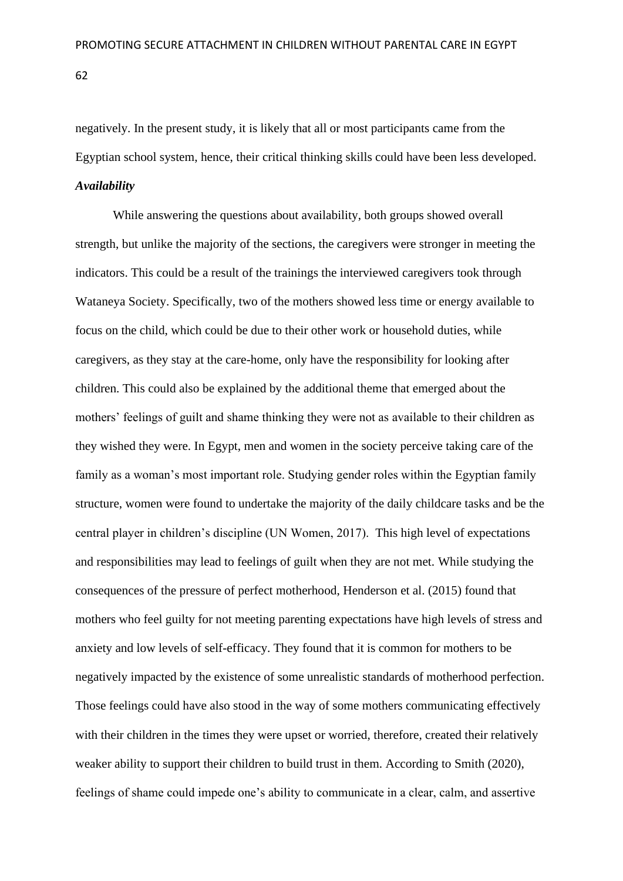negatively. In the present study, it is likely that all or most participants came from the Egyptian school system, hence, their critical thinking skills could have been less developed.

#### *Availability*

While answering the questions about availability, both groups showed overall strength, but unlike the majority of the sections, the caregivers were stronger in meeting the indicators. This could be a result of the trainings the interviewed caregivers took through Wataneya Society. Specifically, two of the mothers showed less time or energy available to focus on the child, which could be due to their other work or household duties, while caregivers, as they stay at the care-home, only have the responsibility for looking after children. This could also be explained by the additional theme that emerged about the mothers' feelings of guilt and shame thinking they were not as available to their children as they wished they were. In Egypt, men and women in the society perceive taking care of the family as a woman's most important role. Studying gender roles within the Egyptian family structure, women were found to undertake the majority of the daily childcare tasks and be the central player in children's discipline (UN Women, 2017). This high level of expectations and responsibilities may lead to feelings of guilt when they are not met. While studying the consequences of the pressure of perfect motherhood, Henderson et al. (2015) found that mothers who feel guilty for not meeting parenting expectations have high levels of stress and anxiety and low levels of self-efficacy. They found that it is common for mothers to be negatively impacted by the existence of some unrealistic standards of motherhood perfection. Those feelings could have also stood in the way of some mothers communicating effectively with their children in the times they were upset or worried, therefore, created their relatively weaker ability to support their children to build trust in them. According to Smith (2020), feelings of shame could impede one's ability to communicate in a clear, calm, and assertive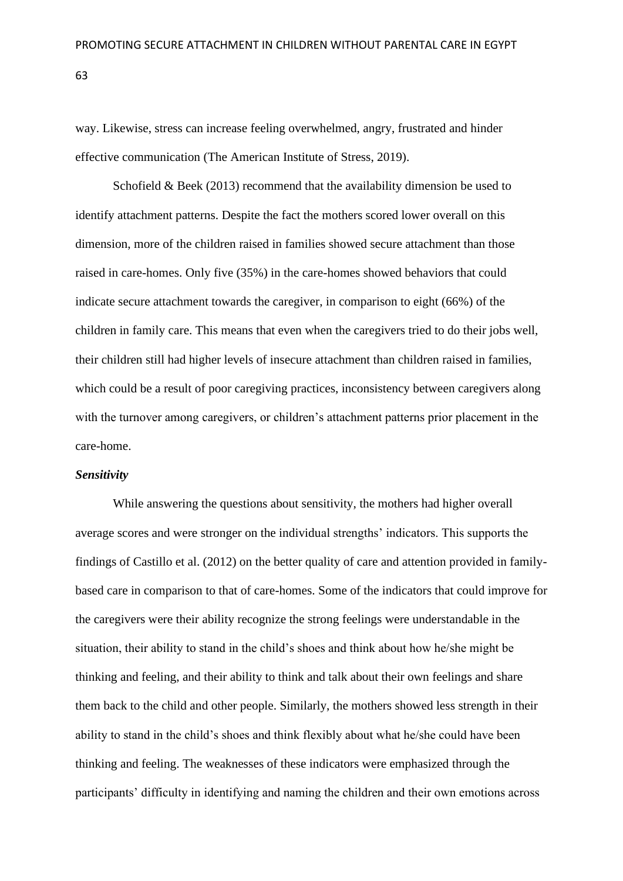way. Likewise, stress can increase feeling overwhelmed, angry, frustrated and hinder effective communication (The American Institute of Stress, 2019).

Schofield  $& Beek (2013)$  recommend that the availability dimension be used to identify attachment patterns. Despite the fact the mothers scored lower overall on this dimension, more of the children raised in families showed secure attachment than those raised in care-homes. Only five (35%) in the care-homes showed behaviors that could indicate secure attachment towards the caregiver, in comparison to eight (66%) of the children in family care. This means that even when the caregivers tried to do their jobs well, their children still had higher levels of insecure attachment than children raised in families, which could be a result of poor caregiving practices, inconsistency between caregivers along with the turnover among caregivers, or children's attachment patterns prior placement in the care-home.

# *Sensitivity*

While answering the questions about sensitivity, the mothers had higher overall average scores and were stronger on the individual strengths' indicators. This supports the findings of Castillo et al. (2012) on the better quality of care and attention provided in familybased care in comparison to that of care-homes. Some of the indicators that could improve for the caregivers were their ability recognize the strong feelings were understandable in the situation, their ability to stand in the child's shoes and think about how he/she might be thinking and feeling, and their ability to think and talk about their own feelings and share them back to the child and other people. Similarly, the mothers showed less strength in their ability to stand in the child's shoes and think flexibly about what he/she could have been thinking and feeling. The weaknesses of these indicators were emphasized through the participants' difficulty in identifying and naming the children and their own emotions across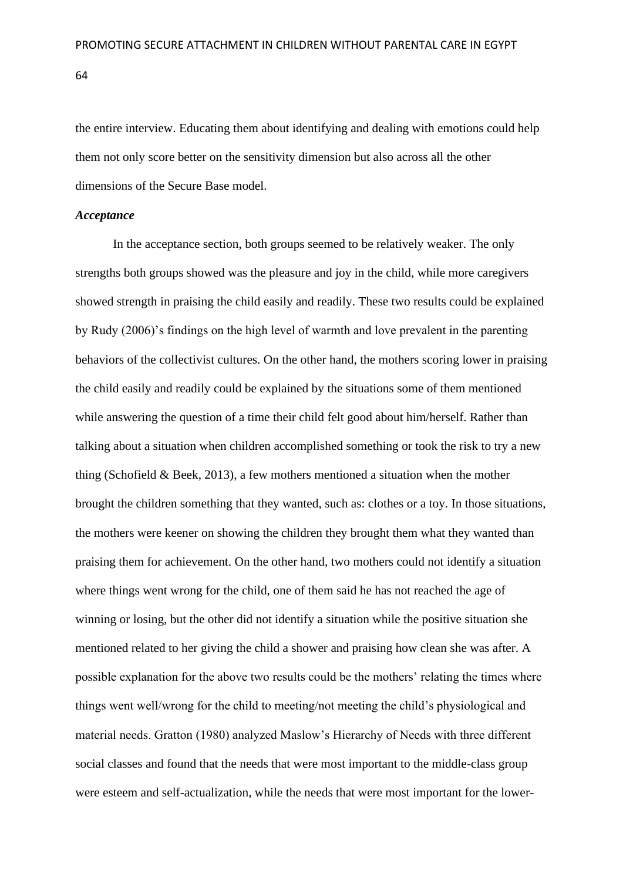the entire interview. Educating them about identifying and dealing with emotions could help them not only score better on the sensitivity dimension but also across all the other dimensions of the Secure Base model.

# *Acceptance*

In the acceptance section, both groups seemed to be relatively weaker. The only strengths both groups showed was the pleasure and joy in the child, while more caregivers showed strength in praising the child easily and readily. These two results could be explained by Rudy (2006)'s findings on the high level of warmth and love prevalent in the parenting behaviors of the collectivist cultures. On the other hand, the mothers scoring lower in praising the child easily and readily could be explained by the situations some of them mentioned while answering the question of a time their child felt good about him/herself. Rather than talking about a situation when children accomplished something or took the risk to try a new thing (Schofield  $& Beek, 2013$ ), a few mothers mentioned a situation when the mother brought the children something that they wanted, such as: clothes or a toy. In those situations, the mothers were keener on showing the children they brought them what they wanted than praising them for achievement. On the other hand, two mothers could not identify a situation where things went wrong for the child, one of them said he has not reached the age of winning or losing, but the other did not identify a situation while the positive situation she mentioned related to her giving the child a shower and praising how clean she was after. A possible explanation for the above two results could be the mothers' relating the times where things went well/wrong for the child to meeting/not meeting the child's physiological and material needs. Gratton (1980) analyzed Maslow's Hierarchy of Needs with three different social classes and found that the needs that were most important to the middle-class group were esteem and self-actualization, while the needs that were most important for the lower-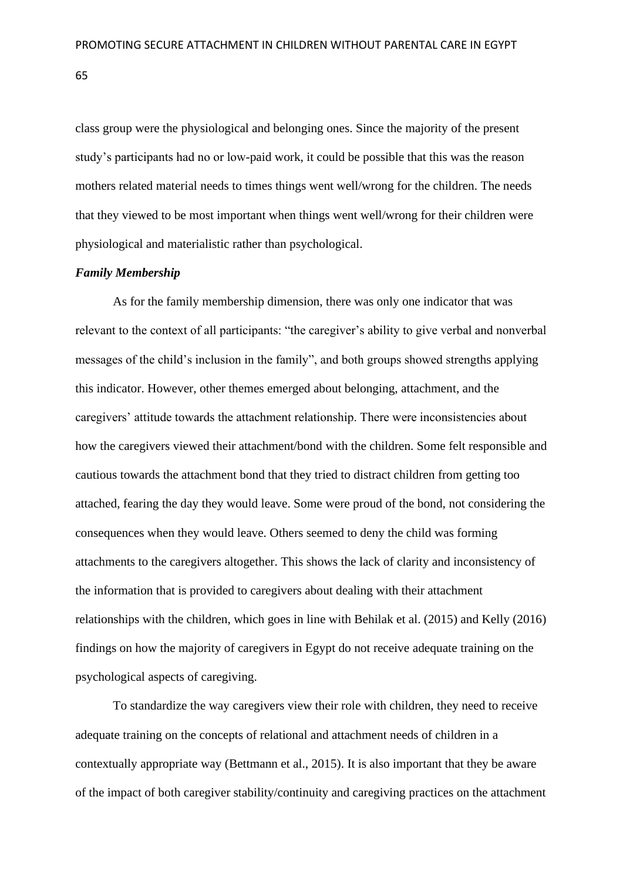class group were the physiological and belonging ones. Since the majority of the present study's participants had no or low-paid work, it could be possible that this was the reason mothers related material needs to times things went well/wrong for the children. The needs that they viewed to be most important when things went well/wrong for their children were physiological and materialistic rather than psychological.

# *Family Membership*

As for the family membership dimension, there was only one indicator that was relevant to the context of all participants: "the caregiver's ability to give verbal and nonverbal messages of the child's inclusion in the family", and both groups showed strengths applying this indicator. However, other themes emerged about belonging, attachment, and the caregivers' attitude towards the attachment relationship. There were inconsistencies about how the caregivers viewed their attachment/bond with the children. Some felt responsible and cautious towards the attachment bond that they tried to distract children from getting too attached, fearing the day they would leave. Some were proud of the bond, not considering the consequences when they would leave. Others seemed to deny the child was forming attachments to the caregivers altogether. This shows the lack of clarity and inconsistency of the information that is provided to caregivers about dealing with their attachment relationships with the children, which goes in line with Behilak et al. (2015) and Kelly (2016) findings on how the majority of caregivers in Egypt do not receive adequate training on the psychological aspects of caregiving.

To standardize the way caregivers view their role with children, they need to receive adequate training on the concepts of relational and attachment needs of children in a contextually appropriate way (Bettmann et al., 2015). It is also important that they be aware of the impact of both caregiver stability/continuity and caregiving practices on the attachment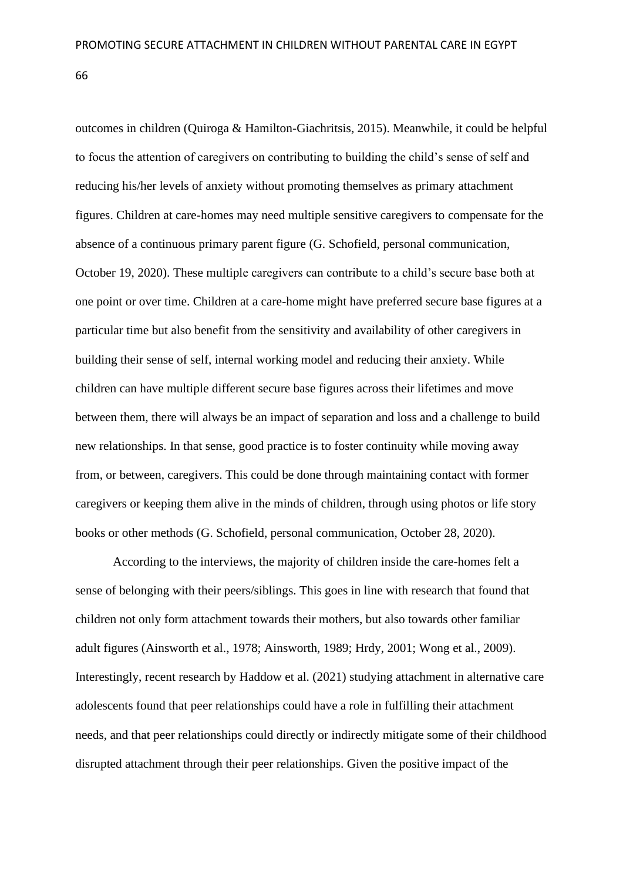outcomes in children (Quiroga & Hamilton-Giachritsis, 2015). Meanwhile, it could be helpful to focus the attention of caregivers on contributing to building the child's sense of self and reducing his/her levels of anxiety without promoting themselves as primary attachment figures. Children at care-homes may need multiple sensitive caregivers to compensate for the absence of a continuous primary parent figure (G. Schofield, personal communication, October 19, 2020). These multiple caregivers can contribute to a child's secure base both at one point or over time. Children at a care-home might have preferred secure base figures at a particular time but also benefit from the sensitivity and availability of other caregivers in building their sense of self, internal working model and reducing their anxiety. While children can have multiple different secure base figures across their lifetimes and move between them, there will always be an impact of separation and loss and a challenge to build new relationships. In that sense, good practice is to foster continuity while moving away from, or between, caregivers. This could be done through maintaining contact with former caregivers or keeping them alive in the minds of children, through using photos or life story books or other methods (G. Schofield, personal communication, October 28, 2020).

According to the interviews, the majority of children inside the care-homes felt a sense of belonging with their peers/siblings. This goes in line with research that found that children not only form attachment towards their mothers, but also towards other familiar adult figures (Ainsworth et al., 1978; Ainsworth, 1989; Hrdy, 2001; Wong et al., 2009). Interestingly, recent research by Haddow et al. (2021) studying attachment in alternative care adolescents found that peer relationships could have a role in fulfilling their attachment needs, and that peer relationships could directly or indirectly mitigate some of their childhood disrupted attachment through their peer relationships. Given the positive impact of the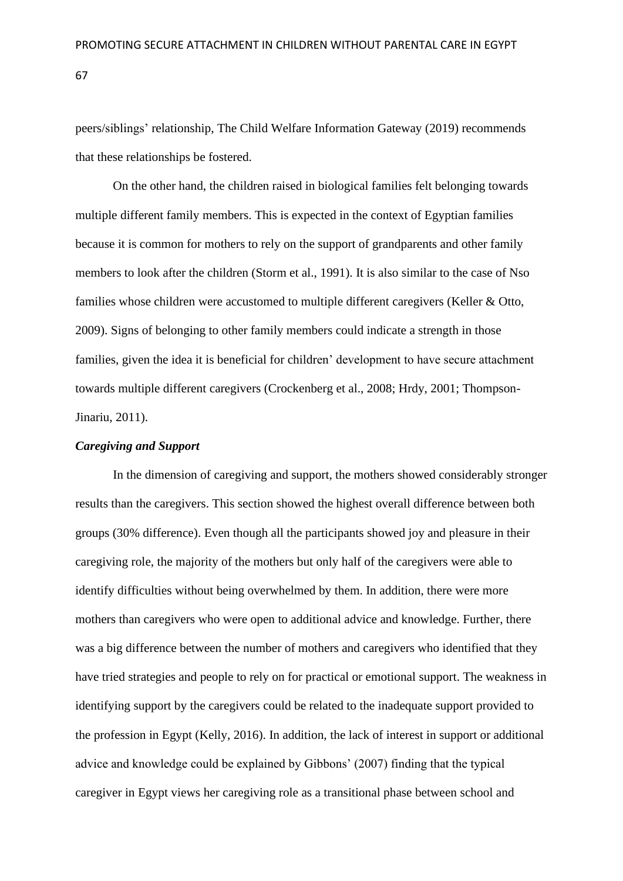peers/siblings' relationship, The Child Welfare Information Gateway (2019) recommends that these relationships be fostered.

On the other hand, the children raised in biological families felt belonging towards multiple different family members. This is expected in the context of Egyptian families because it is common for mothers to rely on the support of grandparents and other family members to look after the children (Storm et al., 1991). It is also similar to the case of Nso families whose children were accustomed to multiple different caregivers (Keller & Otto, 2009). Signs of belonging to other family members could indicate a strength in those families, given the idea it is beneficial for children' development to have secure attachment towards multiple different caregivers (Crockenberg et al., 2008; Hrdy, 2001; Thompson-Jinariu, 2011).

#### *Caregiving and Support*

In the dimension of caregiving and support, the mothers showed considerably stronger results than the caregivers. This section showed the highest overall difference between both groups (30% difference). Even though all the participants showed joy and pleasure in their caregiving role, the majority of the mothers but only half of the caregivers were able to identify difficulties without being overwhelmed by them. In addition, there were more mothers than caregivers who were open to additional advice and knowledge. Further, there was a big difference between the number of mothers and caregivers who identified that they have tried strategies and people to rely on for practical or emotional support. The weakness in identifying support by the caregivers could be related to the inadequate support provided to the profession in Egypt (Kelly, 2016). In addition, the lack of interest in support or additional advice and knowledge could be explained by Gibbons' (2007) finding that the typical caregiver in Egypt views her caregiving role as a transitional phase between school and

67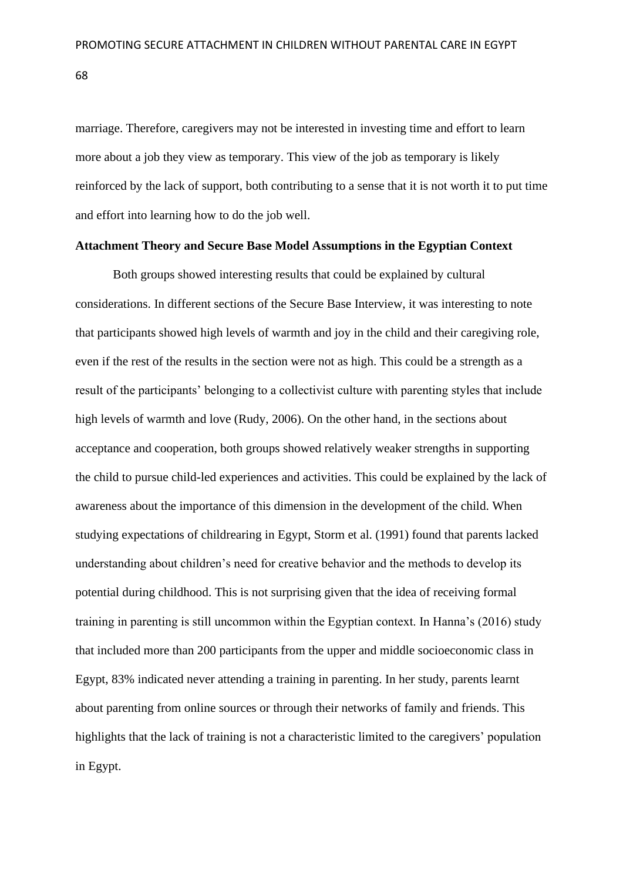marriage. Therefore, caregivers may not be interested in investing time and effort to learn more about a job they view as temporary. This view of the job as temporary is likely reinforced by the lack of support, both contributing to a sense that it is not worth it to put time and effort into learning how to do the job well.

#### **Attachment Theory and Secure Base Model Assumptions in the Egyptian Context**

Both groups showed interesting results that could be explained by cultural considerations. In different sections of the Secure Base Interview, it was interesting to note that participants showed high levels of warmth and joy in the child and their caregiving role, even if the rest of the results in the section were not as high. This could be a strength as a result of the participants' belonging to a collectivist culture with parenting styles that include high levels of warmth and love (Rudy, 2006). On the other hand, in the sections about acceptance and cooperation, both groups showed relatively weaker strengths in supporting the child to pursue child-led experiences and activities. This could be explained by the lack of awareness about the importance of this dimension in the development of the child. When studying expectations of childrearing in Egypt, Storm et al. (1991) found that parents lacked understanding about children's need for creative behavior and the methods to develop its potential during childhood. This is not surprising given that the idea of receiving formal training in parenting is still uncommon within the Egyptian context. In Hanna's (2016) study that included more than 200 participants from the upper and middle socioeconomic class in Egypt, 83% indicated never attending a training in parenting. In her study, parents learnt about parenting from online sources or through their networks of family and friends. This highlights that the lack of training is not a characteristic limited to the caregivers' population in Egypt.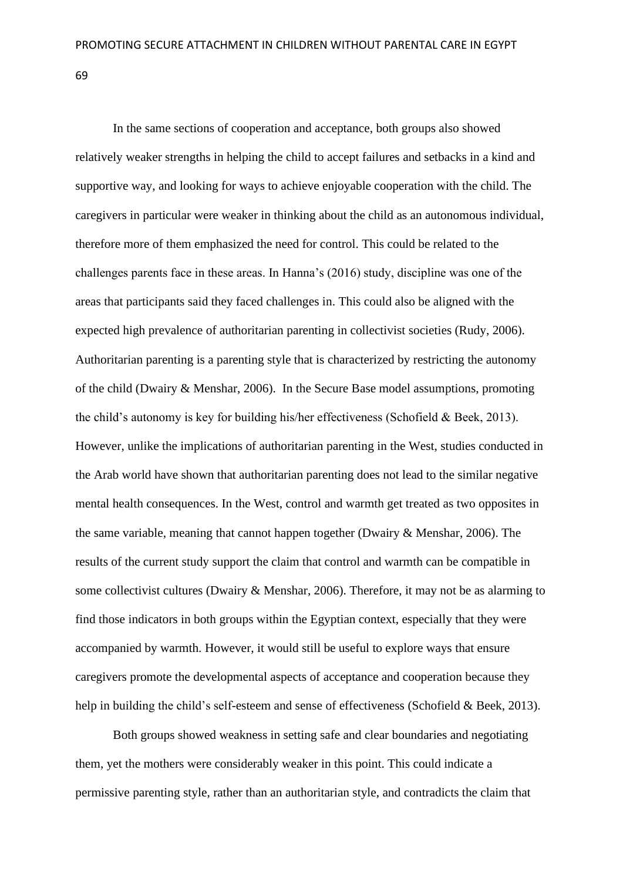In the same sections of cooperation and acceptance, both groups also showed relatively weaker strengths in helping the child to accept failures and setbacks in a kind and supportive way, and looking for ways to achieve enjoyable cooperation with the child. The caregivers in particular were weaker in thinking about the child as an autonomous individual, therefore more of them emphasized the need for control. This could be related to the challenges parents face in these areas. In Hanna's (2016) study, discipline was one of the areas that participants said they faced challenges in. This could also be aligned with the expected high prevalence of authoritarian parenting in collectivist societies (Rudy, 2006). Authoritarian parenting is a parenting style that is characterized by restricting the autonomy of the child (Dwairy & Menshar, 2006). In the Secure Base model assumptions, promoting the child's autonomy is key for building his/her effectiveness (Schofield & Beek, 2013). However, unlike the implications of authoritarian parenting in the West, studies conducted in the Arab world have shown that authoritarian parenting does not lead to the similar negative mental health consequences. In the West, control and warmth get treated as two opposites in the same variable, meaning that cannot happen together (Dwairy & Menshar, 2006). The results of the current study support the claim that control and warmth can be compatible in some collectivist cultures (Dwairy & Menshar, 2006). Therefore, it may not be as alarming to find those indicators in both groups within the Egyptian context, especially that they were accompanied by warmth. However, it would still be useful to explore ways that ensure caregivers promote the developmental aspects of acceptance and cooperation because they help in building the child's self-esteem and sense of effectiveness (Schofield & Beek, 2013).

Both groups showed weakness in setting safe and clear boundaries and negotiating them, yet the mothers were considerably weaker in this point. This could indicate a permissive parenting style, rather than an authoritarian style, and contradicts the claim that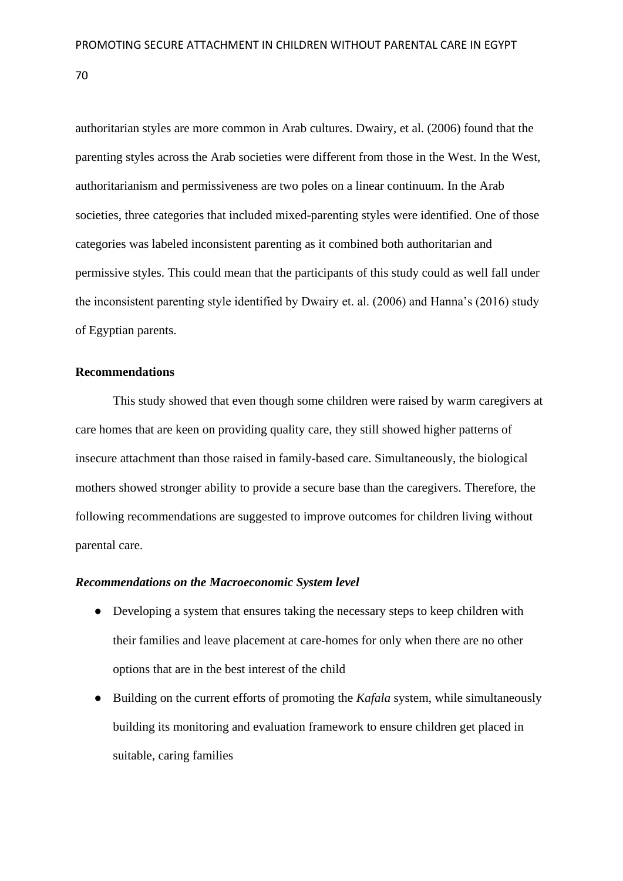authoritarian styles are more common in Arab cultures. Dwairy, et al. (2006) found that the parenting styles across the Arab societies were different from those in the West. In the West, authoritarianism and permissiveness are two poles on a linear continuum. In the Arab societies, three categories that included mixed-parenting styles were identified. One of those categories was labeled inconsistent parenting as it combined both authoritarian and permissive styles. This could mean that the participants of this study could as well fall under the inconsistent parenting style identified by Dwairy et. al. (2006) and Hanna's (2016) study of Egyptian parents.

# **Recommendations**

This study showed that even though some children were raised by warm caregivers at care homes that are keen on providing quality care, they still showed higher patterns of insecure attachment than those raised in family-based care. Simultaneously, the biological mothers showed stronger ability to provide a secure base than the caregivers. Therefore, the following recommendations are suggested to improve outcomes for children living without parental care.

# *Recommendations on the Macroeconomic System level*

- Developing a system that ensures taking the necessary steps to keep children with their families and leave placement at care-homes for only when there are no other options that are in the best interest of the child
- Building on the current efforts of promoting the *Kafala* system, while simultaneously building its monitoring and evaluation framework to ensure children get placed in suitable, caring families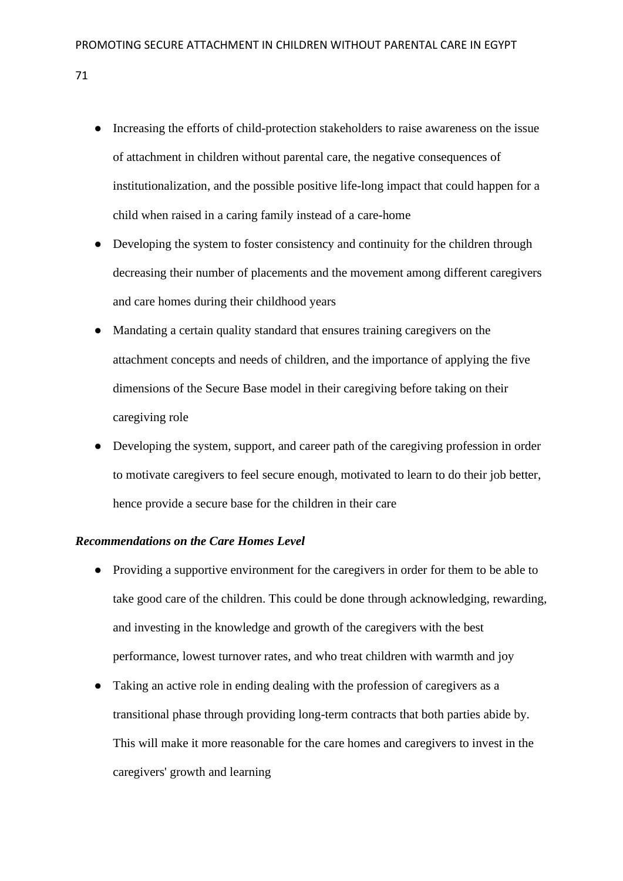- Increasing the efforts of child-protection stakeholders to raise awareness on the issue of attachment in children without parental care, the negative consequences of institutionalization, and the possible positive life-long impact that could happen for a child when raised in a caring family instead of a care-home
- Developing the system to foster consistency and continuity for the children through decreasing their number of placements and the movement among different caregivers and care homes during their childhood years
- Mandating a certain quality standard that ensures training caregivers on the attachment concepts and needs of children, and the importance of applying the five dimensions of the Secure Base model in their caregiving before taking on their caregiving role
- Developing the system, support, and career path of the caregiving profession in order to motivate caregivers to feel secure enough, motivated to learn to do their job better, hence provide a secure base for the children in their care

#### *Recommendations on the Care Homes Level*

- Providing a supportive environment for the caregivers in order for them to be able to take good care of the children. This could be done through acknowledging, rewarding, and investing in the knowledge and growth of the caregivers with the best performance, lowest turnover rates, and who treat children with warmth and joy
- Taking an active role in ending dealing with the profession of caregivers as a transitional phase through providing long-term contracts that both parties abide by. This will make it more reasonable for the care homes and caregivers to invest in the caregivers' growth and learning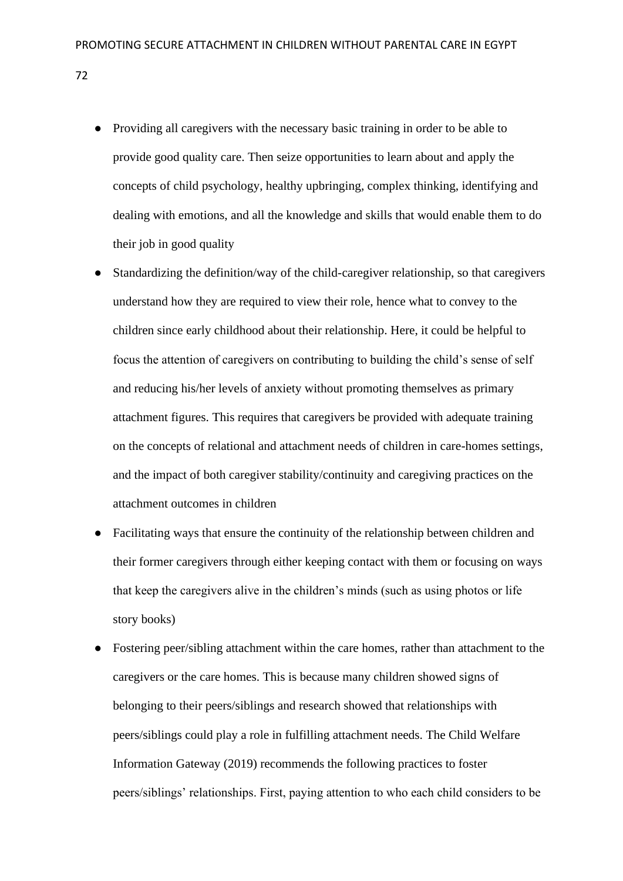- Providing all caregivers with the necessary basic training in order to be able to provide good quality care. Then seize opportunities to learn about and apply the concepts of child psychology, healthy upbringing, complex thinking, identifying and dealing with emotions, and all the knowledge and skills that would enable them to do their job in good quality
- Standardizing the definition/way of the child-caregiver relationship, so that caregivers understand how they are required to view their role, hence what to convey to the children since early childhood about their relationship. Here, it could be helpful to focus the attention of caregivers on contributing to building the child's sense of self and reducing his/her levels of anxiety without promoting themselves as primary attachment figures. This requires that caregivers be provided with adequate training on the concepts of relational and attachment needs of children in care-homes settings, and the impact of both caregiver stability/continuity and caregiving practices on the attachment outcomes in children
- Facilitating ways that ensure the continuity of the relationship between children and their former caregivers through either keeping contact with them or focusing on ways that keep the caregivers alive in the children's minds (such as using photos or life story books)
- Fostering peer/sibling attachment within the care homes, rather than attachment to the caregivers or the care homes. This is because many children showed signs of belonging to their peers/siblings and research showed that relationships with peers/siblings could play a role in fulfilling attachment needs. The Child Welfare Information Gateway (2019) recommends the following practices to foster peers/siblings' relationships. First, paying attention to who each child considers to be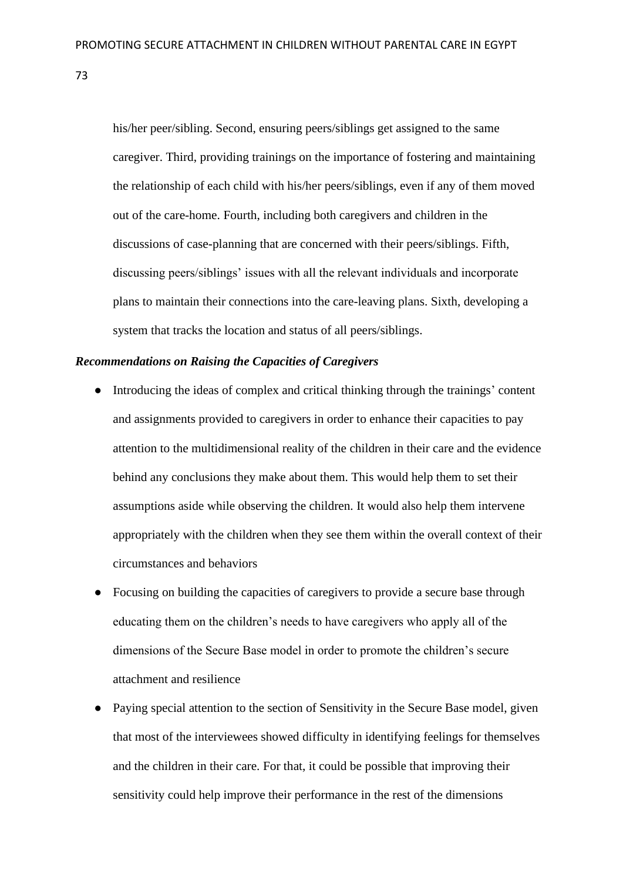his/her peer/sibling. Second, ensuring peers/siblings get assigned to the same caregiver. Third, providing trainings on the importance of fostering and maintaining the relationship of each child with his/her peers/siblings, even if any of them moved out of the care-home. Fourth, including both caregivers and children in the discussions of case-planning that are concerned with their peers/siblings. Fifth, discussing peers/siblings' issues with all the relevant individuals and incorporate plans to maintain their connections into the care-leaving plans. Sixth, developing a system that tracks the location and status of all peers/siblings.

# *Recommendations on Raising the Capacities of Caregivers*

- Introducing the ideas of complex and critical thinking through the trainings' content and assignments provided to caregivers in order to enhance their capacities to pay attention to the multidimensional reality of the children in their care and the evidence behind any conclusions they make about them. This would help them to set their assumptions aside while observing the children. It would also help them intervene appropriately with the children when they see them within the overall context of their circumstances and behaviors
- Focusing on building the capacities of caregivers to provide a secure base through educating them on the children's needs to have caregivers who apply all of the dimensions of the Secure Base model in order to promote the children's secure attachment and resilience
- Paying special attention to the section of Sensitivity in the Secure Base model, given that most of the interviewees showed difficulty in identifying feelings for themselves and the children in their care. For that, it could be possible that improving their sensitivity could help improve their performance in the rest of the dimensions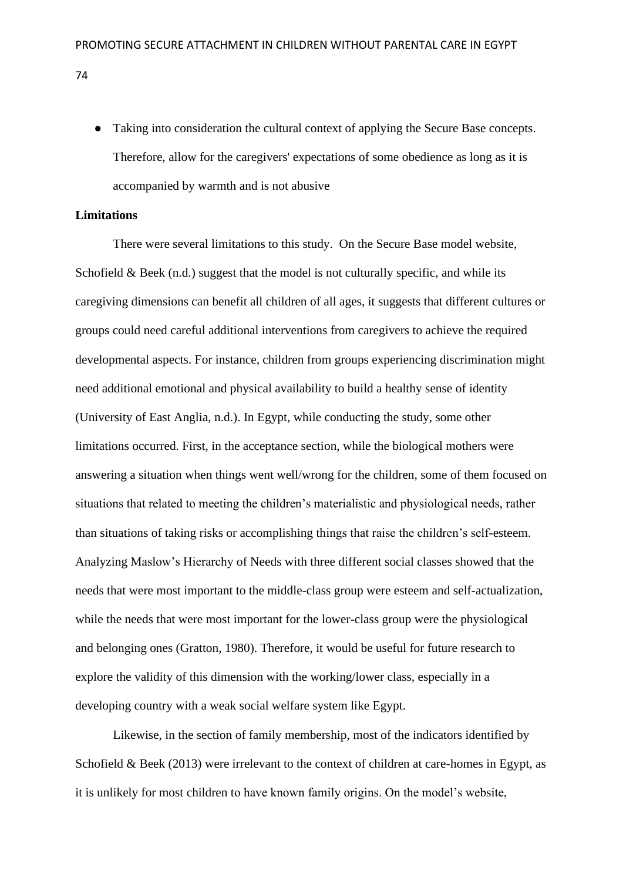● Taking into consideration the cultural context of applying the Secure Base concepts. Therefore, allow for the caregivers' expectations of some obedience as long as it is accompanied by warmth and is not abusive

# **Limitations**

There were several limitations to this study. On the Secure Base model website, Schofield  $&$  Beek (n.d.) suggest that the model is not culturally specific, and while its caregiving dimensions can benefit all children of all ages, it suggests that different cultures or groups could need careful additional interventions from caregivers to achieve the required developmental aspects. For instance, children from groups experiencing discrimination might need additional emotional and physical availability to build a healthy sense of identity (University of East Anglia, n.d.). In Egypt, while conducting the study, some other limitations occurred. First, in the acceptance section, while the biological mothers were answering a situation when things went well/wrong for the children, some of them focused on situations that related to meeting the children's materialistic and physiological needs, rather than situations of taking risks or accomplishing things that raise the children's self-esteem. Analyzing Maslow's Hierarchy of Needs with three different social classes showed that the needs that were most important to the middle-class group were esteem and self-actualization, while the needs that were most important for the lower-class group were the physiological and belonging ones (Gratton, 1980). Therefore, it would be useful for future research to explore the validity of this dimension with the working/lower class, especially in a developing country with a weak social welfare system like Egypt.

Likewise, in the section of family membership, most of the indicators identified by Schofield & Beek (2013) were irrelevant to the context of children at care-homes in Egypt, as it is unlikely for most children to have known family origins. On the model's website,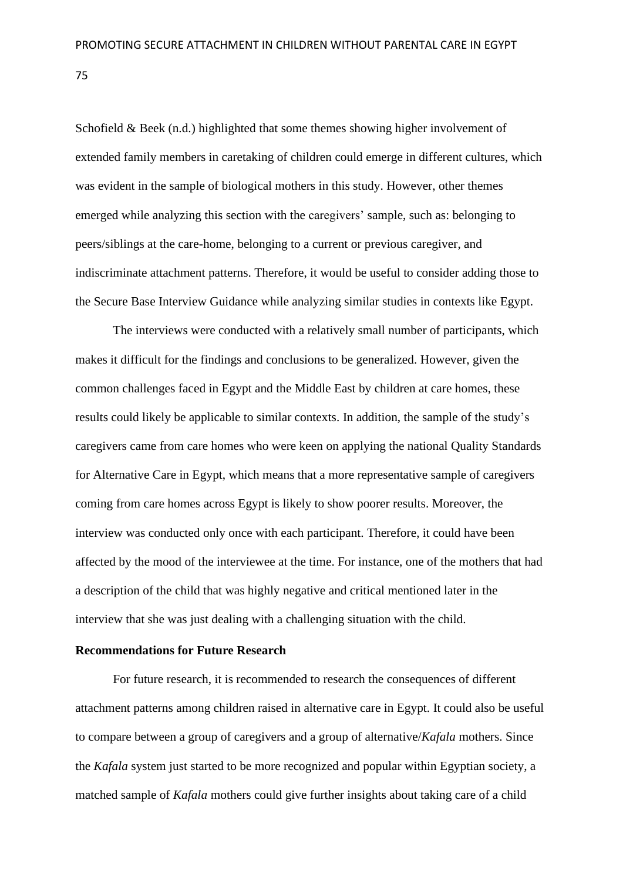Schofield & Beek (n.d.) highlighted that some themes showing higher involvement of extended family members in caretaking of children could emerge in different cultures, which was evident in the sample of biological mothers in this study. However, other themes emerged while analyzing this section with the caregivers' sample, such as: belonging to peers/siblings at the care-home, belonging to a current or previous caregiver, and indiscriminate attachment patterns. Therefore, it would be useful to consider adding those to the Secure Base Interview Guidance while analyzing similar studies in contexts like Egypt.

The interviews were conducted with a relatively small number of participants, which makes it difficult for the findings and conclusions to be generalized. However, given the common challenges faced in Egypt and the Middle East by children at care homes, these results could likely be applicable to similar contexts. In addition, the sample of the study's caregivers came from care homes who were keen on applying the national Quality Standards for Alternative Care in Egypt, which means that a more representative sample of caregivers coming from care homes across Egypt is likely to show poorer results. Moreover, the interview was conducted only once with each participant. Therefore, it could have been affected by the mood of the interviewee at the time. For instance, one of the mothers that had a description of the child that was highly negative and critical mentioned later in the interview that she was just dealing with a challenging situation with the child.

### **Recommendations for Future Research**

For future research, it is recommended to research the consequences of different attachment patterns among children raised in alternative care in Egypt. It could also be useful to compare between a group of caregivers and a group of alternative/*Kafala* mothers. Since the *Kafala* system just started to be more recognized and popular within Egyptian society, a matched sample of *Kafala* mothers could give further insights about taking care of a child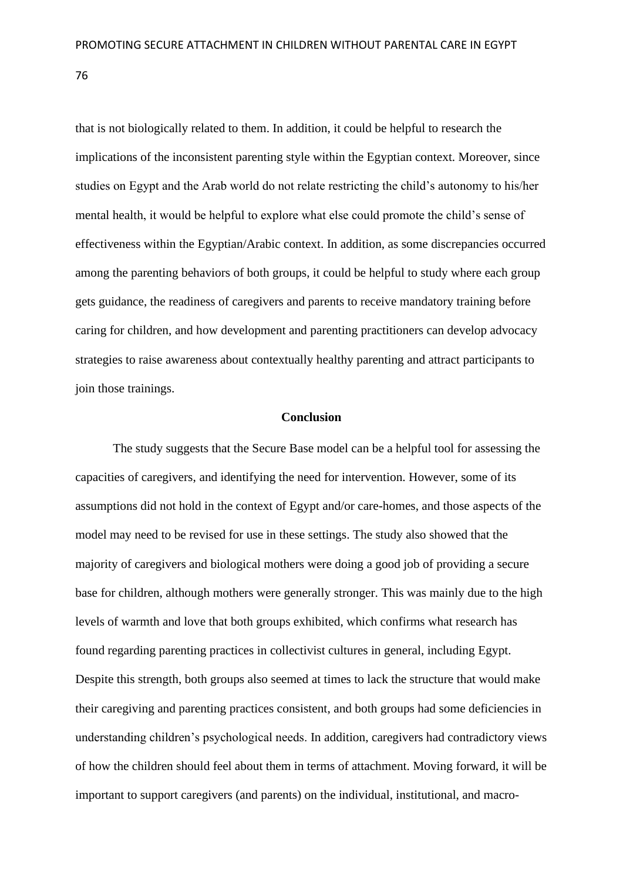that is not biologically related to them. In addition, it could be helpful to research the implications of the inconsistent parenting style within the Egyptian context. Moreover, since studies on Egypt and the Arab world do not relate restricting the child's autonomy to his/her mental health, it would be helpful to explore what else could promote the child's sense of effectiveness within the Egyptian/Arabic context. In addition, as some discrepancies occurred among the parenting behaviors of both groups, it could be helpful to study where each group gets guidance, the readiness of caregivers and parents to receive mandatory training before caring for children, and how development and parenting practitioners can develop advocacy strategies to raise awareness about contextually healthy parenting and attract participants to join those trainings.

#### **Conclusion**

The study suggests that the Secure Base model can be a helpful tool for assessing the capacities of caregivers, and identifying the need for intervention. However, some of its assumptions did not hold in the context of Egypt and/or care-homes, and those aspects of the model may need to be revised for use in these settings. The study also showed that the majority of caregivers and biological mothers were doing a good job of providing a secure base for children, although mothers were generally stronger. This was mainly due to the high levels of warmth and love that both groups exhibited, which confirms what research has found regarding parenting practices in collectivist cultures in general, including Egypt. Despite this strength, both groups also seemed at times to lack the structure that would make their caregiving and parenting practices consistent, and both groups had some deficiencies in understanding children's psychological needs. In addition, caregivers had contradictory views of how the children should feel about them in terms of attachment. Moving forward, it will be important to support caregivers (and parents) on the individual, institutional, and macro-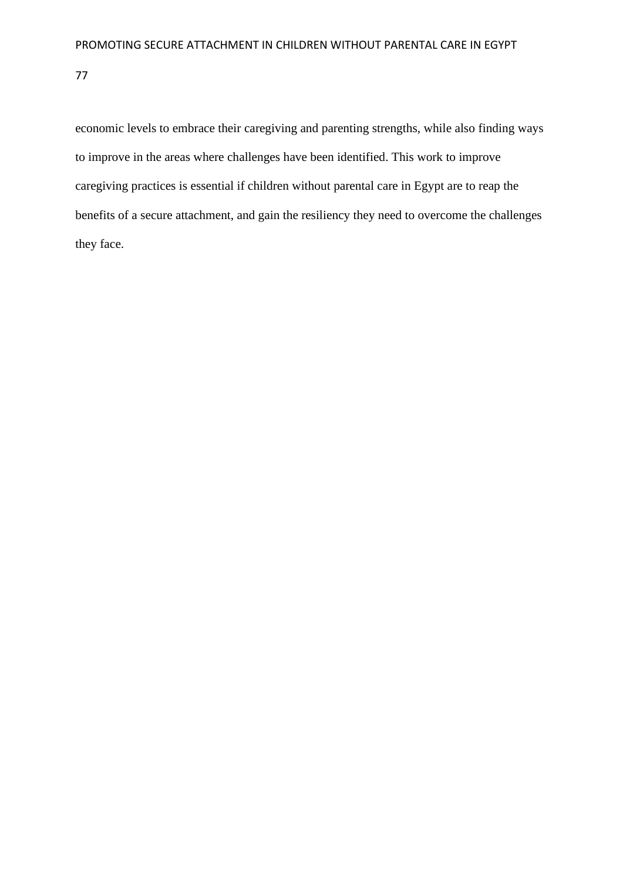economic levels to embrace their caregiving and parenting strengths, while also finding ways to improve in the areas where challenges have been identified. This work to improve caregiving practices is essential if children without parental care in Egypt are to reap the benefits of a secure attachment, and gain the resiliency they need to overcome the challenges they face.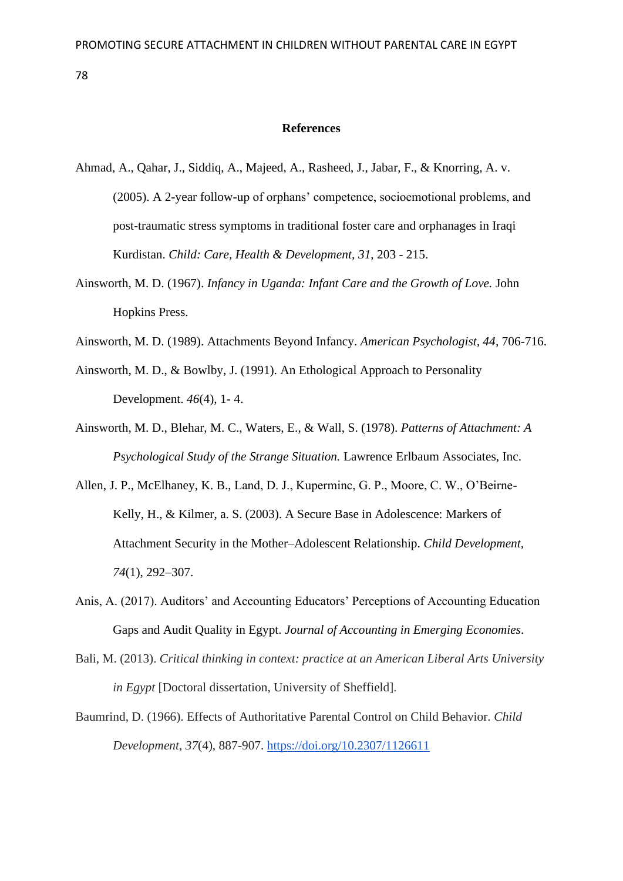#### **References**

- Ahmad, A., Qahar, J., Siddiq, A., Majeed, A., Rasheed, J., Jabar, F., & Knorring, A. v. (2005). A 2-year follow-up of orphans' competence, socioemotional problems, and post-traumatic stress symptoms in traditional foster care and orphanages in Iraqi Kurdistan. *Child: Care, Health & Development, 31*, 203 - 215.
- Ainsworth, M. D. (1967). *Infancy in Uganda: Infant Care and the Growth of Love.* John Hopkins Press.
- Ainsworth, M. D. (1989). Attachments Beyond Infancy. *American Psychologist, 44*, 706-716.
- Ainsworth, M. D., & Bowlby, J. (1991). An Ethological Approach to Personality Development. *46*(4), 1- 4.
- Ainsworth, M. D., Blehar, M. C., Waters, E., & Wall, S. (1978). *Patterns of Attachment: A Psychological Study of the Strange Situation.* Lawrence Erlbaum Associates, Inc.
- Allen, J. P., McElhaney, K. B., Land, D. J., Kuperminc, G. P., Moore, C. W., O'Beirne-Kelly, H., & Kilmer, a. S. (2003). A Secure Base in Adolescence: Markers of Attachment Security in the Mother–Adolescent Relationship. *Child Development, 74*(1), 292–307.
- Anis, A. (2017). Auditors' and Accounting Educators' Perceptions of Accounting Education Gaps and Audit Quality in Egypt. *Journal of Accounting in Emerging Economies*.
- Bali, M. (2013). *Critical thinking in context: practice at an American Liberal Arts University in Egypt* [Doctoral dissertation, University of Sheffield].
- Baumrind, D. (1966). Effects of Authoritative Parental Control on Child Behavior. *Child Development*, *37*(4), 887-907.<https://doi.org/10.2307/1126611>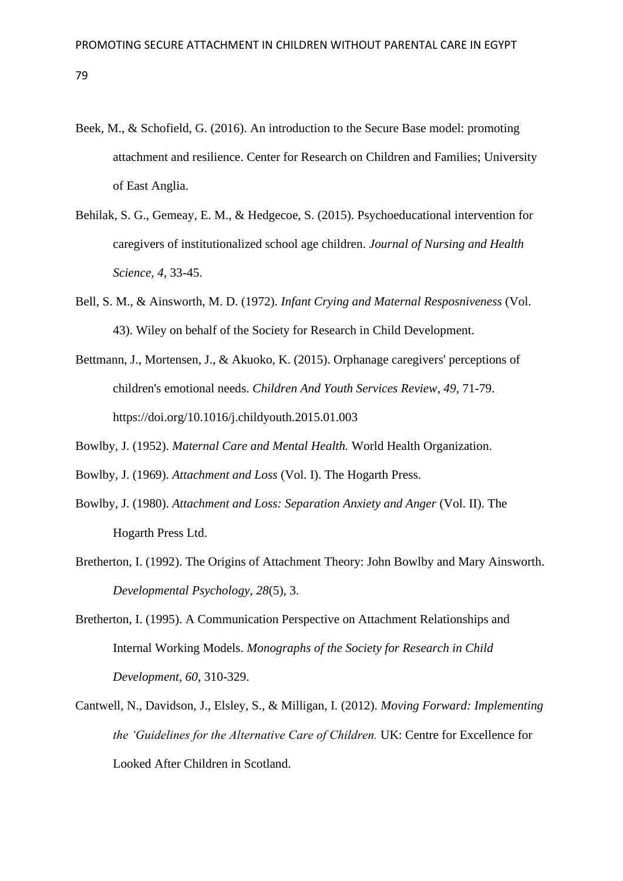- Beek, M., & Schofield, G. (2016). An introduction to the Secure Base model: promoting attachment and resilience. Center for Research on Children and Families; University of East Anglia.
- Behilak, S. G., Gemeay, E. M., & Hedgecoe, S. (2015). Psychoeducational intervention for caregivers of institutionalized school age children. *Journal of Nursing and Health Science, 4*, 33-45.
- Bell, S. M., & Ainsworth, M. D. (1972). *Infant Crying and Maternal Resposniveness* (Vol. 43). Wiley on behalf of the Society for Research in Child Development.
- Bettmann, J., Mortensen, J., & Akuoko, K. (2015). Orphanage caregivers' perceptions of children's emotional needs. *Children And Youth Services Review*, *49*, 71-79. https://doi.org/10.1016/j.childyouth.2015.01.003

Bowlby, J. (1952). *Maternal Care and Mental Health.* World Health Organization.

- Bowlby, J. (1969). *Attachment and Loss* (Vol. I). The Hogarth Press.
- Bowlby, J. (1980). *Attachment and Loss: Separation Anxiety and Anger* (Vol. II). The Hogarth Press Ltd.
- Bretherton, I. (1992). The Origins of Attachment Theory: John Bowlby and Mary Ainsworth. *Developmental Psychology, 28*(5), 3.
- Bretherton, I. (1995). A Communication Perspective on Attachment Relationships and Internal Working Models. *Monographs of the Society for Research in Child Development, 60*, 310-329.
- Cantwell, N., Davidson, J., Elsley, S., & Milligan, I. (2012). *Moving Forward: Implementing the 'Guidelines for the Alternative Care of Children.* UK: Centre for Excellence for Looked After Children in Scotland.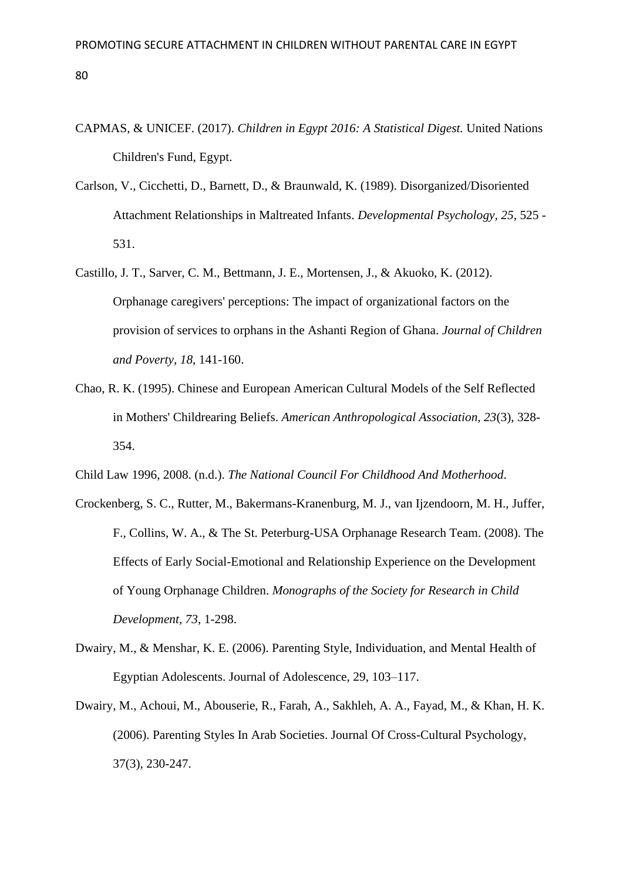- CAPMAS, & UNICEF. (2017). *Children in Egypt 2016: A Statistical Digest.* United Nations Children's Fund, Egypt.
- Carlson, V., Cicchetti, D., Barnett, D., & Braunwald, K. (1989). Disorganized/Disoriented Attachment Relationships in Maltreated Infants. *Developmental Psychology, 25*, 525 - 531.
- Castillo, J. T., Sarver, C. M., Bettmann, J. E., Mortensen, J., & Akuoko, K. (2012). Orphanage caregivers' perceptions: The impact of organizational factors on the provision of services to orphans in the Ashanti Region of Ghana. *Journal of Children and Poverty, 18*, 141-160.
- Chao, R. K. (1995). Chinese and European American Cultural Models of the Self Reflected in Mothers' Childrearing Beliefs. *American Anthropological Association, 23*(3), 328- 354.
- Child Law 1996, 2008. (n.d.). *The National Council For Childhood And Motherhood*.
- Crockenberg, S. C., Rutter, M., Bakermans-Kranenburg, M. J., van Ijzendoorn, M. H., Juffer, F., Collins, W. A., & The St. Peterburg-USA Orphanage Research Team. (2008). The Effects of Early Social-Emotional and Relationship Experience on the Development of Young Orphanage Children. *Monographs of the Society for Research in Child Development, 73*, 1-298.
- Dwairy, M., & Menshar, K. E. (2006). Parenting Style, Individuation, and Mental Health of Egyptian Adolescents. Journal of Adolescence, 29, 103–117.
- Dwairy, M., Achoui, M., Abouserie, R., Farah, A., Sakhleh, A. A., Fayad, M., & Khan, H. K. (2006). Parenting Styles In Arab Societies. Journal Of Cross-Cultural Psychology, 37(3), 230-247.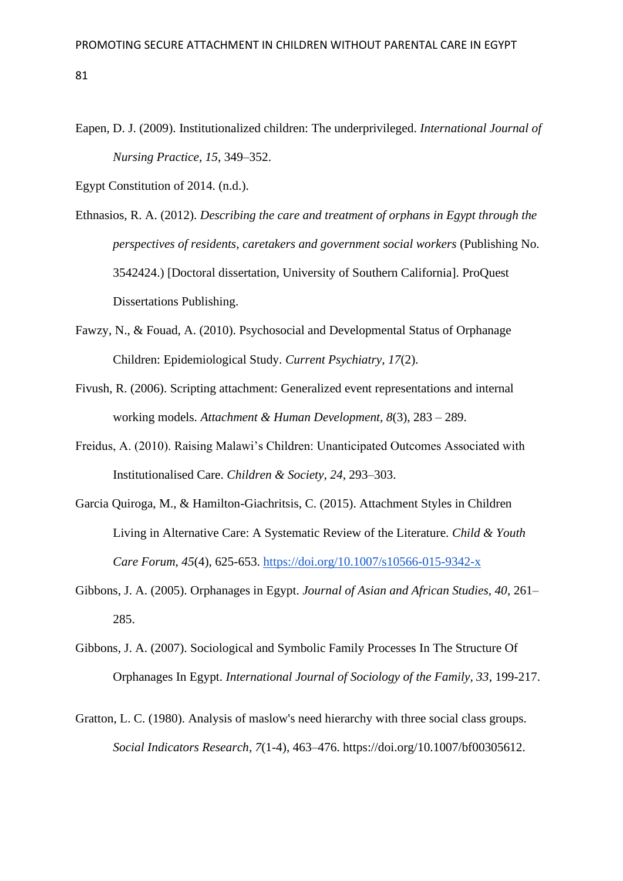- Eapen, D. J. (2009). Institutionalized children: The underprivileged. *International Journal of Nursing Practice, 15*, 349–352.
- Egypt Constitution of 2014. (n.d.).
- Ethnasios, R. A. (2012). *Describing the care and treatment of orphans in Egypt through the perspectives of residents, caretakers and government social workers* (Publishing No. 3542424.) [Doctoral dissertation, University of Southern California]. ProQuest Dissertations Publishing.
- Fawzy, N., & Fouad, A. (2010). Psychosocial and Developmental Status of Orphanage Children: Epidemiological Study. *Current Psychiatry, 17*(2).
- Fivush, R. (2006). Scripting attachment: Generalized event representations and internal working models. *Attachment & Human Development, 8*(3), 283 – 289.
- Freidus, A. (2010). Raising Malawi's Children: Unanticipated Outcomes Associated with Institutionalised Care. *Children & Society, 24*, 293–303.
- Garcia Quiroga, M., & Hamilton-Giachritsis, C. (2015). Attachment Styles in Children Living in Alternative Care: A Systematic Review of the Literature. *Child & Youth Care Forum*, *45*(4), 625-653.<https://doi.org/10.1007/s10566-015-9342-x>
- Gibbons, J. A. (2005). Orphanages in Egypt. *Journal of Asian and African Studies, 40*, 261– 285.
- Gibbons, J. A. (2007). Sociological and Symbolic Family Processes In The Structure Of Orphanages In Egypt. *International Journal of Sociology of the Family, 33*, 199-217.
- Gratton, L. C. (1980). Analysis of maslow's need hierarchy with three social class groups. *Social Indicators Research*, *7*(1-4), 463–476. https://doi.org/10.1007/bf00305612.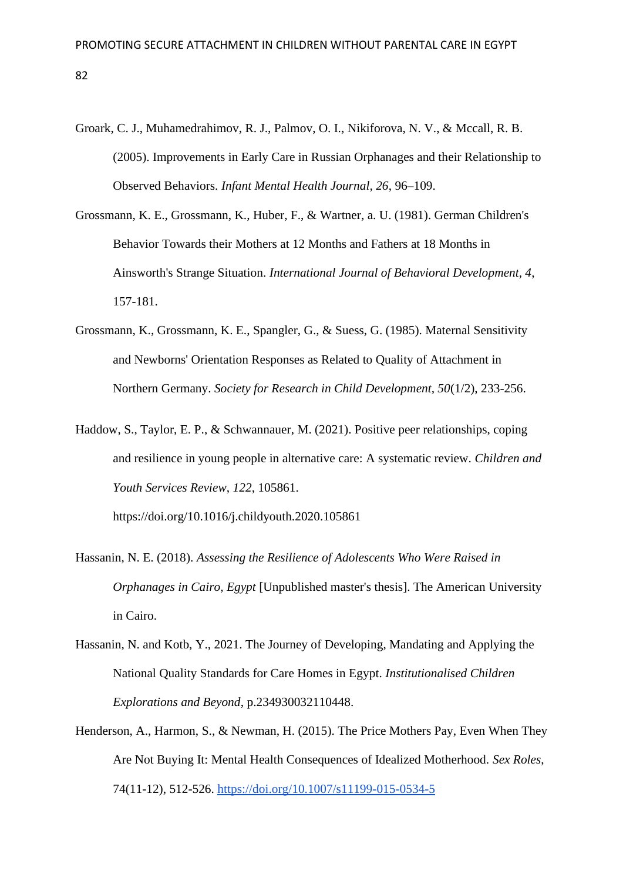- Groark, C. J., Muhamedrahimov, R. J., Palmov, O. I., Nikiforova, N. V., & Mccall, R. B. (2005). Improvements in Early Care in Russian Orphanages and their Relationship to Observed Behaviors. *Infant Mental Health Journal, 26*, 96–109.
- Grossmann, K. E., Grossmann, K., Huber, F., & Wartner, a. U. (1981). German Children's Behavior Towards their Mothers at 12 Months and Fathers at 18 Months in Ainsworth's Strange Situation. *International Journal of Behavioral Development, 4*, 157-181.
- Grossmann, K., Grossmann, K. E., Spangler, G., & Suess, G. (1985). Maternal Sensitivity and Newborns' Orientation Responses as Related to Quality of Attachment in Northern Germany. *Society for Research in Child Development, 50*(1/2), 233-256.
- Haddow, S., Taylor, E. P., & Schwannauer, M. (2021). Positive peer relationships, coping and resilience in young people in alternative care: A systematic review. *Children and Youth Services Review*, *122*, 105861.

https://doi.org/10.1016/j.childyouth.2020.105861

- Hassanin, N. E. (2018). *Assessing the Resilience of Adolescents Who Were Raised in Orphanages in Cairo, Egypt* [Unpublished master's thesis]. The American University in Cairo.
- Hassanin, N. and Kotb, Y., 2021. The Journey of Developing, Mandating and Applying the National Quality Standards for Care Homes in Egypt. *Institutionalised Children Explorations and Beyond*, p.234930032110448.
- Henderson, A., Harmon, S., & Newman, H. (2015). The Price Mothers Pay, Even When They Are Not Buying It: Mental Health Consequences of Idealized Motherhood. *Sex Roles*, 74(11-12), 512-526.<https://doi.org/10.1007/s11199-015-0534-5>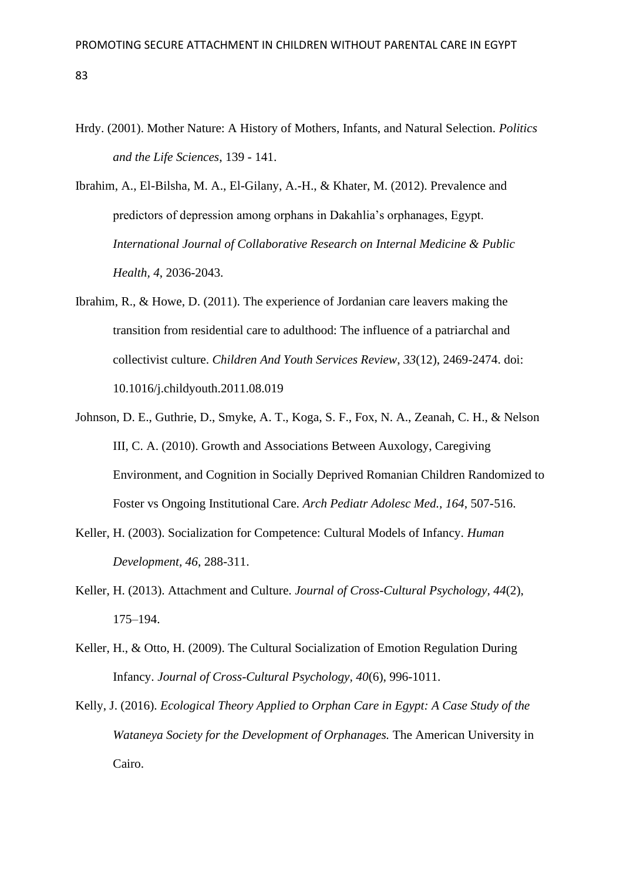- Hrdy. (2001). Mother Nature: A History of Mothers, Infants, and Natural Selection. *Politics and the Life Sciences*, 139 - 141.
- Ibrahim, A., El-Bilsha, M. A., El-Gilany, A.-H., & Khater, M. (2012). Prevalence and predictors of depression among orphans in Dakahlia's orphanages, Egypt. *International Journal of Collaborative Research on Internal Medicine & Public Health, 4*, 2036-2043.
- Ibrahim, R., & Howe, D. (2011). The experience of Jordanian care leavers making the transition from residential care to adulthood: The influence of a patriarchal and collectivist culture. *Children And Youth Services Review*, *33*(12), 2469-2474. doi: 10.1016/j.childyouth.2011.08.019
- Johnson, D. E., Guthrie, D., Smyke, A. T., Koga, S. F., Fox, N. A., Zeanah, C. H., & Nelson III, C. A. (2010). Growth and Associations Between Auxology, Caregiving Environment, and Cognition in Socially Deprived Romanian Children Randomized to Foster vs Ongoing Institutional Care. *Arch Pediatr Adolesc Med., 164*, 507-516.
- Keller, H. (2003). Socialization for Competence: Cultural Models of Infancy. *Human Development, 46*, 288-311.
- Keller, H. (2013). Attachment and Culture. *Journal of Cross-Cultural Psychology, 44*(2), 175–194.
- Keller, H., & Otto, H. (2009). The Cultural Socialization of Emotion Regulation During Infancy. *Journal of Cross-Cultural Psychology, 40*(6), 996-1011.
- Kelly, J. (2016). *Ecological Theory Applied to Orphan Care in Egypt: A Case Study of the Wataneya Society for the Development of Orphanages.* The American University in Cairo.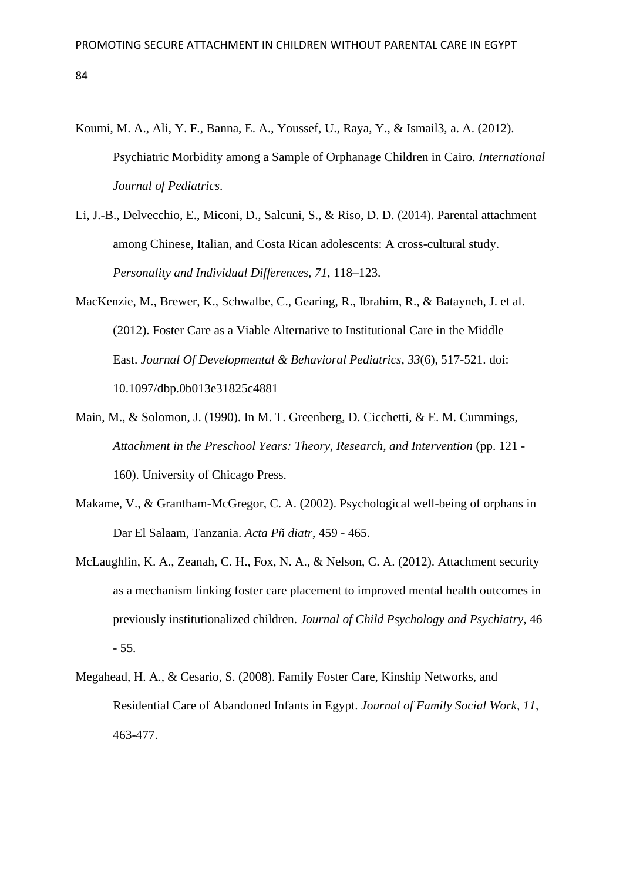- Koumi, M. A., Ali, Y. F., Banna, E. A., Youssef, U., Raya, Y., & Ismail3, a. A. (2012). Psychiatric Morbidity among a Sample of Orphanage Children in Cairo. *International Journal of Pediatrics*.
- Li, J.-B., Delvecchio, E., Miconi, D., Salcuni, S., & Riso, D. D. (2014). Parental attachment among Chinese, Italian, and Costa Rican adolescents: A cross-cultural study. *Personality and Individual Differences, 71*, 118–123.
- MacKenzie, M., Brewer, K., Schwalbe, C., Gearing, R., Ibrahim, R., & Batayneh, J. et al. (2012). Foster Care as a Viable Alternative to Institutional Care in the Middle East. *Journal Of Developmental & Behavioral Pediatrics*, *33*(6), 517-521. doi: 10.1097/dbp.0b013e31825c4881
- Main, M., & Solomon, J. (1990). In M. T. Greenberg, D. Cicchetti, & E. M. Cummings, *Attachment in the Preschool Years: Theory, Research, and Intervention* (pp. 121 - 160). University of Chicago Press.
- Makame, V., & Grantham-McGregor, C. A. (2002). Psychological well-being of orphans in Dar El Salaam, Tanzania. *Acta Pñ diatr*, 459 - 465.
- McLaughlin, K. A., Zeanah, C. H., Fox, N. A., & Nelson, C. A. (2012). Attachment security as a mechanism linking foster care placement to improved mental health outcomes in previously institutionalized children. *Journal of Child Psychology and Psychiatry*, 46 - 55.
- Megahead, H. A., & Cesario, S. (2008). Family Foster Care, Kinship Networks, and Residential Care of Abandoned Infants in Egypt. *Journal of Family Social Work, 11*, 463-477.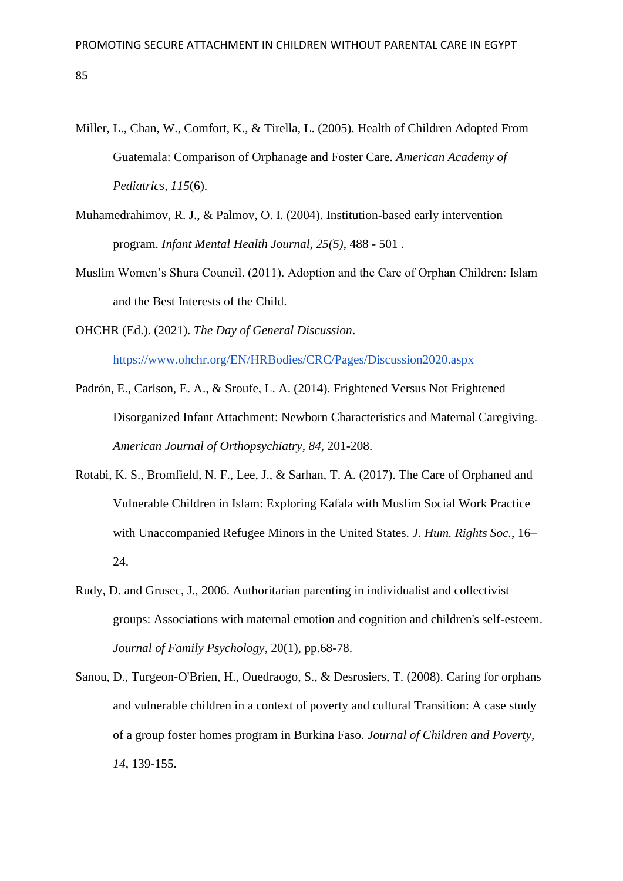- Miller, L., Chan, W., Comfort, K., & Tirella, L. (2005). Health of Children Adopted From Guatemala: Comparison of Orphanage and Foster Care. *American Academy of Pediatrics, 115*(6).
- Muhamedrahimov, R. J., & Palmov, O. I. (2004). Institution-based early intervention program. *Infant Mental Health Journal, 25(5)*, 488 - 501 .
- Muslim Women's Shura Council. (2011). Adoption and the Care of Orphan Children: Islam and the Best Interests of the Child.

OHCHR (Ed.). (2021). *The Day of General Discussion*.

<https://www.ohchr.org/EN/HRBodies/CRC/Pages/Discussion2020.aspx>

- Padrón, E., Carlson, E. A., & Sroufe, L. A. (2014). Frightened Versus Not Frightened Disorganized Infant Attachment: Newborn Characteristics and Maternal Caregiving. *American Journal of Orthopsychiatry, 84*, 201-208.
- Rotabi, K. S., Bromfield, N. F., Lee, J., & Sarhan, T. A. (2017). The Care of Orphaned and Vulnerable Children in Islam: Exploring Kafala with Muslim Social Work Practice with Unaccompanied Refugee Minors in the United States. *J. Hum. Rights Soc.*, 16– 24.
- Rudy, D. and Grusec, J., 2006. Authoritarian parenting in individualist and collectivist groups: Associations with maternal emotion and cognition and children's self-esteem. *Journal of Family Psychology*, 20(1), pp.68-78.
- Sanou, D., Turgeon-O'Brien, H., Ouedraogo, S., & Desrosiers, T. (2008). Caring for orphans and vulnerable children in a context of poverty and cultural Transition: A case study of a group foster homes program in Burkina Faso. *Journal of Children and Poverty, 14*, 139-155.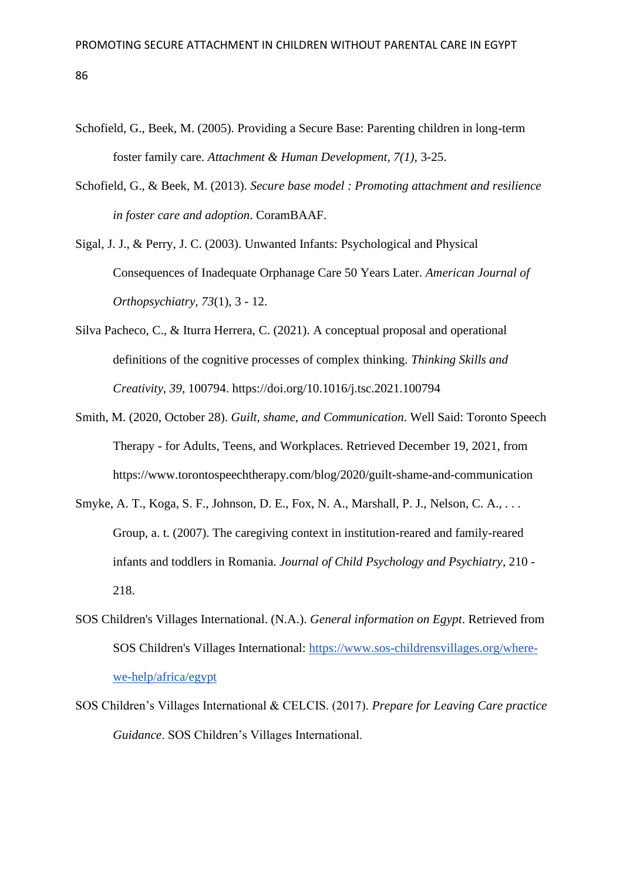- Schofield, G., Beek, M. (2005). Providing a Secure Base: Parenting children in long-term foster family care. *Attachment & Human Development, 7(1),* 3-25.
- Schofield, G., & Beek, M. (2013). *Secure base model : Promoting attachment and resilience in foster care and adoption*. CoramBAAF.
- Sigal, J. J., & Perry, J. C. (2003). Unwanted Infants: Psychological and Physical Consequences of Inadequate Orphanage Care 50 Years Later. *American Journal of Orthopsychiatry, 73*(1), 3 - 12.
- Silva Pacheco, C., & Iturra Herrera, C. (2021). A conceptual proposal and operational definitions of the cognitive processes of complex thinking. *Thinking Skills and Creativity*, *39*, 100794. https://doi.org/10.1016/j.tsc.2021.100794
- Smith, M. (2020, October 28). *Guilt, shame, and Communication*. Well Said: Toronto Speech Therapy - for Adults, Teens, and Workplaces. Retrieved December 19, 2021, from https://www.torontospeechtherapy.com/blog/2020/guilt-shame-and-communication
- Smyke, A. T., Koga, S. F., Johnson, D. E., Fox, N. A., Marshall, P. J., Nelson, C. A., . . . Group, a. t. (2007). The caregiving context in institution-reared and family-reared infants and toddlers in Romania. *Journal of Child Psychology and Psychiatry*, 210 - 218.
- SOS Children's Villages International. (N.A.). *General information on Egypt*. Retrieved from SOS Children's Villages International: [https://www.sos-childrensvillages.org/where](https://www.sos-childrensvillages.org/where-we-help/africa/egypt)[we-help/africa/egypt](https://www.sos-childrensvillages.org/where-we-help/africa/egypt)
- SOS Children's Villages International & CELCIS. (2017). *Prepare for Leaving Care practice Guidance*. SOS Children's Villages International.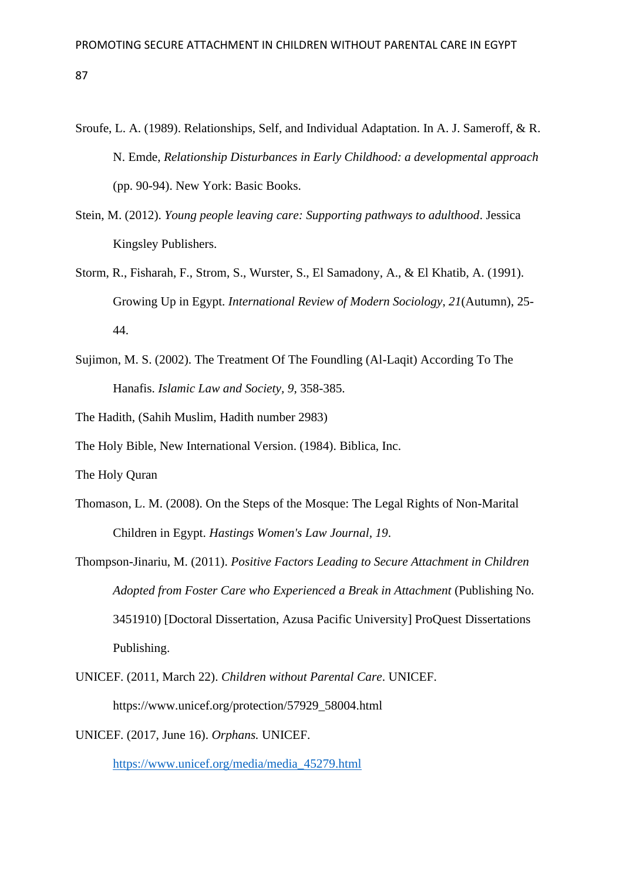- Sroufe, L. A. (1989). Relationships, Self, and Individual Adaptation. In A. J. Sameroff, & R. N. Emde, *Relationship Disturbances in Early Childhood: a developmental approach* (pp. 90-94). New York: Basic Books.
- Stein, M. (2012). *Young people leaving care: Supporting pathways to adulthood*. Jessica Kingsley Publishers.
- Storm, R., Fisharah, F., Strom, S., Wurster, S., El Samadony, A., & El Khatib, A. (1991). Growing Up in Egypt. *International Review of Modern Sociology*, *21*(Autumn), 25- 44.
- Sujimon, M. S. (2002). The Treatment Of The Foundling (Al-Laqit) According To The Hanafis. *Islamic Law and Society, 9*, 358-385.
- The Hadith, (Sahih Muslim, Hadith number 2983)
- The Holy Bible, New International Version. (1984). Biblica, Inc.

The Holy Quran

- Thomason, L. M. (2008). On the Steps of the Mosque: The Legal Rights of Non-Marital Children in Egypt. *Hastings Women's Law Journal, 19*.
- Thompson-Jinariu, M. (2011). *Positive Factors Leading to Secure Attachment in Children Adopted from Foster Care who Experienced a Break in Attachment* (Publishing No. 3451910) [Doctoral Dissertation, Azusa Pacific University] ProQuest Dissertations Publishing.
- UNICEF. (2011, March 22). *Children without Parental Care*. UNICEF. https://www.unicef.org/protection/57929\_58004.html

UNICEF. (2017, June 16). *Orphans.* UNICEF.

[https://www.unicef.org/media/media\\_45279.html](https://www.unicef.org/media/media_45279.html)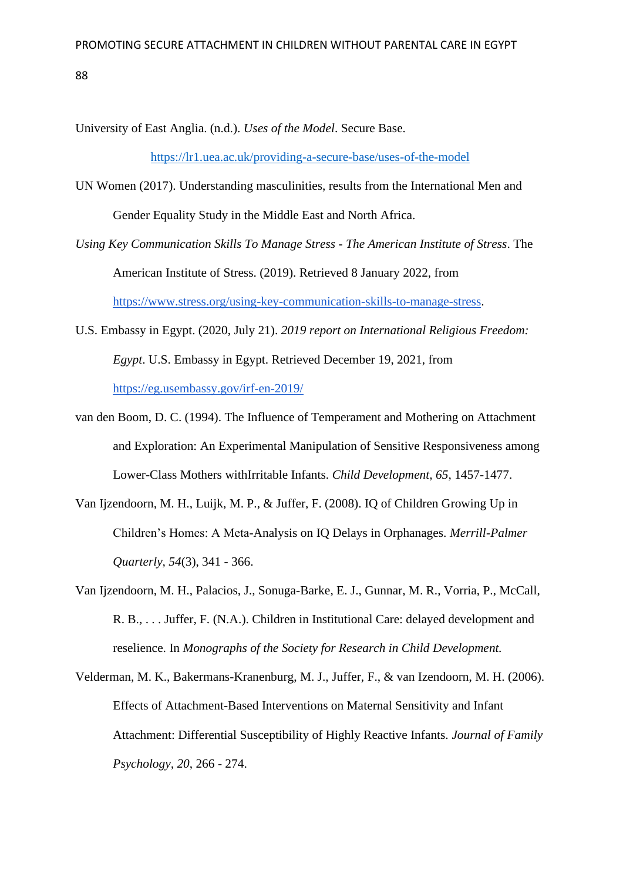University of East Anglia. (n.d.). *Uses of the Model*. Secure Base.

<https://lr1.uea.ac.uk/providing-a-secure-base/uses-of-the-model>

- UN Women (2017). Understanding masculinities, results from the International Men and Gender Equality Study in the Middle East and North Africa.
- *Using Key Communication Skills To Manage Stress - The American Institute of Stress*. The American Institute of Stress. (2019). Retrieved 8 January 2022, from [https://www.stress.org/using-key-communication-skills-to-manage-stress.](https://www.stress.org/using-key-communication-skills-to-manage-stress)
- U.S. Embassy in Egypt. (2020, July 21). *2019 report on International Religious Freedom: Egypt*. U.S. Embassy in Egypt. Retrieved December 19, 2021, from <https://eg.usembassy.gov/irf-en-2019/>
- van den Boom, D. C. (1994). The Influence of Temperament and Mothering on Attachment and Exploration: An Experimental Manipulation of Sensitive Responsiveness among Lower-Class Mothers withIrritable Infants. *Child Development, 65*, 1457-1477.
- Van Ijzendoorn, M. H., Luijk, M. P., & Juffer, F. (2008). IQ of Children Growing Up in Children's Homes: A Meta-Analysis on IQ Delays in Orphanages. *Merrill-Palmer Quarterly, 54*(3), 341 - 366.
- Van Ijzendoorn, M. H., Palacios, J., Sonuga-Barke, E. J., Gunnar, M. R., Vorria, P., McCall, R. B., . . . Juffer, F. (N.A.). Children in Institutional Care: delayed development and reselience. In *Monographs of the Society for Research in Child Development.*
- Velderman, M. K., Bakermans-Kranenburg, M. J., Juffer, F., & van Izendoorn, M. H. (2006). Effects of Attachment-Based Interventions on Maternal Sensitivity and Infant Attachment: Differential Susceptibility of Highly Reactive Infants. *Journal of Family Psychology, 20*, 266 - 274.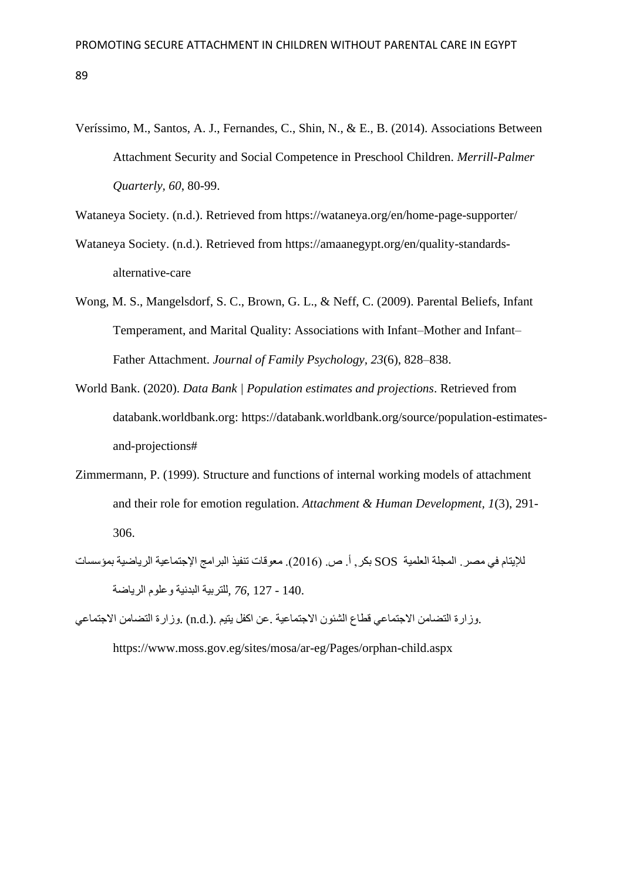Veríssimo, M., Santos, A. J., Fernandes, C., Shin, N., & E., B. (2014). Associations Between Attachment Security and Social Competence in Preschool Children. *Merrill-Palmer Quarterly, 60*, 80-99.

Wataneya Society. (n.d.). Retrieved from https://wataneya.org/en/home-page-supporter/

- Wataneya Society. (n.d.). Retrieved from https://amaanegypt.org/en/quality-standardsalternative-care
- Wong, M. S., Mangelsdorf, S. C., Brown, G. L., & Neff, C. (2009). Parental Beliefs, Infant Temperament, and Marital Quality: Associations with Infant–Mother and Infant– Father Attachment. *Journal of Family Psychology, 23*(6), 828–838.
- World Bank. (2020). *Data Bank | Population estimates and projections*. Retrieved from databank.worldbank.org: https://databank.worldbank.org/source/population-estimatesand-projections#
- Zimmermann, P. (1999). Structure and functions of internal working models of attachment and their role for emotion regulation. *Attachment & Human Development, 1*(3), 291- 306.
- للإبتام في مصر . المجلة العلمية SOS بكر, أ. ص. (2016). معوقات تنفيذ البرامج الإجتماعية الرياضية بمؤسسات 140. - 127 *76*, *,*للتربية البدنية وعلوم الرياضة
- .وزارة التضامن االجتماعي قطاع الشئون االجتماعية .عن اكفل يتيم .(.d.n (.وزارة التضامن االجتماعي

https://www.moss.gov.eg/sites/mosa/ar-eg/Pages/orphan-child.aspx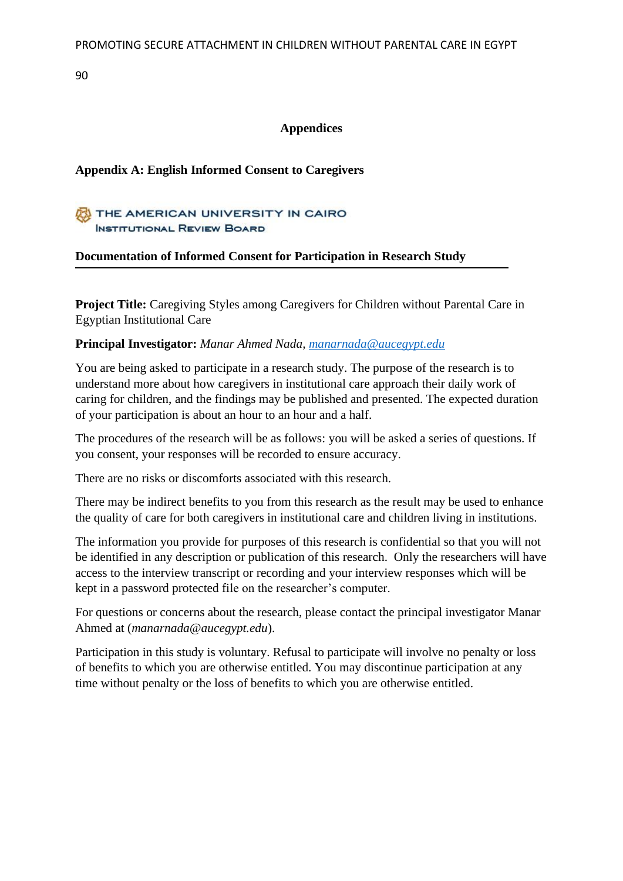# **Appendices**

# **Appendix A: English Informed Consent to Caregivers**

# THE AMERICAN UNIVERSITY IN CAIRO **INSTITUTIONAL REVIEW BOARD**

# **Documentation of Informed Consent for Participation in Research Study**

**Project Title:** Caregiving Styles among Caregivers for Children without Parental Care in Egyptian Institutional Care

# **Principal Investigator:** *Manar Ahmed Nada, [manarnada@aucegypt.edu](mailto:manarnada@aucegypt.edu)*

You are being asked to participate in a research study. The purpose of the research is to understand more about how caregivers in institutional care approach their daily work of caring for children, and the findings may be published and presented. The expected duration of your participation is about an hour to an hour and a half.

The procedures of the research will be as follows: you will be asked a series of questions. If you consent, your responses will be recorded to ensure accuracy.

There are no risks or discomforts associated with this research.

There may be indirect benefits to you from this research as the result may be used to enhance the quality of care for both caregivers in institutional care and children living in institutions.

The information you provide for purposes of this research is confidential so that you will not be identified in any description or publication of this research. Only the researchers will have access to the interview transcript or recording and your interview responses which will be kept in a password protected file on the researcher's computer.

For questions or concerns about the research, please contact the principal investigator Manar Ahmed at (*manarnada@aucegypt.edu*).

Participation in this study is voluntary. Refusal to participate will involve no penalty or loss of benefits to which you are otherwise entitled. You may discontinue participation at any time without penalty or the loss of benefits to which you are otherwise entitled.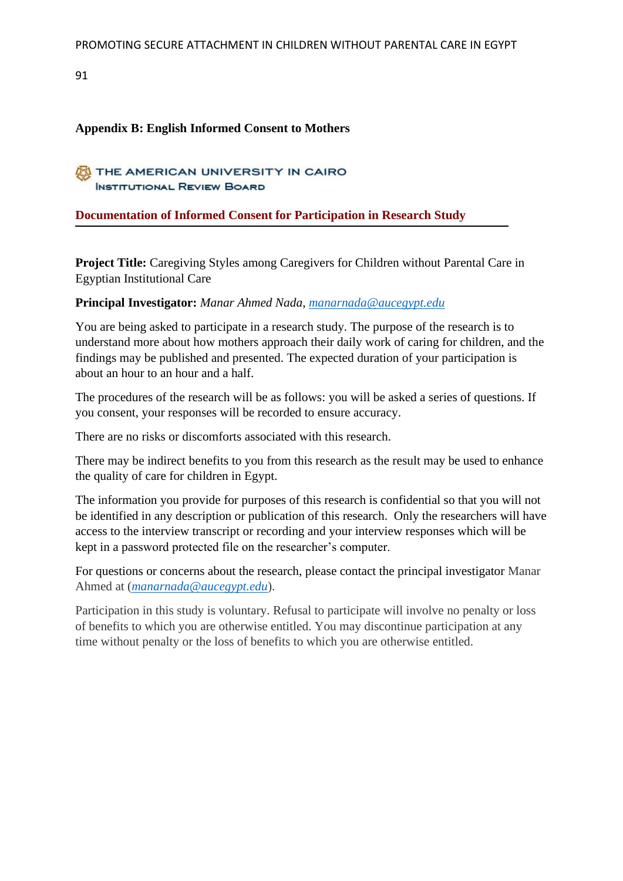# **Appendix B: English Informed Consent to Mothers**

# THE AMERICAN UNIVERSITY IN CAIRO **INSTITUTIONAL REVIEW BOARD**

### **Documentation of Informed Consent for Participation in Research Study**

**Project Title:** Caregiving Styles among Caregivers for Children without Parental Care in Egyptian Institutional Care

### **Principal Investigator:** *Manar Ahmed Nada, [manarnada@aucegypt.edu](mailto:manarnada@aucegypt.edu)*

You are being asked to participate in a research study. The purpose of the research is to understand more about how mothers approach their daily work of caring for children, and the findings may be published and presented. The expected duration of your participation is about an hour to an hour and a half.

The procedures of the research will be as follows: you will be asked a series of questions. If you consent, your responses will be recorded to ensure accuracy.

There are no risks or discomforts associated with this research.

There may be indirect benefits to you from this research as the result may be used to enhance the quality of care for children in Egypt.

The information you provide for purposes of this research is confidential so that you will not be identified in any description or publication of this research. Only the researchers will have access to the interview transcript or recording and your interview responses which will be kept in a password protected file on the researcher's computer.

For questions or concerns about the research, please contact the principal investigator Manar Ahmed at (*[manarnada@aucegypt.edu](mailto:manarnada@aucegypt.edu)*).

Participation in this study is voluntary. Refusal to participate will involve no penalty or loss of benefits to which you are otherwise entitled. You may discontinue participation at any time without penalty or the loss of benefits to which you are otherwise entitled.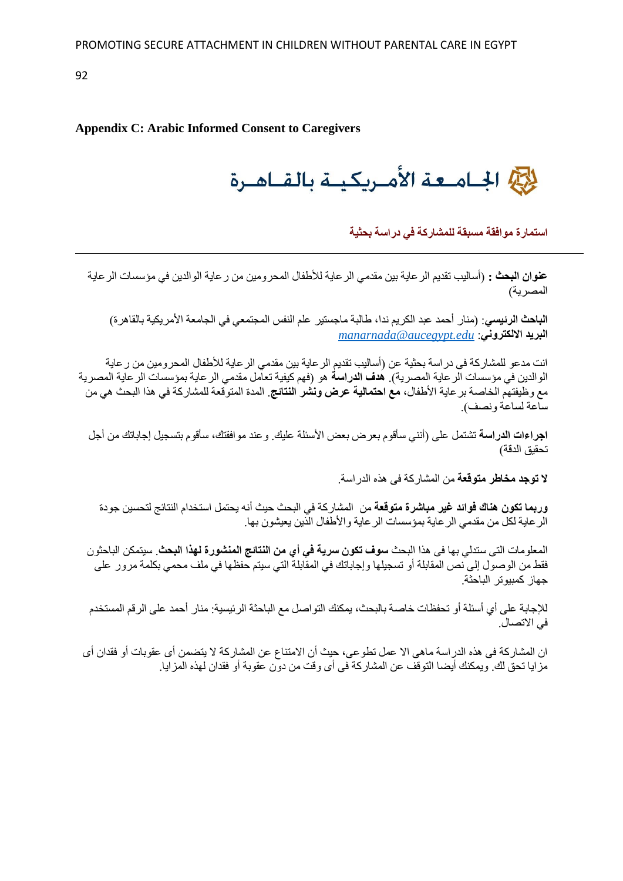### **Appendix C: Arabic Informed Consent to Caregivers**

للحج الجبامعة الأميريكيية بالقباهيرة

**استمارة موافقة مسبقة للمشاركة في دراسة بحثية**

**عنوان البحث :** )أساليب تقديم الرعاية بين مقدمي الرعاية لألطفال المحرومين من رعاية الوالدين في مؤسسات الرعاية المصرية)

ا**لباحث الرئي***سي***:** (منار أحمد عبد الكريم ندا، طالبة ماجستير علم النفس المجتمعي في الجامعة الأمريكية بالقاهرة) *[manarnada@aucegypt.edu](mailto:manarnada@aucegypt.edu)* :**االلكتروني البريد**

انت مدعو للمشاركة فى دراسة بحثية عن )أساليب تقديم الرعاية بين مقدمي الرعاية لألطفال المحرومين من رعاية الوالدين في مؤسسات الرعاية المصرية(. **هدف الدراسة** هو )فهم كيفية تعامل مقدمي الرعاية بمؤسسات الرعاية المصرية مع وظيفتهم الخاصة برعاية األطفال، **مع احتمالية عرض ونشر النتائج**. المدة المتوقعة للمشاركة في هذا البحث هي من ساعة لساعة ونصف(.

**اجراءات الدراسة** تشتمل على )أنني سأقوم بعرض بعض األسئلة عليك. وعند موافقتك، سأقوم بتسجيل إجاباتك من أجل تحقيق الدقة)

**ال توجد مخاطر متوقعة** من المشاركة فى هذه الدراسة.

**وربما تكون هناك فوائد غير مباشرة متوقعة** من المشاركة في البحث حيث أنه يحتمل استخدام النتائج لتحسين جودة الرعاية لكل من مقدمي الرعاية بمؤسسات الرعاية واألطفال الذين يعيشون بها.

المعلومات التى ستدلي بها فى هذا البحث **سوف تكون سرية في أي من النتائج المنشورة لهذا البحث**. سيتمكن الباحثون فقط من الوصول إلى نص المقابلة أو تسجيلها وإجاباتك في المقابلة التي سيتم حفظها في ملف محمي بكلمة مرور على جهاز كمبيوتر الباحثة.

لإلجابة على أي أسئلة أو تحفظات خاصة بالبحث، يمكنك التواصل مع الباحثة الرئيسية: منار أحمد على الرقم المستخدم في االتصال.

ان المشاركة فى هذه الدراسة ماهى اال عمل تطوعى، حيث أن االمتناع عن المشاركة ال يتضمن أى عقوبات أو فقدان أى مزايا تحق لك. ويمكنك أيضا التوقف عن المشاركة فى أى وقت من دون عقوبة أو فقدان لهذه المزايا.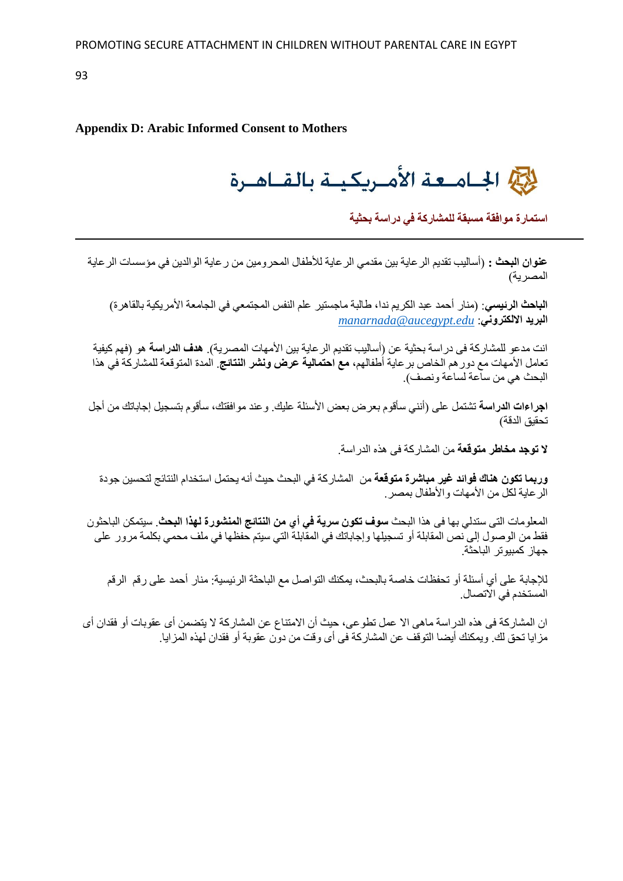# **Appendix D: Arabic Informed Consent to Mothers**

للحج الجامعة الأمريكية بالقاهرة

**استمارة موافقة مسبقة للمشاركة في دراسة بحثية**

**عنوان البحث :** )أساليب تقديم الرعاية بين مقدمي الرعاية لألطفال المحرومين من رعاية الوالدين في مؤسسات الرعاية المصر ية)

ا**لباحث الرئي***سي***: (**منار أحمد عبد الكريم ندا، طالبة ماجستير علم النفس المجتمعي في الجامعة الأمر يكية بالقاهر ة) *[manarnada@aucegypt.edu](mailto:manarnada@aucegypt.edu)* :**االلكتروني البريد**

انت مدعو للمشار كة في در اسة بحثية عن (أساليب تقديم الر عاية بين الأمهات المصر ية). **هدف الدراسة** هو (فهم كيفية تعامل األمهات مع دورهم الخاص برعاية أطفالهم، **مع احتمالية عرض ونشر النتائج**. المدة المتوقعة للمشاركة في هذا البحث هي من ساعة لساعة ونصف(.

**اجراءات الدراسة** تشتمل على )أنني سأقوم بعرض بعض األسئلة عليك. وعند موافقتك، سأقوم بتسجيل إجاباتك من أجل تحقيق الدقة)

**ال توجد مخاطر متوقعة** من المشاركة فى هذه الدراسة.

**وربما تكون هناك فوائد غير مباشرة متوقعة** من المشاركة في البحث حيث أنه يحتمل استخدام النتائج لتحسين جودة الرعاية لكل من األمهات واألطفال بمصر.

المعلومات التى ستدلي بها فى هذا البحث **سوف تكون سرية في أي من النتائج المنشورة لهذا البحث**. سيتمكن الباحثون فقط من الوصول إلى نص المقابلة أو تسجيلها وإجاباتك في المقابلة التي سيتم حفظها في ملف محمي بكلمة مرور على جهاز كمبيوتر الباحثة.

لإلجابة على أي أسئلة أو تحفظات خاصة بالبحث، يمكنك التواصل مع الباحثة الرئيسية: منار أحمد على رقم الرقم المستخدم في االتصال.

ان المشاركة فى هذه الدراسة ماهى اال عمل تطوعى، حيث أن االمتناع عن المشاركة ال يتضمن أى عقوبات أو فقدان أى مزايا تحق لك. ويمكنك أيضا التوقف عن المشاركة فى أى وقت من دون عقوبة أو فقدان لهذه المزايا.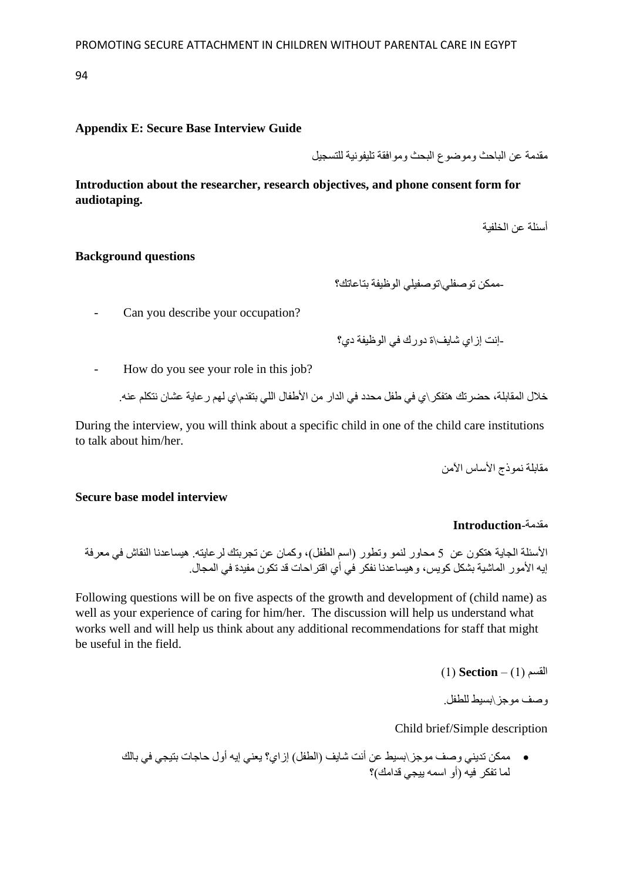### **Appendix E: Secure Base Interview Guide**

مقدمة عن الباحث وموضوع البحث وموافقة تليفونية للتسجيل

**Introduction about the researcher, research objectives, and phone consent form for audiotaping.**

أسئلة عن الخلفية

### **Background questions**

-ممكن توصفلي\توصفيلي الوظيفة بتاعاتك؟

- Can you describe your occupation?

-إنت إزاي شايف\ة دورك في الوظيفة دي؟

- How do you see your role in this job?

خالل المقابلة، حضرتك هتفكر\ي في طفل محدد في الدار من األطفال اللي بتقدم\ي لهم رعاية عشان نتكلم عنه.

During the interview, you will think about a specific child in one of the child care institutions to talk about him/her.

مقابلة نموذج الأساس الآمن

#### **Secure base model interview**

# مقدمة-**Introduction**

الأسئلة الجاية هتكون عن 5 محاور لنمو وتطور (اسم الطفل)، وكمان عن تجربتك لرعايته. هيساعدنا النقاش في معرفة إيه الأمور الماشية بشكل كويس، و هيساعدنا نفكر في أي اقتر احات قد تكون مفيدة في المجال.

Following questions will be on five aspects of the growth and development of (child name) as well as your experience of caring for him/her. The discussion will help us understand what works well and will help us think about any additional recommendations for staff that might be useful in the field.

القسم )1( – **Section**( 1 )

وصف موجز\بسيط للطفل.

Child brief/Simple description

• ممكن تديني وصف موجز\بسيط عن أنت شايف )الطفل( إزاي؟ يعني إيه أول حاجات بتيجي في بالك لما تفكر فيه (أو اسمه بيجي قدامك)؟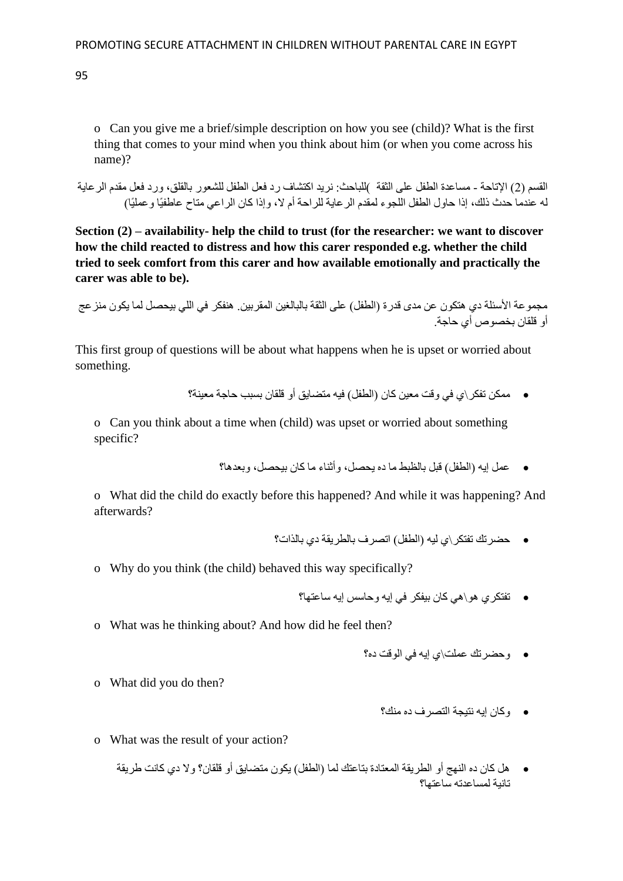o Can you give me a brief/simple description on how you see (child)? What is the first thing that comes to your mind when you think about him (or when you come across his name)?

القسم )2( اإلتاحة - مساعدة الطفل على الثقة (للباحث: نريد اكتشاف رد فعل الطفل للشعور بالقلق، ورد فعل مقدم الرعاية له عندما حدث ذلك، إذا حاول الطفل اللجوء لمقدم الرعاية للراحة أم ال، وإذا كان الراعي متاح عاطفيًا وعمليًا(

**Section (2) – availability- help the child to trust (for the researcher: we want to discover how the child reacted to distress and how this carer responded e.g. whether the child tried to seek comfort from this carer and how available emotionally and practically the carer was able to be).**

```
مجموعة الأسئلة دي هتكون عن مدى قدرة (الطفل) على الثقة بالبالغين المقربين. هنفكر في اللي بيحصل لما يكون منز عج
                                                                     أو قلقان بخصوص أي حاجة.
```
This first group of questions will be about what happens when he is upset or worried about something.

● ممكن تفكر \ي في وقت معين كان (الطفل) فيه متضايق أو قلقان بسبب حاجة معينة؟

o Can you think about a time when (child) was upset or worried about something specific?

• عمل إيه )الطفل( قبل بالظبط ما ده يحصل، وأثناء ما كان بيحصل، وبعدها؟

o What did the child do exactly before this happened? And while it was happening? And afterwards?

- حضرتك تفتكر\ي ليه )الطفل( اتصرف بالطريقة دي بالذات؟
- o Why do you think (the child) behaved this way specifically?
	- تفتكري هو\هي كان بيفكر في إيه وحاسس إيه ساعتها؟
- o What was he thinking about? And how did he feel then?
	- وحضرتك عملت\ي إيه في الوقت ده؟

o What did you do then?

• وكان إيه نتيجة التصرف ده منك؟

- o What was the result of your action?
	- هل كان ده النهج أو الطريقة المعتادة بتاعتك لما )الطفل( يكون متضايق أو قلقان؟ وال دي كانت طريقة تانية لمساعدته ساعتها؟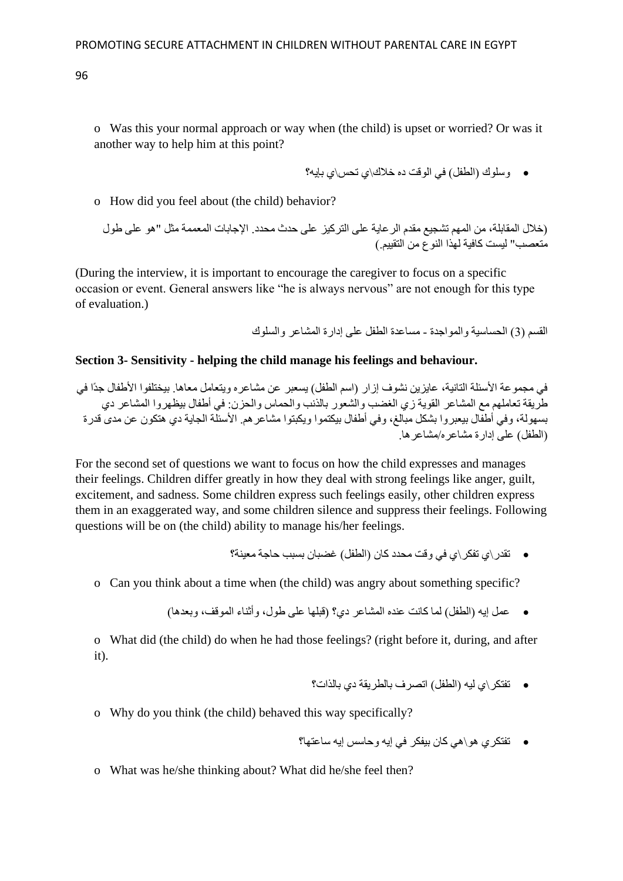o Was this your normal approach or way when (the child) is upset or worried? Or was it another way to help him at this point?

• وسلوك )الطفل( في الوقت ده خالك\ي تحس\ي بإيه؟

o How did you feel about (the child) behavior?

)خالل المقابلة، من المهم تشجيع مقدم الرعاية على التركيز على حدث محدد. اإلجابات المعممة مثل "هو على طول متعصب" ليست كافية لهذا النوع من التقييم.(

(During the interview, it is important to encourage the caregiver to focus on a specific occasion or event. General answers like "he is always nervous" are not enough for this type of evaluation.)

القسم (3) الحساسية والمواجدة - مساعدة الطفل على إدارة المشاعر والسلوك

#### **Section 3- Sensitivity - helping the child manage his feelings and behaviour.**

في مجموعة الأسئلة التانية، عايزين نشوف إزار (اسم الطفل) يسعبر عن مشاعره ويتعامل معاها. بيختلفوا الأطفال جدًا في طريقة تعاملهم مع المشاعر القوية زي الغضب والشعور بالذنب والحماس والحزن: في أطفال بيظهروا المشاعر دي بسهولة، وفي أطفال بيعبروا بشكل مبالغ، وفي أطفال بيكتموا ويكبتوا مشاعرهم. األسئلة الجاية دي هتكون عن مدى قدرة )الطفل( على إدارة مشاعره/مشاعرها.

For the second set of questions we want to focus on how the child expresses and manages their feelings. Children differ greatly in how they deal with strong feelings like anger, guilt, excitement, and sadness. Some children express such feelings easily, other children express them in an exaggerated way, and some children silence and suppress their feelings. Following questions will be on (the child) ability to manage his/her feelings.

• تقدر\ي تفكر\ي في وقت محدد كان )الطفل( غضبان بسبب حاجة معينة؟

o Can you think about a time when (the child) was angry about something specific?

• عمل إيه )الطفل( لما كانت عنده المشاعر دي؟ )قبلها على طول، وأثناء الموقف، وبعدها(

o What did (the child) do when he had those feelings? (right before it, during, and after it).

- تفتكر\ي ليه )الطفل( اتصرف بالطريقة دي بالذات؟
- o Why do you think (the child) behaved this way specifically?
	- تفتكري هو\هي كان بيفكر في إيه وحاسس إيه ساعتها؟
- o What was he/she thinking about? What did he/she feel then?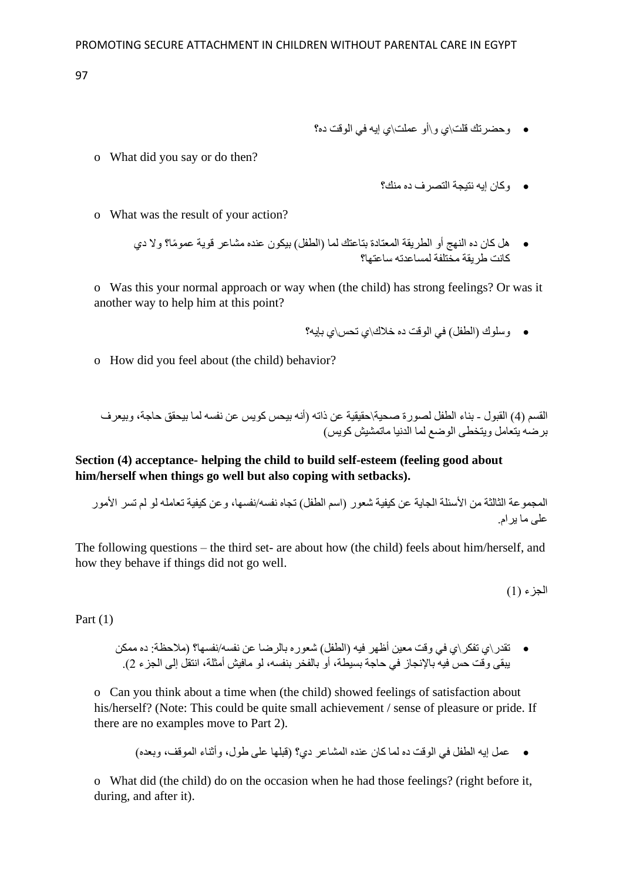- وحضرتك قلت\ي و\أو عملت\ي إيه في الوقت ده؟
- o What did you say or do then?

• وكان إيه نتيجة التصرف ده منك؟

- o What was the result of your action?
	- هل كان ده النهج أو الطريقة المعتادة بتاعتك لما )الطفل( بيكون عنده مشاعر قوية عمو ًما؟ وال دي كانت طريقة مختلفة لمساعدته ساعتها؟

o Was this your normal approach or way when (the child) has strong feelings? Or was it another way to help him at this point?

- وسلوك (الطفل) في الوقت ده خلاك\ي تحس\ي بإيه؟
- o How did you feel about (the child) behavior?

القسم )4( القبول - بناء الطفل لصورة صحية\حقيقية عن ذاته )أنه بيحس كويس عن نفسه لما بيحقق حاجة، وبيعرف برضه يتعامل ويتخطى الوضع لما الدنيا ماتمشيش كويس(

**Section (4) acceptance- helping the child to build self-esteem (feeling good about him/herself when things go well but also coping with setbacks).**

المجموعة الثالثة من األسئلة الجاية عن كيفية شعور )اسم الطفل( تجاه نفسه/نفسها، وعن كيفية تعامله لو لم تسر األمور على ما يرام.

The following questions – the third set- are about how (the child) feels about him/herself, and how they behave if things did not go well.

الجزء (1)

Part (1)

• تقدر\ي تفكر\ي في وقت معين أظهر فيه )الطفل( شعوره بالرضا عن نفسه/نفسها؟ )مالحظة: ده ممكن يبقى وقت حس فيه بالإنجاز في حاجة بسيطة، أو بالفخر بنفسه، لو مافيش أمثلة، انتقل إلى الجزء 2).

o Can you think about a time when (the child) showed feelings of satisfaction about his/herself? (Note: This could be quite small achievement / sense of pleasure or pride. If there are no examples move to Part 2).

• عمل إيه الطفل في الوقت ده لما كان عنده المشاعر دي؟ )قبلها على طول، وأثناء الموقف، وبعده(

o What did (the child) do on the occasion when he had those feelings? (right before it, during, and after it).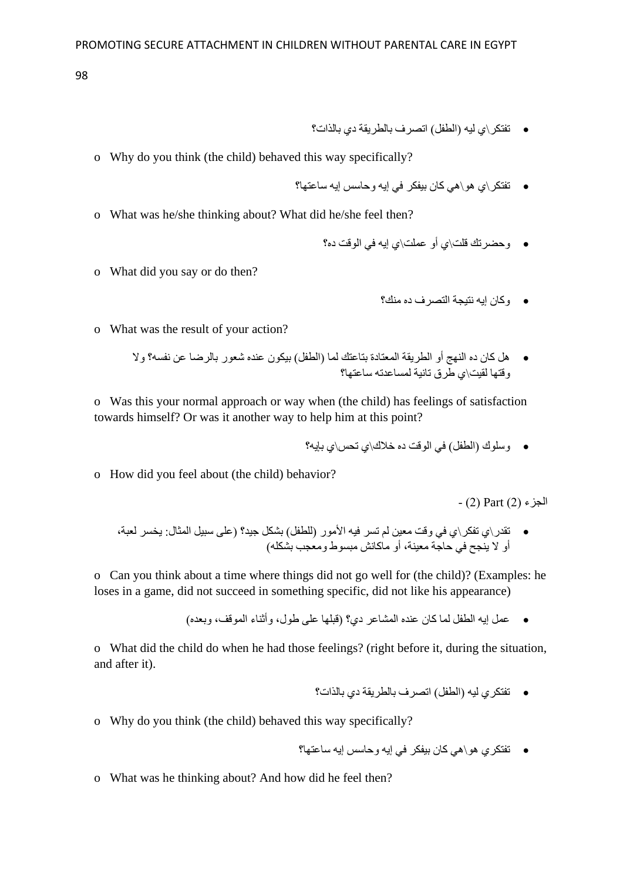- تفتكر\ي ليه )الطفل( اتصرف بالطريقة دي بالذات؟
- o Why do you think (the child) behaved this way specifically?
	- تفتكر\ي هو\هي كان بيفكر في إيه وحاسس إيه ساعتها؟
- o What was he/she thinking about? What did he/she feel then?
	- وحضرتك قلت\ي أو عملت\ي إيه في الوقت ده؟
- o What did you say or do then?

• وكان إيه نتيجة التصرف ده منك؟

- o What was the result of your action?
	- هل كان ده النهج أو الطريقة المعتادة بتاعتك لما )الطفل( بيكون عنده شعور بالرضا عن نفسه؟ وال وقتها لقيت\ي طرق تانية لمساعدته ساعتها؟

o Was this your normal approach or way when (the child) has feelings of satisfaction towards himself? Or was it another way to help him at this point?

- وسلوك )الطفل( في الوقت ده خالك\ي تحس\ي بإيه؟
- o How did you feel about (the child) behavior?

الجزء )2( Part( 2 )-

• تقدر\ي تفكر\ي في وقت معين لم تسر فيه الأمور (للطفل) بشكل جيد؟ (على سبيل المثال: يخسر لعبة، سبب عن سبب -<br>أو لا ينجح في حاجة معينة، أو ماكانش مبسوط ومعجب بشكله)

o Can you think about a time where things did not go well for (the child)? (Examples: he loses in a game, did not succeed in something specific, did not like his appearance)

• عمل إيه الطفل لما كان عنده المشاعر دي؟ )قبلها على طول، وأثناء الموقف، وبعده(

o What did the child do when he had those feelings? (right before it, during the situation, and after it).

- تفتكري ليه )الطفل( اتصرف بالطريقة دي بالذات؟
- o Why do you think (the child) behaved this way specifically?
	- تفتكري هو\هي كان بيفكر في إيه وحاسس إيه ساعتها؟
- o What was he thinking about? And how did he feel then?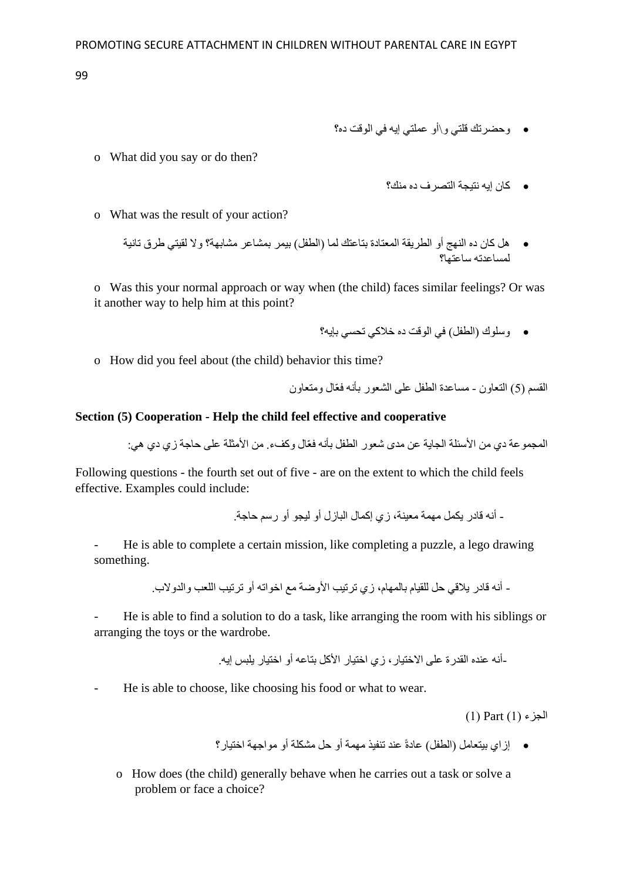- وحضرتك قلتي و\أو عملتي إيه في الوقت ده؟
- o What did you say or do then?

• كان إيه نتيجة التصرف ده منك؟

- o What was the result of your action?
	- هل كان ده النهج أو الطريقة المعتادة بتاعتك لما )الطفل( بيمر بمشاعر مشابهة؟ وال لقيتي طرق تانية لمساعدته ساعتها؟

o Was this your normal approach or way when (the child) faces similar feelings? Or was it another way to help him at this point?

- وسلوك )الطفل( في الوقت ده خالكي تحسي بإيه؟
- o How did you feel about (the child) behavior this time?

القسم )5( التعاون - مساعدة الطفل على الشعور بأنه فعّال ومتعاون

#### **Section (5) Cooperation - Help the child feel effective and cooperative**

المجمو عة دي من الأسئلة الجاية عن مدى شعور الطفل بأنه فعّال وكفء. من الأمثلة على حاجة زي دي هي:

Following questions - the fourth set out of five - are on the extent to which the child feels effective. Examples could include:

- أنه قادر يكمل مهمة معينة، زي إكمال البازل أو ليجو أو رسم حاجة.

- He is able to complete a certain mission, like completing a puzzle, a lego drawing something.

- أنه قادر يالقي حل للقيام بالمهام، زي ترتيب األوضة مع اخواته أو ترتيب اللعب والدوالب.

- He is able to find a solution to do a task, like arranging the room with his siblings or arranging the toys or the wardrobe.

-أنه عنده القدرة على االختيار، زي اختيار األكل بتاعه أو اختيار يلبس إيه.

- He is able to choose, like choosing his food or what to wear.

 $(1)$  Part $(1)$  ) الجزء

• إزاي بيتعامل )الطفل( عادةً عند تنفيذ مهمة أو حل مشكلة أو مواجهة اختيار؟

o How does (the child) generally behave when he carries out a task or solve a problem or face a choice?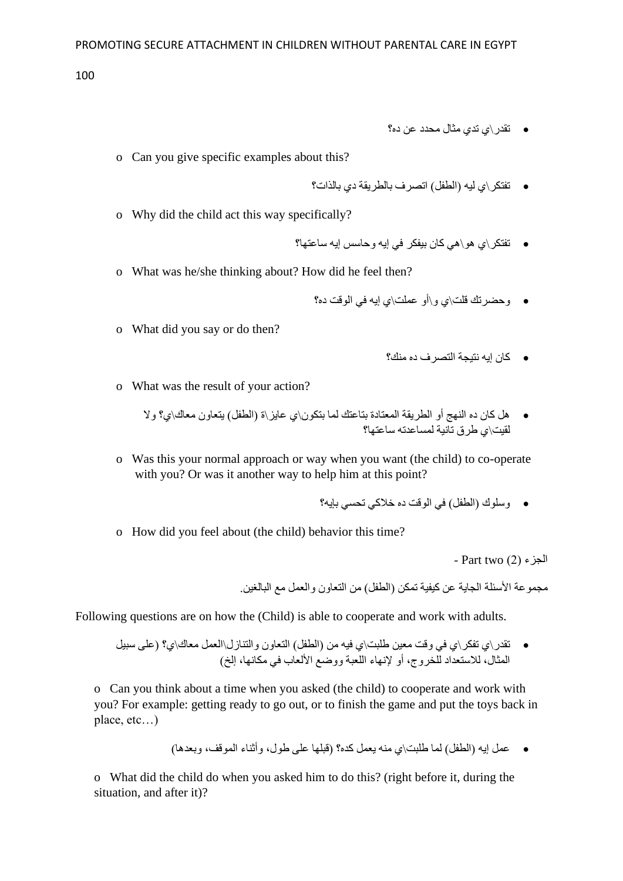- تقدر\ي تدي مثال محدد عن ده؟
- o Can you give specific examples about this?
	- تفتكر\ي ليه )الطفل( اتصرف بالطريقة دي بالذات؟
- o Why did the child act this way specifically?
	- تفتكر\ي هو\هي كان بيفكر في إيه وحاسس إيه ساعتها؟
- o What was he/she thinking about? How did he feel then?
	- وحضرتك قلت\ي و\أو عملت\ي إيه في الوقت ده؟
- o What did you say or do then?

- كان إيه نتيجة التصرف ده منك؟
- o What was the result of your action?

• هل كان ده النهج أو الطريقة المعتادة بتاعتك لما بتكون\ي عايز\ة )الطفل( يتعاون معاك\ي؟ وال لقيت\ي طرق تانية لمساعدته ساعتها؟

o Was this your normal approach or way when you want (the child) to co-operate with you? Or was it another way to help him at this point?

• وسلوك )الطفل( في الوقت ده خالكي تحسي بإيه؟

o How did you feel about (the child) behavior this time?

- Part two  $(2)$  الجزء

مجموعة األسئلة الجاية عن كيفية تمكن )الطفل( من التعاون والعمل مع البالغين.

Following questions are on how the (Child) is able to cooperate and work with adults.

• تقدر\ي تفكر\ي في وقت معين طلبت\ي فيه من (الطفل) التعاون والتنازل\العمل معاك\ي؟ (على سبيل المثال، للاستعداد للخروج، أو لإنهاء اللّعبة ووضع الألعاب في مكانها، إلخ)

o Can you think about a time when you asked (the child) to cooperate and work with you? For example: getting ready to go out, or to finish the game and put the toys back in place, etc…)

• عمل إيه )الطفل( لما طلبت\ي منه يعمل كده؟ )قبلها على طول، وأثناء الموقف، وبعدها(

o What did the child do when you asked him to do this? (right before it, during the situation, and after it)?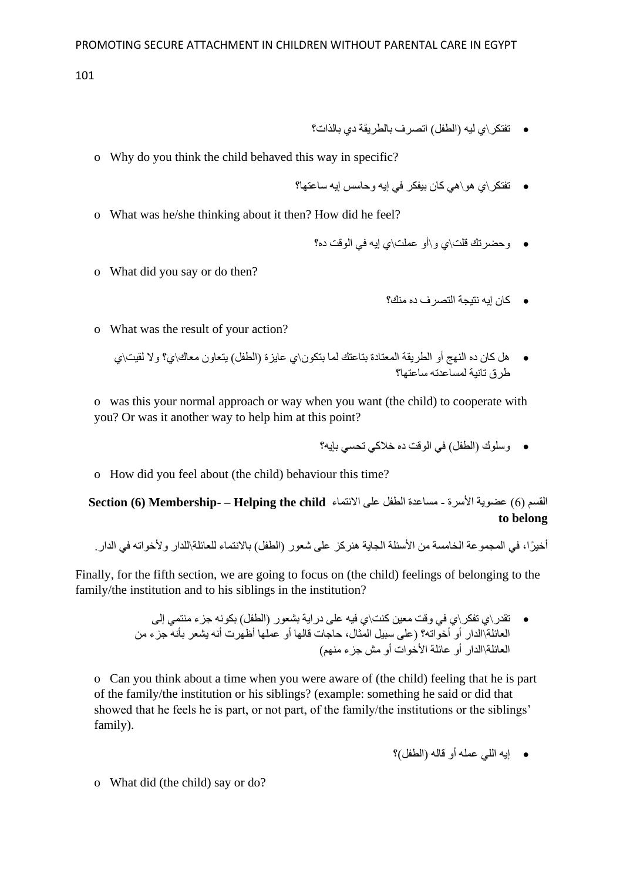- تفتكر\ي ليه )الطفل( اتصرف بالطريقة دي بالذات؟
- o Why do you think the child behaved this way in specific?
	- تفتكر\ي هو\هي كان بيفكر في إيه وحاسس إيه ساعتها؟
- o What was he/she thinking about it then? How did he feel?
	- وحضرتك قلت\ي و\أو عملت\ي إيه في الوقت ده؟
- o What did you say or do then?

• كان إيه نتيجة التصرف ده منك؟

- o What was the result of your action?
	- هل كان ده النهج أو الطريقة المعتادة بتاعتك لما بتكون\ي عايزة )الطفل( يتعاون معاك\ي؟ وال لقيت\ي طرق تانية لمساعدته ساعتها؟

o was this your normal approach or way when you want (the child) to cooperate with you? Or was it another way to help him at this point?

- وسلوك )الطفل( في الوقت ده خالكي تحسي بإيه؟
- o How did you feel about (the child) behaviour this time?

القسم )6( عضوية األسرة - مساعدة الطفل على االنتماء **child the Helping – -Membership) 6 (Section to belong**

أخيرًا، في المجموعة الخامسة من الأسئلة الجاية هنركز على شعور (الطفل) بالانتماء للعائلة\للدار ولأخواته في الدار

Finally, for the fifth section, we are going to focus on (the child) feelings of belonging to the family/the institution and to his siblings in the institution?

> • تقدر\ي تفكر\ي في وقت معين كنت\ي فيه على دراية بشعور )الطفل( بكونه جزء منتمي إلى العائلة\الدار أو أخواته؟ )على سبيل المثال، حاجات قالها أو عملها أظهرت أنه يشعر بأنه جزء من العائلة\الدار أو عائلة الأخوات أو مش جزء منهم)

o Can you think about a time when you were aware of (the child) feeling that he is part of the family/the institution or his siblings? (example: something he said or did that showed that he feels he is part, or not part, of the family/the institutions or the siblings' family).

• إيه اللي عمله أو قاله )الطفل(؟

o What did (the child) say or do?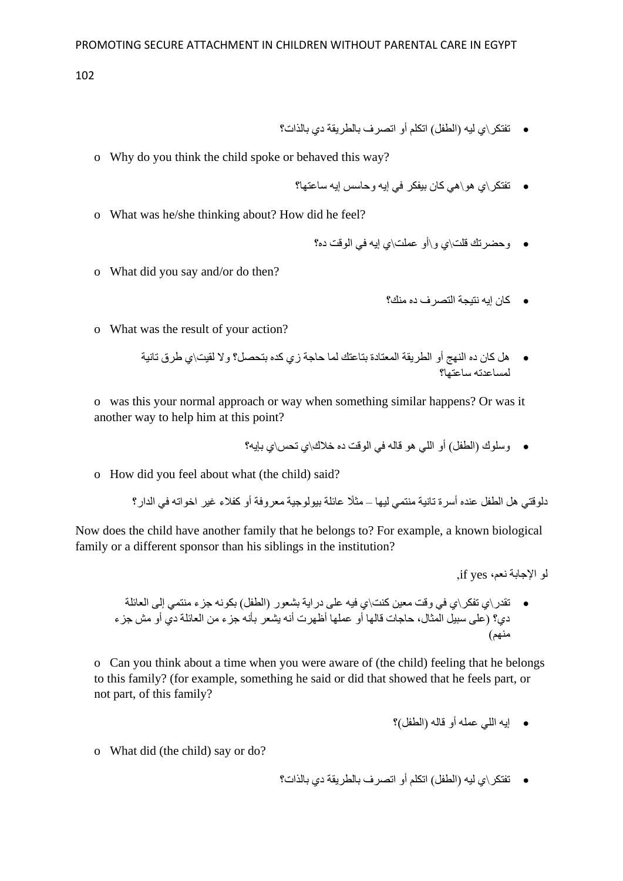- تفتكر\ي ليه )الطفل( اتكلم أو اتصرف بالطريقة دي بالذات؟
- o Why do you think the child spoke or behaved this way?
	- تفتكر\ي هو\هي كان بيفكر في إيه وحاسس إيه ساعتها؟
- o What was he/she thinking about? How did he feel?
	- وحضرتك قلت\ي و\أو عملت\ي إيه في الوقت ده؟
- o What did you say and/or do then?

• كان إيه نتيجة التصرف ده منك؟

- o What was the result of your action?
	- هل كان ده النهج أو الطريقة المعتادة بتاعتك لما حاجة زي كده بتحصل؟ وال لقيت\ي طرق تانية لمساعدته ساعتها؟

o was this your normal approach or way when something similar happens? Or was it another way to help him at this point?

• وسلوك )الطفل( أو اللي هو قاله في الوقت ده خالك\ي تحس\ي بإيه؟

o How did you feel about what (the child) said?

دلوقتي هل الطفل عنده أسرة تانية منتمي ليها – مث ًال عائلة بيولوجية معروفة أو كفالء غير اخواته في الدار؟

Now does the child have another family that he belongs to? For example, a known biological family or a different sponsor than his siblings in the institution?

لو اإلجابة نعم، yes if,

• تقدر\ي تفكر\ي في وقت معين كنت\ي فيه على دراية بشعور )الطفل( بكونه جزء منتمي إلى العائلة دي؟ (على سبيل المثال، حاجات قالها أو عملها أظهرت أنه يشعر بأنه جزء من العائلة دي أو مش جزء منهم(

o Can you think about a time when you were aware of (the child) feeling that he belongs to this family? (for example, something he said or did that showed that he feels part, or not part, of this family?

• إيه اللي عمله أو قاله )الطفل(؟

- o What did (the child) say or do?
- تفتكر\ي ليه )الطفل( اتكلم أو اتصرف بالطريقة دي بالذات؟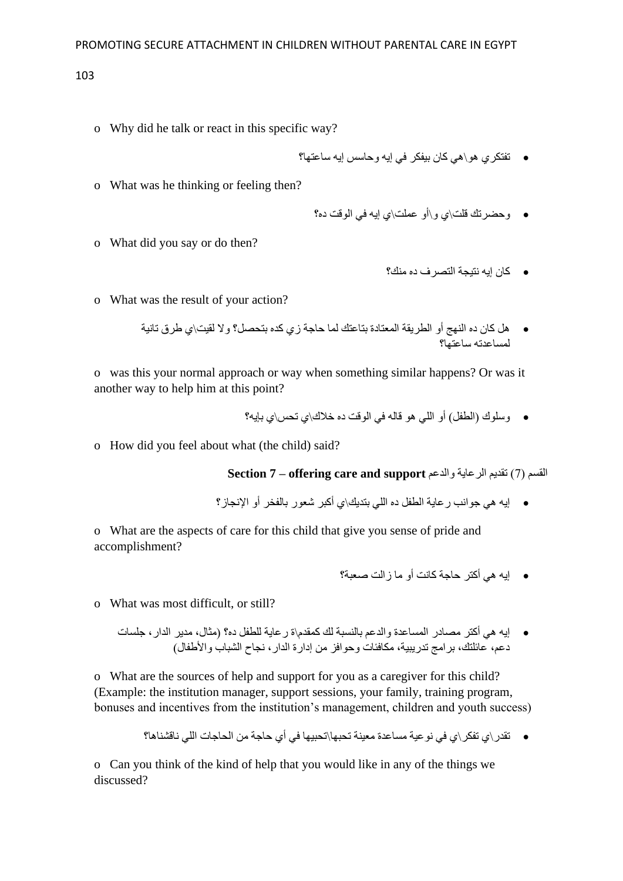- o Why did he talk or react in this specific way?
	- تفتكري هو\هي كان بيفكر في إيه وحاسس إيه ساعتها؟
- o What was he thinking or feeling then?

• وحضرتك قلت\ي و\أو عملت\ي إيه في الوقت ده؟

o What did you say or do then?

• كان إيه نتيجة التصرف ده منك؟

o What was the result of your action?

• هل كان ده النهج أو الطريقة المعتادة بتاعتك لما حاجة زي كده بتحصل؟ وال لقيت\ي طرق تانية لمساعدته ساعتها؟

o was this your normal approach or way when something similar happens? Or was it another way to help him at this point?

- وسلوك )الطفل( أو اللي هو قاله في الوقت ده خالك\ي تحس\ي بإيه؟
- o How did you feel about what (the child) said?

**Section 7 – offering care and support** والدعم الرعاية تقديم( 7 )القسم

• إيه هي جوانب رعاية الطفل ده اللي بتديك\ي أكبر شعور بالفخر أو اإلنجاز؟

o What are the aspects of care for this child that give you sense of pride and accomplishment?

• إيه هي أكتر حاجة كانت أو ما زالت صعبة؟

o What was most difficult, or still?

• إيه هي أكتر مصادر المساعدة والدعم بالنسبة لك كمقدم\ة رعاية للطفل ده؟ )مثال، مدير الدار، جلسات دعم، عائلتك، برامج تدريبية، مكافئات وحوافز من إدارة الدار، نجاح الشباب واألطفال(

o What are the sources of help and support for you as a caregiver for this child? (Example: the institution manager, support sessions, your family, training program, bonuses and incentives from the institution's management, children and youth success)

• تقدر\ي تفكر\ي في نوعية مساعدة معينة تحبها\تحبيها في أي حاجة من الحاجات اللي ناقشناها؟

o Can you think of the kind of help that you would like in any of the things we discussed?